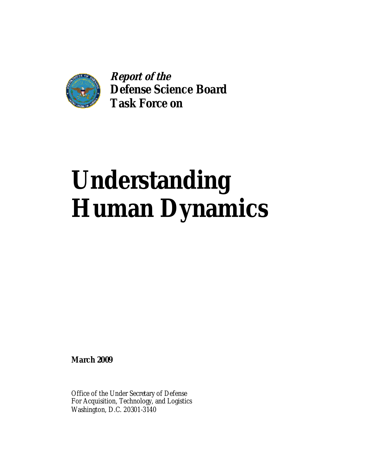

**Report of the Defense Science Board Task Force on** 

# **Understanding Human Dynamics**

**March 2009** 

Office of the Under Secretary of Defense For Acquisition, Technology, and Logistics Washington, D.C. 20301-3140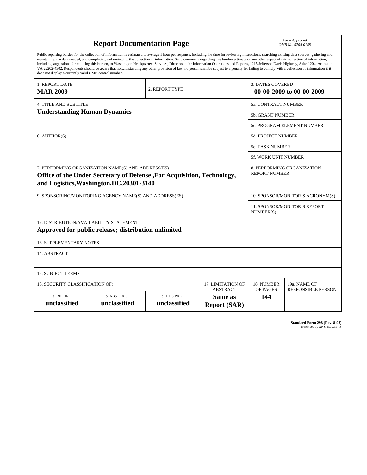| <b>Report Documentation Page</b>                                                                                                                                                                                                                                                                                                                                                                                                                                                                                                                                                                                                                                                                                                                                                                                                                                   |                             |                              |                                                   | Form Approved<br>OMB No. 0704-0188                  |                           |  |
|--------------------------------------------------------------------------------------------------------------------------------------------------------------------------------------------------------------------------------------------------------------------------------------------------------------------------------------------------------------------------------------------------------------------------------------------------------------------------------------------------------------------------------------------------------------------------------------------------------------------------------------------------------------------------------------------------------------------------------------------------------------------------------------------------------------------------------------------------------------------|-----------------------------|------------------------------|---------------------------------------------------|-----------------------------------------------------|---------------------------|--|
| Public reporting burden for the collection of information is estimated to average 1 hour per response, including the time for reviewing instructions, searching existing data sources, gathering and<br>maintaining the data needed, and completing and reviewing the collection of information. Send comments regarding this burden estimate or any other aspect of this collection of information,<br>including suggestions for reducing this burden, to Washington Headquarters Services, Directorate for Information Operations and Reports, 1215 Jefferson Davis Highway, Suite 1204, Arlington<br>VA 22202-4302. Respondents should be aware that notwithstanding any other provision of law, no person shall be subject to a penalty for failing to comply with a collection of information if it<br>does not display a currently valid OMB control number. |                             |                              |                                                   |                                                     |                           |  |
| 1. REPORT DATE<br><b>MAR 2009</b>                                                                                                                                                                                                                                                                                                                                                                                                                                                                                                                                                                                                                                                                                                                                                                                                                                  |                             | 2. REPORT TYPE               |                                                   | <b>3. DATES COVERED</b><br>00-00-2009 to 00-00-2009 |                           |  |
| <b>4. TITLE AND SUBTITLE</b>                                                                                                                                                                                                                                                                                                                                                                                                                                                                                                                                                                                                                                                                                                                                                                                                                                       |                             |                              |                                                   | 5a. CONTRACT NUMBER                                 |                           |  |
| <b>Understanding Human Dynamics</b>                                                                                                                                                                                                                                                                                                                                                                                                                                                                                                                                                                                                                                                                                                                                                                                                                                |                             |                              |                                                   | 5b. GRANT NUMBER                                    |                           |  |
|                                                                                                                                                                                                                                                                                                                                                                                                                                                                                                                                                                                                                                                                                                                                                                                                                                                                    |                             |                              |                                                   | 5c. PROGRAM ELEMENT NUMBER                          |                           |  |
| 6. AUTHOR(S)                                                                                                                                                                                                                                                                                                                                                                                                                                                                                                                                                                                                                                                                                                                                                                                                                                                       |                             |                              |                                                   | <b>5d. PROJECT NUMBER</b>                           |                           |  |
|                                                                                                                                                                                                                                                                                                                                                                                                                                                                                                                                                                                                                                                                                                                                                                                                                                                                    |                             |                              |                                                   | 5e. TASK NUMBER                                     |                           |  |
|                                                                                                                                                                                                                                                                                                                                                                                                                                                                                                                                                                                                                                                                                                                                                                                                                                                                    |                             |                              |                                                   | 5f. WORK UNIT NUMBER                                |                           |  |
| 7. PERFORMING ORGANIZATION NAME(S) AND ADDRESS(ES)<br>Office of the Under Secretary of Defense, For Acquisition, Technology,<br>and Logistics, Washington, DC, 20301-3140                                                                                                                                                                                                                                                                                                                                                                                                                                                                                                                                                                                                                                                                                          |                             |                              |                                                   | 8. PERFORMING ORGANIZATION<br><b>REPORT NUMBER</b>  |                           |  |
| 9. SPONSORING/MONITORING AGENCY NAME(S) AND ADDRESS(ES)                                                                                                                                                                                                                                                                                                                                                                                                                                                                                                                                                                                                                                                                                                                                                                                                            |                             |                              | 10. SPONSOR/MONITOR'S ACRONYM(S)                  |                                                     |                           |  |
|                                                                                                                                                                                                                                                                                                                                                                                                                                                                                                                                                                                                                                                                                                                                                                                                                                                                    |                             |                              |                                                   | 11. SPONSOR/MONITOR'S REPORT<br>NUMBER(S)           |                           |  |
| 12. DISTRIBUTION/AVAILABILITY STATEMENT<br>Approved for public release; distribution unlimited                                                                                                                                                                                                                                                                                                                                                                                                                                                                                                                                                                                                                                                                                                                                                                     |                             |                              |                                                   |                                                     |                           |  |
| <b>13. SUPPLEMENTARY NOTES</b>                                                                                                                                                                                                                                                                                                                                                                                                                                                                                                                                                                                                                                                                                                                                                                                                                                     |                             |                              |                                                   |                                                     |                           |  |
| 14. ABSTRACT                                                                                                                                                                                                                                                                                                                                                                                                                                                                                                                                                                                                                                                                                                                                                                                                                                                       |                             |                              |                                                   |                                                     |                           |  |
| <b>15. SUBJECT TERMS</b>                                                                                                                                                                                                                                                                                                                                                                                                                                                                                                                                                                                                                                                                                                                                                                                                                                           |                             |                              |                                                   |                                                     |                           |  |
| 16. SECURITY CLASSIFICATION OF:                                                                                                                                                                                                                                                                                                                                                                                                                                                                                                                                                                                                                                                                                                                                                                                                                                    |                             |                              | 17. LIMITATION OF                                 | 18. NUMBER                                          | 19a. NAME OF              |  |
| a. REPORT<br>unclassified                                                                                                                                                                                                                                                                                                                                                                                                                                                                                                                                                                                                                                                                                                                                                                                                                                          | b. ABSTRACT<br>unclassified | c. THIS PAGE<br>unclassified | <b>ABSTRACT</b><br>Same as<br><b>Report (SAR)</b> | OF PAGES<br>144                                     | <b>RESPONSIBLE PERSON</b> |  |

**Standard Form 298 (Rev. 8-98)**<br>Prescribed by ANSI Std Z39-18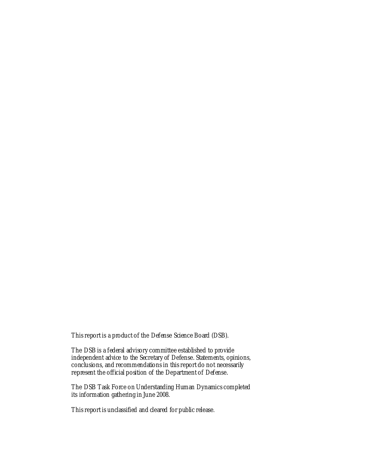This report is a product of the Defense Science Board (DSB).

The DSB is a federal advisory committee established to provide independent advice to the Secretary of Defense. Statements, opinions, conclusions, and recommendations in this report do not necessarily represent the official position of the Department of Defense.

The DSB Task Force on Understanding Human Dynamics completed its information gathering in June 2008.

This report is unclassified and cleared for public release.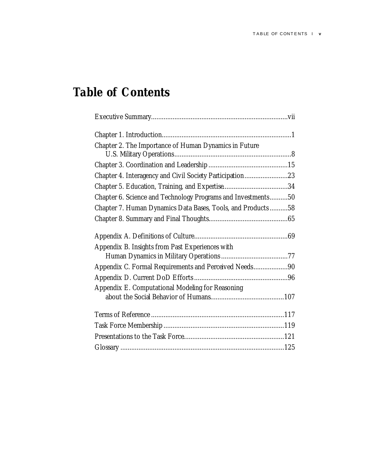# **Table of Contents**

| Chapter 2. The Importance of Human Dynamics in Future        |  |
|--------------------------------------------------------------|--|
|                                                              |  |
| Chapter 4. Interagency and Civil Society Participation23     |  |
| Chapter 5. Education, Training, and Expertise34              |  |
| Chapter 6. Science and Technology Programs and Investments50 |  |
| Chapter 7. Human Dynamics Data Bases, Tools, and Products58  |  |
|                                                              |  |
|                                                              |  |
| Appendix B. Insights from Past Experiences with              |  |
| Appendix C. Formal Requirements and Perceived Needs90        |  |
|                                                              |  |
| Appendix E. Computational Modeling for Reasoning             |  |
|                                                              |  |
|                                                              |  |
|                                                              |  |
|                                                              |  |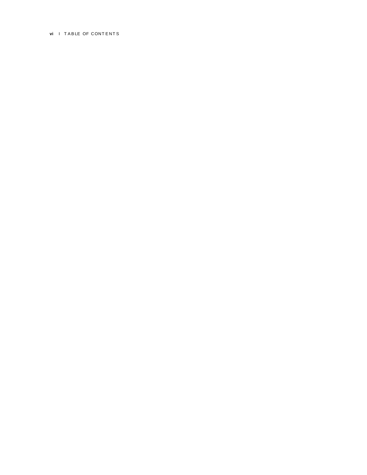#### vi | TABLE OF CONTENTS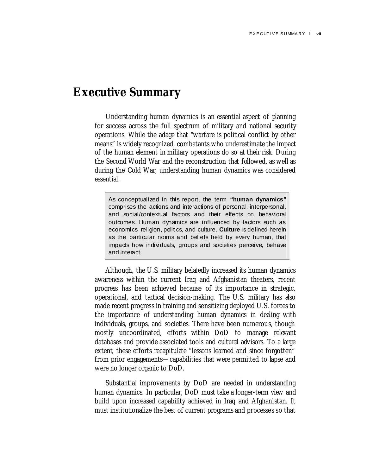# **Executive Summary**

Understanding human dynamics is an essential aspect of planning for success across the full spectrum of military and national security operations. While the adage that "warfare is political conflict by other means" is widely recognized, combatants who underestimate the impact of the human element in military operations do so at their risk. During the Second World War and the reconstruction that followed, as well as during the Cold War, understanding human dynamics was considered essential.

As conceptualized in this report, the term **"human dynamics"** comprises the actions and interactions of personal, interpersonal, and social/contextual factors and their effects on behavioral outcomes. Human dynamics are influenced by factors such as economics, religion, politics, and culture. **Culture** is defined herein as the particular norms and beliefs held by every human, that impacts how individuals, groups and societies perceive, behave and interact.

Although, the U.S. military belatedly increased its human dynamics awareness within the current Iraq and Afghanistan theaters, recent progress has been achieved because of its importance in strategic, operational, and tactical decision-making. The U.S. military has also made recent progress in training and sensitizing deployed U.S. forces to the importance of understanding human dynamics in dealing with individuals, groups, and societies. There have been numerous, though mostly uncoordinated, efforts within DoD to manage relevant databases and provide associated tools and cultural advisors. To a large extent, these efforts recapitulate "lessons learned and since forgotten" from prior engagements—capabilities that were permitted to lapse and were no longer organic to DoD.

Substantial improvements by DoD are needed in understanding human dynamics. In particular, DoD must take a longer-term view and build upon increased capability achieved in Iraq and Afghanistan. It must institutionalize the best of current programs and processes so that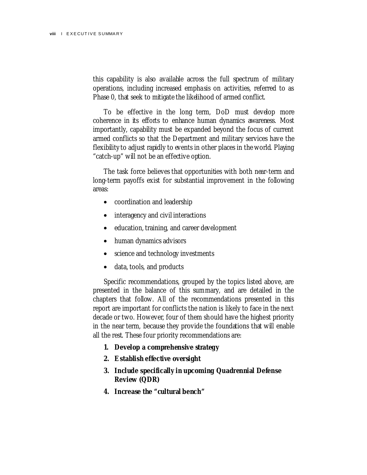this capability is also available across the full spectrum of military operations, including increased emphasis on activities, referred to as Phase 0, that seek to mitigate the likelihood of armed conflict.

To be effective in the long term, DoD must develop more coherence in its efforts to enhance human dynamics awareness. Most importantly, capability must be expanded beyond the focus of current armed conflicts so that the Department and military services have the flexibility to adjust rapidly to events in other places in the world. Playing "catch-up" will not be an effective option.

The task force believes that opportunities with both near-term and long-term payoffs exist for substantial improvement in the following areas:

- coordination and leadership
- interagency and civil interactions
- education, training, and career development
- human dynamics advisors
- science and technology investments
- data, tools, and products

Specific recommendations, grouped by the topics listed above, are presented in the balance of this summary, and are detailed in the chapters that follow. All of the recommendations presented in this report are important for conflicts the nation is likely to face in the next decade or two. However, four of them should have the highest priority in the near term, because they provide the foundations that will enable all the rest. These four priority recommendations are:

- **1. Develop a comprehensive strategy**
- **2. Establish effective oversight**
- **3. Include specifically in upcoming Quadrennial Defense Review (QDR)**
- **4. Increase the "cultural bench"**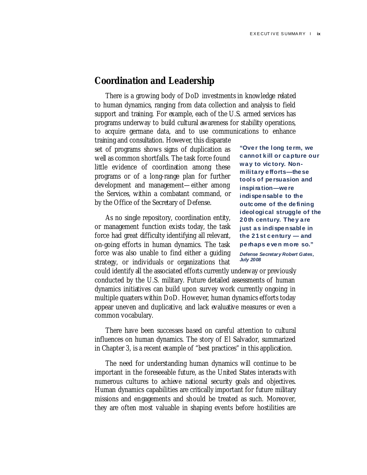# **Coordination and Leadership**

There is a growing body of DoD investments in knowledge related to human dynamics, ranging from data collection and analysis to field support and training. For example, each of the U.S. armed services has programs underway to build cultural awareness for stability operations, to acquire germane data, and to use communications to enhance

training and consultation. However, this disparate set of programs shows signs of duplication as well as common shortfalls. The task force found little evidence of coordination among these programs or of a long-range plan for further development and management—either among the Services, within a combatant command, or by the Office of the Secretary of Defense.

As no single repository, coordination entity, or management function exists today, the task force had great difficulty identifying all relevant, on-going efforts in human dynamics. The task force was also unable to find either a guiding strategy, or individuals or organizations that

"Over the long term, we cannot kill or capture our way to victory. Nonmilitary efforts—these tools of persuasion and inspiration—were indispensable to the outcome of the defining ideological struggle of the 20th century. They are just as indispensable in the 21st century — and perhaps even more so." *Defense Secretary Robert Gates, July 2008* 

could identify all the associated efforts currently underway or previously conducted by the U.S. military. Future detailed assessments of human dynamics initiatives can build upon survey work currently ongoing in multiple quarters within DoD. However, human dynamics efforts today appear uneven and duplicative, and lack evaluative measures or even a common vocabulary.

There have been successes based on careful attention to cultural influences on human dynamics. The story of El Salvador, summarized in Chapter 3, is a recent example of "best practices" in this application.

The need for understanding human dynamics will continue to be important in the foreseeable future, as the United States interacts with numerous cultures to achieve national security goals and objectives. Human dynamics capabilities are critically important for future military missions and engagements and should be treated as such. Moreover, they are often most valuable in shaping events before hostilities are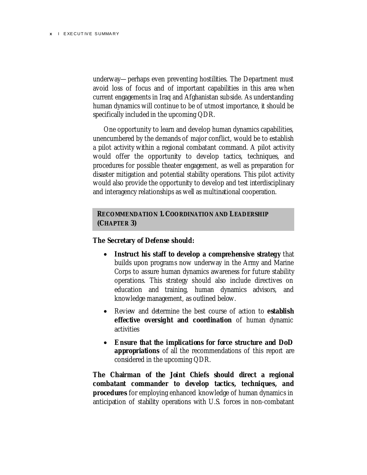#### x I E XE CUT IV E S UMMA RY

underway—perhaps even preventing hostilities. The Department must avoid loss of focus and of important capabilities in this area when current engagements in Iraq and Afghanistan subside. As understanding human dynamics will continue to be of utmost importance, it should be specifically included in the upcoming QDR.

One opportunity to learn and develop human dynamics capabilities, unencumbered by the demands of major conflict, would be to establish a pilot activity within a regional combatant command. A pilot activity would offer the opportunity to develop tactics, techniques, and procedures for possible theater engagement, as well as preparation for disaster mitigation and potential stability operations. This pilot activity would also provide the opportunity to develop and test interdisciplinary and interagency relationships as well as multinational cooperation.

#### **RECOMMENDATION 1.COORDINATION AND LEADERSHIP (CHAPTER 3)**

#### **The Secretary of Defense should:**

- **Instruct his staff to develop a comprehensive strategy** that builds upon programs now underway in the Army and Marine Corps to assure human dynamics awareness for future stability operations. This strategy should also include directives on education and training, human dynamics advisors, and knowledge management, as outlined below.
- Review and determine the best course of action to **establish effective oversight and coordination** of human dynamic activities
- **Ensure that the implications for force structure and DoD appropriations** of all the recommendations of this report are considered in the upcoming QDR.

**The Chairman of the Joint Chiefs should direct a regional combatant commander to develop tactics, techniques, and procedures** for employing enhanced knowledge of human dynamics in anticipation of stability operations with U.S. forces in non-combatant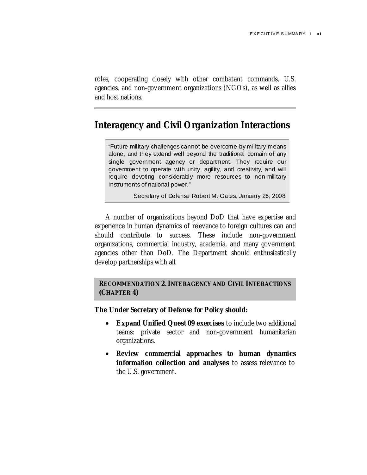roles, cooperating closely with other combatant commands, U.S. agencies, and non-government organizations (NGOs), as well as allies and host nations.

# **Interagency and Civil Organization Interactions**

"Future military challenges cannot be overcome by military means alone, and they extend well beyond the traditional domain of any single government agency or department. They require our government to operate with unity, agility, and creativity, and will require devoting considerably more resources to non-military instruments of national power."

Secretary of Defense Robert M. Gates, January 26, 2008

A number of organizations beyond DoD that have expertise and experience in human dynamics of relevance to foreign cultures can and should contribute to success. These include non-government organizations, commercial industry, academia, and many government agencies other than DoD. The Department should enthusiastically develop partnerships with all.

#### **RECOMMENDATION 2.INTERAGENCY AND CIVIL INTERACTIONS (CHAPTER 4)**

**The Under Secretary of Defense for Policy should:** 

- **Expand Unified Quest 09 exercises** to include two additional teams: private sector and non-government humanitarian organizations.
- **Review commercial approaches to human dynamics information collection and analyses** to assess relevance to the U.S. government.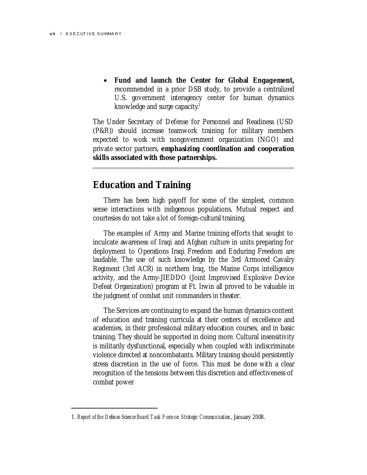l

• **Fund and launch the Center for Global Engagement,**  recommended in a prior DSB study, to provide a centralized U.S. government interagency center for human dynamics knowledge and surge capacity.<sup>1</sup>

The Under Secretary of Defense for Personnel and Readiness (USD (P&R)) should increase teamwork training for military members expected to work with nongovernment organization (NGO) and private sector partners, **emphasizing coordination and cooperation skills associated with those partnerships.** 

# **Education and Training**

There has been high payoff for some of the simplest, common sense interactions with indigenous populations. Mutual respect and courtesies do not take a lot of foreign-cultural training.

The examples of Army and Marine training efforts that sought to inculcate awareness of Iraqi and Afghan culture in units preparing for deployment to Operations Iraqi Freedom and Enduring Freedom are laudable. The use of such knowledge by the 3rd Armored Cavalry Regiment (3rd ACR) in northern Iraq, the Marine Corps intelligence activity, and the Army-JIEDDO (Joint Improvised Explosive Device Defeat Organization) program at Ft. Irwin all proved to be valuable in the judgment of combat unit commanders in theater.

The Services are continuing to expand the human dynamics content of education and training curricula at their centers of excellence and academies, in their professional military education courses, and in basic training. They should be supported in doing more. Cultural insensitivity is militarily dysfunctional, especially when coupled with indiscriminate violence directed at noncombatants. Military training should persistently stress discretion in the use of force. This must be done with a clear recognition of the tensions between this discretion and effectiveness of combat power

<sup>1.</sup> *Report of the Defense Science Board Task Force on Strategic Communication*, January 2008.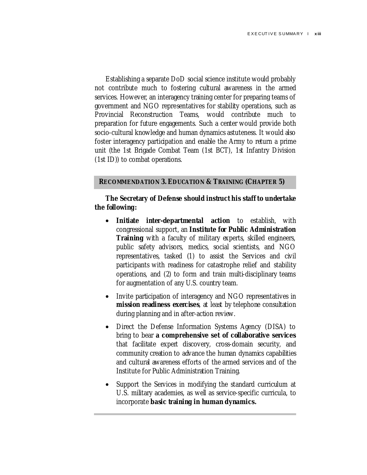Establishing a separate DoD social science institute would probably not contribute much to fostering cultural awareness in the armed services. However, an interagency training center for preparing teams of government and NGO representatives for stability operations, such as Provincial Reconstruction Teams, would contribute much to preparation for future engagements. Such a center would provide both socio-cultural knowledge and human dynamics astuteness. It would also foster interagency participation and enable the Army to return a prime unit (the 1st Brigade Combat Team (1st BCT), 1st Infantry Division (1st ID)) to combat operations.

#### **RECOMMENDATION 3. EDUCATION & TRAINING (CHAPTER 5)**

**The Secretary of Defense should instruct his staff to undertake the following:** 

- **Initiate inter-departmental action** to establish, with congressional support, an **Institute for Public Administration Training** with a faculty of military experts, skilled engineers, public safety advisors, medics, social scientists, and NGO representatives, tasked (1) to assist the Services and civil participants with readiness for catastrophe relief and stability operations, and (2) to form and train multi-disciplinary teams for augmentation of any U.S. country team.
- Invite participation of interagency and NGO representatives in **mission readiness exercises**, at least by telephone consultation during planning and in after-action review.
- Direct the Defense Information Systems Agency (DISA) to bring to bear **a comprehensive set of collaborative services**  that facilitate expert discovery, cross-domain security, and community creation to advance the human dynamics capabilities and cultural awareness efforts of the armed services and of the Institute for Public Administration Training.
- Support the Services in modifying the standard curriculum at U.S. military academies, as well as service-specific curricula, to incorporate **basic training in human dynamics.**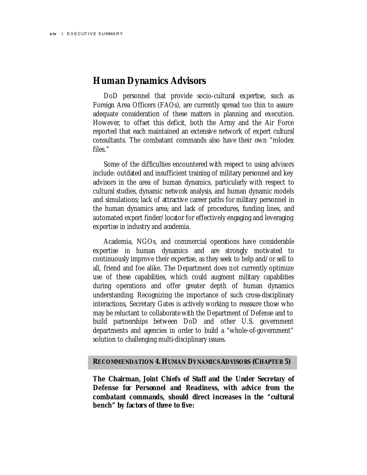### **Human Dynamics Advisors**

DoD personnel that provide socio-cultural expertise, such as Foreign Area Officers (FAOs), are currently spread too thin to assure adequate consideration of these matters in planning and execution. However, to offset this deficit, both the Army and the Air Force reported that each maintained an extensive network of expert cultural consultants. The combatant commands also have their own "rolodex files."

Some of the difficulties encountered with respect to using advisors include: outdated and insufficient training of military personnel and key advisors in the area of human dynamics, particularly with respect to cultural studies, dynamic network analysis, and human dynamic models and simulations; lack of attractive career paths for military personnel in the human dynamics area; and lack of procedures, funding lines, and automated expert finder/locator for effectively engaging and leveraging expertise in industry and academia.

Academia, NGOs, and commercial operations have considerable expertise in human dynamics and are strongly motivated to continuously improve their expertise, as they seek to help and/or sell to all, friend and foe alike. The Department does not currently optimize use of these capabilities, which could augment military capabilities during operations and offer greater depth of human dynamics understanding. Recognizing the importance of such cross-disciplinary interactions, Secretary Gates is actively working to reassure those who may be reluctant to collaborate with the Department of Defense and to build partnerships between DoD and other U.S. government departments and agencies in order to build a "whole-of-government" solution to challenging multi-disciplinary issues.

#### **RECOMMENDATION 4. HUMAN DYNAMICS ADVISORS (CHAPTER 5)**

**The Chairman, Joint Chiefs of Staff and the Under Secretary of Defense for Personnel and Readiness, with advice from the combatant commands, should direct increases in the "cultural bench" by factors of three to five:**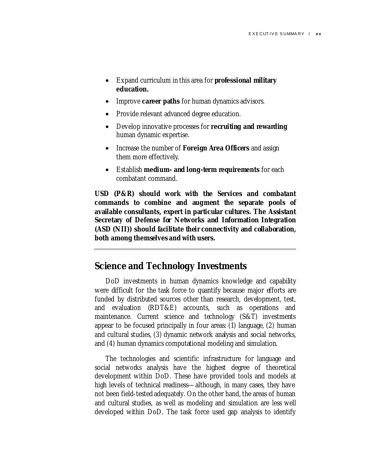- Expand curriculum in this area for **professional military education.**
- Improve **career paths** for human dynamics advisors.
- Provide relevant advanced degree education.
- Develop innovative processes for **recruiting and rewarding** human dynamic expertise.
- Increase the number of **Foreign Area Officers** and assign them more effectively.
- Establish **medium- and long-term requirements** for each combatant command.

**USD (P&R) should work with the Services and combatant commands to combine and augment the separate pools of available consultants, expert in particular cultures. The Assistant Secretary of Defense for Networks and Information Integration (ASD (NII)) should facilitate their connectivity and collaboration, both among themselves and with users.** 

# **Science and Technology Investments**

DoD investments in human dynamics knowledge and capability were difficult for the task force to quantify because major efforts are funded by distributed sources other than research, development, test, and evaluation (RDT&E) accounts, such as operations and maintenance. Current science and technology (S&T) investments appear to be focused principally in four areas: (1) language, (2) human and cultural studies, (3) dynamic network analysis and social networks, and (4) human dynamics computational modeling and simulation.

The technologies and scientific infrastructure for language and social networks analysis have the highest degree of theoretical development within DoD. These have provided tools and models at high levels of technical readiness—although, in many cases, they have not been field-tested adequately. On the other hand, the areas of human and cultural studies, as well as modeling and simulation are less well developed within DoD. The task force used gap analysis to identify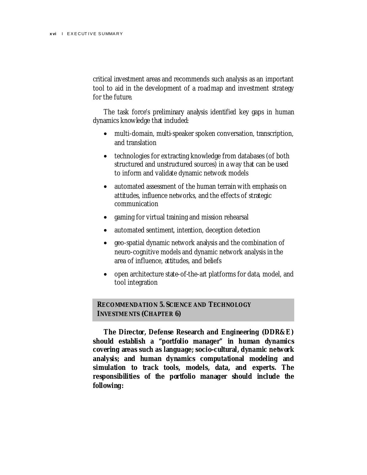critical investment areas and recommends such analysis as an important tool to aid in the development of a roadmap and investment strategy for the future.

The task force's preliminary analysis identified key gaps in human dynamics knowledge that included:

- multi-domain, multi-speaker spoken conversation, transcription, and translation
- technologies for extracting knowledge from databases (of both structured and unstructured sources) in a way that can be used to inform and validate dynamic network models
- automated assessment of the human terrain with emphasis on attitudes, influence networks, and the effects of strategic communication
- gaming for virtual training and mission rehearsal
- automated sentiment, intention, deception detection
- geo-spatial dynamic network analysis and the combination of neuro-cognitive models and dynamic network analysis in the area of influence, attitudes, and beliefs
- open architecture state-of-the-art platforms for data, model, and tool integration

#### **RECOMMENDATION 5. SCIENCE AND TECHNOLOGY INVESTMENTS (CHAPTER 6)**

**The Director, Defense Research and Engineering (DDR&E) should establish a "portfolio manager" in human dynamics covering areas such as language; socio-cultural, dynamic network analysis; and human dynamics computational modeling and simulation to track tools, models, data, and experts. The responsibilities of the portfolio manager should include the following:**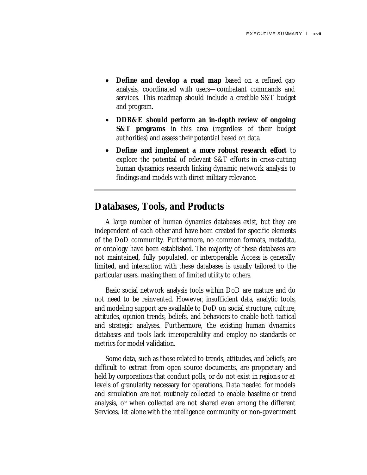- **Define and develop a road map** based on a refined gap analysis, coordinated with users—combatant commands and services. This roadmap should include a credible S&T budget and program.
- **DDR&E should perform an in-depth review of ongoing S&T programs** in this area (regardless of their budget authorities) and assess their potential based on data.
- **Define and implement a more robust research effort** to explore the potential of relevant S&T efforts in cross-cutting human dynamics research linking dynamic network analysis to findings and models with direct military relevance.

# **Databases, Tools, and Products**

A large number of human dynamics databases exist, but they are independent of each other and have been created for specific elements of the DoD community. Furthermore, no common formats, metadata, or ontology have been established. The majority of these databases are not maintained, fully populated, or interoperable. Access is generally limited, and interaction with these databases is usually tailored to the particular users, making them of limited utility to others.

Basic social network analysis tools within DoD are mature and do not need to be reinvented. However, insufficient data, analytic tools, and modeling support are available to DoD on social structure, culture, attitudes, opinion trends, beliefs, and behaviors to enable both tactical and strategic analyses. Furthermore, the existing human dynamics databases and tools lack interoperability and employ no standards or metrics for model validation.

Some data, such as those related to trends, attitudes, and beliefs, are difficult to extract from open source documents, are proprietary and held by corporations that conduct polls, or do not exist in regions or at levels of granularity necessary for operations. Data needed for models and simulation are not routinely collected to enable baseline or trend analysis, or when collected are not shared even among the different Services, let alone with the intelligence community or non-government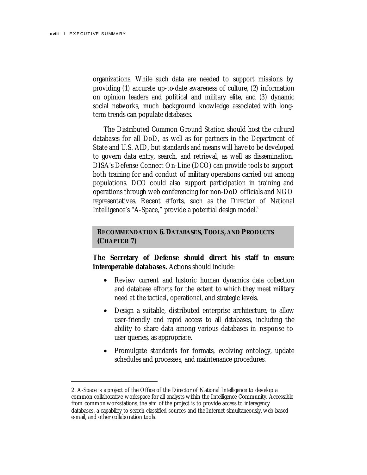l

organizations. While such data are needed to support missions by providing (1) accurate up-to-date awareness of culture, (2) information on opinion leaders and political and military elite, and (3) dynamic social networks, much background knowledge associated with longterm trends can populate databases.

The Distributed Common Ground Station should host the cultural databases for all DoD, as well as for partners in the Department of State and U.S. AID, but standards and means will have to be developed to govern data entry, search, and retrieval, as well as dissemination. DISA's Defense Connect On-Line (DCO) can provide tools to support both training for and conduct of military operations carried out among populations. DCO could also support participation in training and operations through web conferencing for non-DoD officials and NGO representatives. Recent efforts, such as the Director of National Intelligence's "A-Space," provide a potential design model.<sup>2</sup>

#### **RECOMMENDATION 6. DATABASES,TOOLS, AND PRODUCTS (CHAPTER 7)**

**The Secretary of Defense should direct his staff to ensure interoperable databases.** Actions should include:

- Review current and historic human dynamics data collection and database efforts for the extent to which they meet military need at the tactical, operational, and strategic levels.
- Design a suitable, distributed enterprise architecture, to allow user-friendly and rapid access to all databases, including the ability to share data among various databases in response to user queries, as appropriate.
- Promulgate standards for formats, evolving ontology, update schedules and processes, and maintenance procedures.

<sup>2.</sup> A-Space is a project of the Office of the Director of National Intelligence to develop a common collaborative w orkspace for all analysts w ithin the Intelligence Community. Accessible from common w orkstations, the aim of the project is to provide access to interagency databases, a capability to search classified sources and the Internet simultaneously, w eb-based e-mail, and other collaboration tools.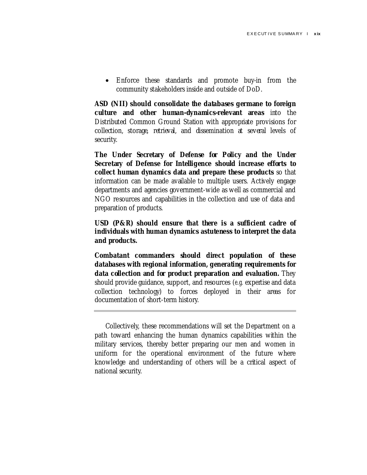• Enforce these standards and promote buy-in from the community stakeholders inside and outside of DoD.

**ASD (NII) should consolidate the databases germane to foreign culture and other human-dynamics-relevant areas** into the Distributed Common Ground Station with appropriate provisions for collection, storage, retrieval, and dissemination at several levels of security.

**The Under Secretary of Defense for Policy and the Under Secretary of Defense for Intelligence should increase efforts to collect human dynamics data and prepare these products** so that information can be made available to multiple users. Actively engage departments and agencies government-wide as well as commercial and NGO resources and capabilities in the collection and use of data and preparation of products.

**USD (P&R) should ensure that there is a sufficient cadre of individuals with human dynamics astuteness to interpret the data and products.**

**Combatant commanders should direct population of these databases with regional information, generating requirements for data collection and for product preparation and evaluation.** They should provide guidance, support, and resources (*e.g.* expertise and data collection technology) to forces deployed in their areas for documentation of short-term history.

Collectively, these recommendations will set the Department on a path toward enhancing the human dynamics capabilities within the military services, thereby better preparing our men and women in uniform for the operational environment of the future where knowledge and understanding of others will be a critical aspect of national security.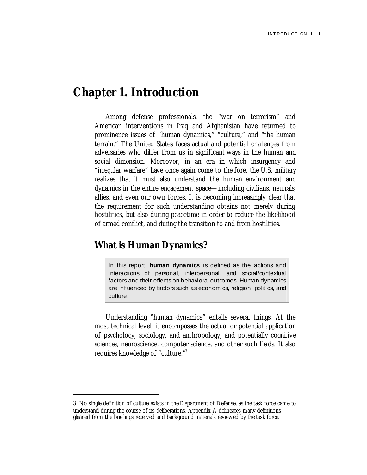# **Chapter 1. Introduction**

Among defense professionals, the "war on terrorism" and American interventions in Iraq and Afghanistan have returned to prominence issues of "human dynamics," "culture," and "the human terrain." The United States faces actual and potential challenges from adversaries who differ from us in significant ways in the human and social dimension. Moreover, in an era in which insurgency and "irregular warfare" have once again come to the fore, the U.S. military realizes that it must also understand the human environment and dynamics in the entire engagement space—including civilians, neutrals, allies, and even our own forces. It is becoming increasingly clear that the requirement for such understanding obtains not merely during hostilities, but also during peacetime in order to reduce the likelihood of armed conflict, and during the transition to and from hostilities.

# **What is Human Dynamics?**

l

In this report, **human dynamics** is defined as the actions and interactions of personal, interpersonal, and social/contextual factors and their effects on behavioral outcomes. Human dynamics are influenced by factors such as economics, religion, politics, and culture.

Understanding "human dynamics" entails several things. At the most technical level, it encompasses the actual or potential application of psychology, sociology, and anthropology, and potentially cognitive sciences, neuroscience, computer science, and other such fields. It also requires knowledge of "culture."3

<sup>3.</sup> No single definition of culture exists in the Department of Defense, as the task force came to understand during the course of its deliberations. Appendix A delineates many definitions gleaned from the briefings received and background materials review ed by the task force.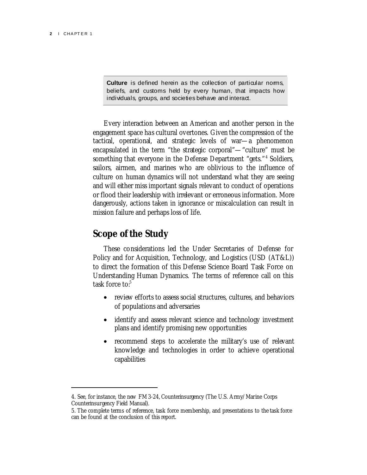$\overline{a}$ 

**Culture** is defined herein as the collection of particular norms, beliefs, and customs held by every human, that impacts how individuals, groups, and societies behave and interact.

Every interaction between an American and another person in the engagement space has cultural overtones. Given the compression of the tactical, operational, and strategic levels of war—a phenomenon encapsulated in the term "the strategic corporal"—"culture" must be something that everyone in the Defense Department "gets."<sup>4</sup> Soldiers, sailors, airmen, and marines who are oblivious to the influence of culture on human dynamics will not understand what they are seeing and will either miss important signals relevant to conduct of operations or flood their leadership with irrelevant or erroneous information. More dangerously, actions taken in ignorance or miscalculation can result in mission failure and perhaps loss of life.

# **Scope of the Study**

These considerations led the Under Secretaries of Defense for Policy and for Acquisition, Technology, and Logistics (USD (AT&L)) to direct the formation of this Defense Science Board Task Force on Understanding Human Dynamics. The terms of reference call on this task force to:<sup>5</sup>

- review efforts to assess social structures, cultures, and behaviors of populations and adversaries
- identify and assess relevant science and technology investment plans and identify promising new opportunities
- recommend steps to accelerate the military's use of relevant knowledge and technologies in order to achieve operational capabilities

<sup>4.</sup> See, for instance, the new FM 3-24, Counterinsurgency (The U.S. Army/Marine Corps Counterinsurgency Field Manual).

<sup>5.</sup> The complete terms of reference, task force membership, and presentations to the task force can be found at the conclusion of this report.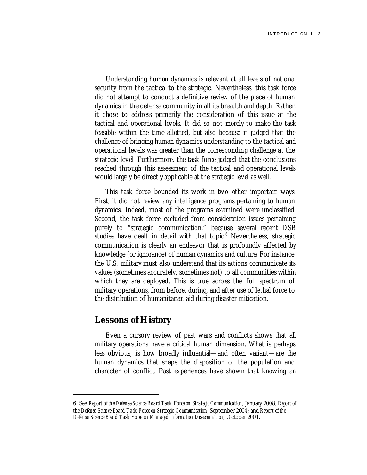Understanding human dynamics is relevant at all levels of national security from the tactical to the strategic. Nevertheless, this task force did not attempt to conduct a definitive review of the place of human dynamics in the defense community in all its breadth and depth. Rather, it chose to address primarily the consideration of this issue at the tactical and operational levels. It did so not merely to make the task feasible within the time allotted, but also because it judged that the challenge of bringing human dynamics understanding to the tactical and operational levels was greater than the corresponding challenge at the strategic level. Furthermore, the task force judged that the conclusions reached through this assessment of the tactical and operational levels would largely be directly applicable at the strategic level as well.

This task force bounded its work in two other important ways. First, it did not review any intelligence programs pertaining to human dynamics. Indeed, most of the programs examined were unclassified. Second, the task force excluded from consideration issues pertaining purely to "strategic communication," because several recent DSB studies have dealt in detail with that topic.<sup>6</sup> Nevertheless, strategic communication is clearly an endeavor that is profoundly affected by knowledge (or ignorance) of human dynamics and culture. For instance, the U.S. military must also understand that its actions communicate its values (sometimes accurately, sometimes not) to all communities within which they are deployed. This is true across the full spectrum of military operations, from before, during, and after use of lethal force to the distribution of humanitarian aid during disaster mitigation.

## **Lessons of History**

l

Even a cursory review of past wars and conflicts shows that all military operations have a critical human dimension. What is perhaps less obvious, is how broadly influential—and often variant—are the human dynamics that shape the disposition of the population and character of conflict. Past experiences have shown that knowing an

<sup>6.</sup> See *Report of the Defense Science Board Task Force on Strategic Communication*, January 2008; *Report of the Defense Science Board Task Force on Strategic Communication,* September 2004; and *Report of the Defense Science Board Task Force on Managed Information Dissemination,* October 2001.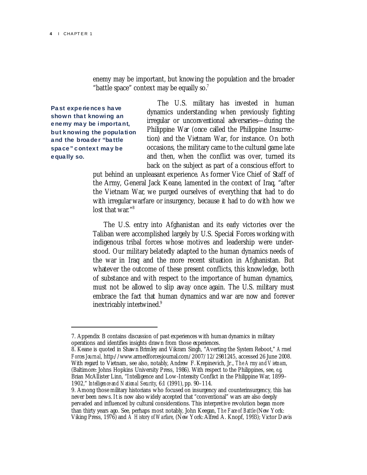l

enemy may be important, but knowing the population and the broader "battle space" context may be equally so. $7$ 

Past experiences have shown that knowing an enemy may be important, but knowing the population and the broader "battle space" context may be equally so.

The U.S. military has invested in human dynamics understanding when previously fighting irregular or unconventional adversaries—during the Philippine War (once called the Philippine Insurrection) and the Vietnam War, for instance. On both occasions, the military came to the cultural game late and then, when the conflict was over, turned its back on the subject as part of a conscious effort to

put behind an unpleasant experience. As former Vice Chief of Staff of the Army, General Jack Keane, lamented in the context of Iraq, "after the Vietnam War, we purged ourselves of everything that had to do with irregular warfare or insurgency, because it had to do with how we lost that war."8

The U.S. entry into Afghanistan and its early victories over the Taliban were accomplished largely by U.S. Special Forces working with indigenous tribal forces whose motives and leadership were understood. Our military belatedly adapted to the human dynamics needs of the war in Iraq and the more recent situation in Afghanistan. But whatever the outcome of these present conflicts, this knowledge, both of substance and with respect to the importance of human dynamics, must not be allowed to slip away once again. The U.S. military must embrace the fact that human dynamics and war are now and forever inextricably intertwined.<sup>9</sup>

<sup>7.</sup> Appendix B contains discussion of past experiences w ith human dynamics in military operations and identifies insights draw n from those experiences.

<sup>8.</sup> Keane is quoted in Shaw n Brimley and Vikram Singh, "Averting the System Reboot," *Armed Forces Journal*, http://www.armedforcesjournal.com/2007/12/2981245, accessed 26 June 2008. With regard to Vietnam, see also, notably, Andrew F. Krepinevich, Jr., *The Army and Vietnam*, (Baltimore: Johns Hopkins University Press, 1986). With respect to the Philippines, see, *e.g*. Brian McAllister Linn, "Intelligence and Low -Intensity Conflict in the Philippine War, 1899– 1902," *Intelligence and National Security*, 6:1 (1991), pp. 90–114.

<sup>9.</sup> Among those military historians w ho focused on insurgency and counterinsurgency, this has never been new s. It is now also w idely accepted that "conventional" w ars are also deeply pervaded and influenced by cultural considerations. This interpretive revolution began more than thirty years ago. See, perhaps most notably, John Keegan, *The Face of Battle* (New York: Viking Press, 1976) and *A History of Warfare*, (New York: Alfred A. Knopf, 1993); Victor Davis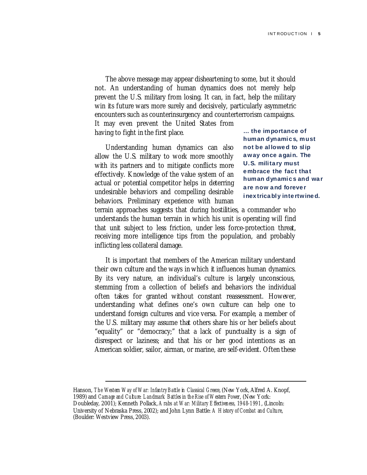The above message may appear disheartening to some, but it should not. An understanding of human dynamics does not merely help prevent the U.S. military from losing. It can, in fact, help the military win its future wars more surely and decisively, particularly asymmetric encounters such as counterinsurgency and counterterrorism campaigns. It may even prevent the United States from having to fight in the first place.

Understanding human dynamics can also allow the U.S. military to work more smoothly with its partners and to mitigate conflicts more effectively. Knowledge of the value system of an actual or potential competitor helps in deterring undesirable behaviors and compelling desirable behaviors. Preliminary experience with human

… the importance of human dynamics, must not be allowed to slip away once again. The U.S. military must embrace the fact that human dynamics and war are now and forever inextricably intertwined.

terrain approaches suggests that during hostilities, a commander who understands the human terrain in which his unit is operating will find that unit subject to less friction, under less force-protection threat, receiving more intelligence tips from the population, and probably inflicting less collateral damage.

It is important that members of the American military understand their own culture and the ways in which it influences human dynamics. By its very nature, an individual's culture is largely unconscious, stemming from a collection of beliefs and behaviors the individual often takes for granted without constant reassessment. However, understanding what defines one's own culture can help one to understand foreign cultures and vice versa. For example, a member of the U.S. military may assume that others share his or her beliefs about "equality" or "democracy;" that a lack of punctuality is a sign of disrespect or laziness; and that his or her good intentions as an American soldier, sailor, airman, or marine, are self-evident. Often these

Hanson, *The Western Way of War: Infantry Battle in Classical Greece*, (New York, Alfred A. Knopf, 1989) and *Carnage and Culture: Landmark Battles in the Rise of Western Power*, (New York: Doubleday, 2001); Kenneth Pollack, *Arabs at War: Military Effectiveness, 1948-1991*, (Lincoln: University of Nebraska Press, 2002); and John Lynn Battle: *A History of Combat and Culture*, (Boulder: Westview Press, 2003).

l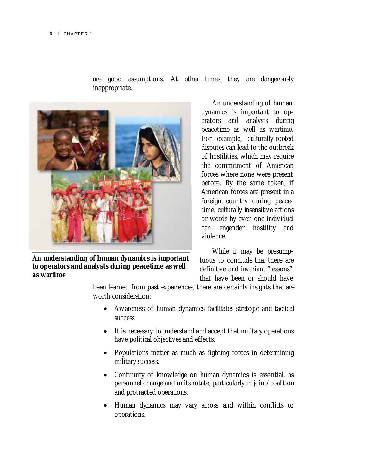are good assumptions. At other times, they are dangerously inappropriate.



**An understanding of human dynamics is important to operators and analysts during peacetime as well as wartime** 

An understanding of human dynamics is important to operators and analysts during peacetime as well as wartime. For example, culturally-rooted disputes can lead to the outbreak of hostilities, which may require the commitment of American forces where none were present before. By the same token, if American forces are present in a foreign country during peacetime, culturally insensitive actions or words by even one individual can engender hostility and violence.

While it may be presumptuous to conclude that there are definitive and invariant "lessons" that have been or should have

been learned from past experiences, there are certainly insights that are worth consideration:

- Awareness of human dynamics facilitates strategic and tactical success.
- It is necessary to understand and accept that military operations have political objectives and effects.
- Populations matter as much as fighting forces in determining military success.
- Continuity of knowledge on human dynamics is essential, as personnel change and units rotate, particularly in joint/coalition and protracted operations.
- Human dynamics may vary across and within conflicts or operations.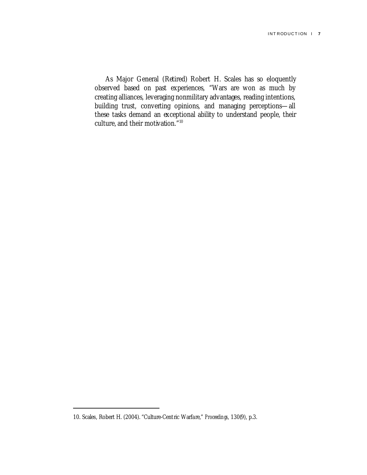As Major General (Retired) Robert H. Scales has so eloquently observed based on past experiences, "Wars are won as much by creating alliances, leveraging nonmilitary advantages, reading intentions, building trust, converting opinions, and managing perceptions—all these tasks demand an exceptional ability to understand people, their culture, and their motivation."10

l

<sup>10.</sup> Scales, Robert H. (2004). "Culture-Centric Warfare," *Proceedings*, 130(9), p.3.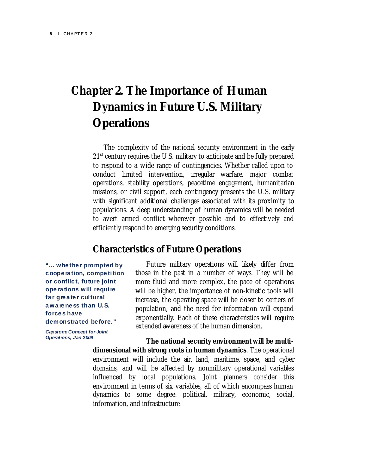# **Chapter 2. The Importance of Human Dynamics in Future U.S. Military Operations**

The complexity of the national security environment in the early  $21<sup>st</sup>$  century requires the U.S. military to anticipate and be fully prepared to respond to a wide range of contingencies. Whether called upon to conduct limited intervention, irregular warfare, major combat operations, stability operations, peacetime engagement, humanitarian missions, or civil support, each contingency presents the U.S. military with significant additional challenges associated with its proximity to populations. A deep understanding of human dynamics will be needed to avert armed conflict wherever possible and to effectively and efficiently respond to emerging security conditions.

# **Characteristics of Future Operations**

"… whether prompted by cooperation, competition or conflict, future joint operations will require far greater cultural awareness than U.S. forces have demonstrated before."

*Capstone Concept for Joint Operations, Jan 2009* 

Future military operations will likely differ from those in the past in a number of ways. They will be more fluid and more complex, the pace of operations will be higher, the importance of non-kinetic tools will increase, the operating space will be closer to centers of population, and the need for information will expand exponentially. Each of these characteristics will require extended awareness of the human dimension.

**The national security environment will be multidimensional with strong roots in human dynamics**. The operational environment will include the air, land, maritime, space, and cyber domains, and will be affected by nonmilitary operational variables influenced by local populations. Joint planners consider this environment in terms of six variables, all of which encompass human dynamics to some degree: political, military, economic, social, information, and infrastructure.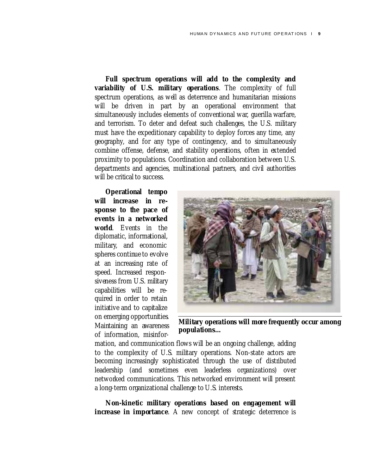**Full spectrum operations will add to the complexity and variability of U.S. military operations**. The complexity of full spectrum operations, as well as deterrence and humanitarian missions will be driven in part by an operational environment that simultaneously includes elements of conventional war, guerilla warfare, and terrorism. To deter and defeat such challenges, the U.S. military must have the expeditionary capability to deploy forces any time, any geography, and for any type of contingency, and to simultaneously combine offense, defense, and stability operations, often in extended proximity to populations. Coordination and collaboration between U.S. departments and agencies, multinational partners, and civil authorities will be critical to success.

**Operational tempo will increase in response to the pace of events in a networked world**. Events in the diplomatic, informational, military, and economic spheres continue to evolve at an increasing rate of speed. Increased responsiveness from U.S. military capabilities will be required in order to retain initiative and to capitalize on emerging opportunities. Maintaining an awareness of information, misinfor-



**Military operations will more frequently occur among populations…** 

mation, and communication flows will be an ongoing challenge, adding to the complexity of U.S. military operations. Non-state actors are becoming increasingly sophisticated through the use of distributed leadership (and sometimes even leaderless organizations) over networked communications. This networked environment will present a long-term organizational challenge to U.S. interests.

**Non-kinetic military operations based on engagement will increase in importance**. A new concept of strategic deterrence is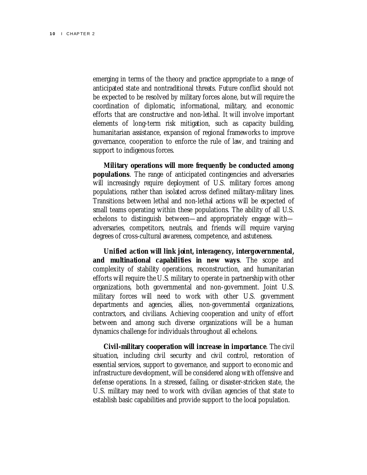emerging in terms of the theory and practice appropriate to a range of anticipated state and nontraditional threats. Future conflict should not be expected to be resolved by military forces alone, but will require the coordination of diplomatic, informational, military, and economic efforts that are constructive and non-lethal. It will involve important elements of long-term risk mitigation, such as capacity building, humanitarian assistance, expansion of regional frameworks to improve governance, cooperation to enforce the rule of law, and training and support to indigenous forces.

**Military operations will more frequently be conducted among populations**. The range of anticipated contingencies and adversaries will increasingly require deployment of U.S. military forces among populations, rather than isolated across defined military-military lines. Transitions between lethal and non-lethal actions will be expected of small teams operating within these populations. The ability of all U.S. echelons to distinguish between—and appropriately engage with adversaries, competitors, neutrals, and friends will require varying degrees of cross-cultural awareness, competence, and astuteness.

**Unified action will link joint, interagency, intergovernmental, and multinational capabilities in new ways**. The scope and complexity of stability operations, reconstruction, and humanitarian efforts will require the U.S. military to operate in partnership with other organizations, both governmental and non-government. Joint U.S. military forces will need to work with other U.S. government departments and agencies, allies, non-governmental organizations, contractors, and civilians. Achieving cooperation and unity of effort between and among such diverse organizations will be a human dynamics challenge for individuals throughout all echelons.

**Civil-military cooperation will increase in importance**. The civil situation, including civil security and civil control, restoration of essential services, support to governance, and support to economic and infrastructure development, will be considered along with offensive and defense operations. In a stressed, failing, or disaster-stricken state, the U.S. military may need to work with civilian agencies of that state to establish basic capabilities and provide support to the local population.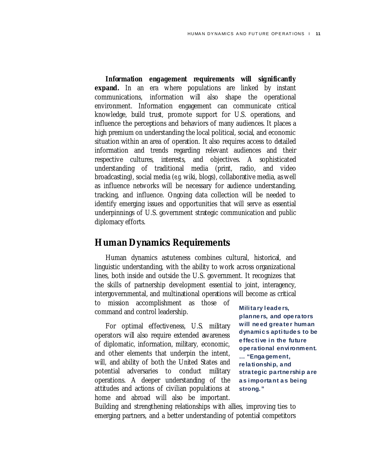**Information engagement requirements will significantly expand.** In an era where populations are linked by instant communications, information will also shape the operational environment. Information engagement can communicate critical knowledge, build trust, promote support for U.S. operations, and influence the perceptions and behaviors of many audiences. It places a high premium on understanding the local political, social, and economic situation within an area of operation. It also requires access to detailed information and trends regarding relevant audiences and their respective cultures, interests, and objectives. A sophisticated understanding of traditional media (print, radio, and video broadcasting), social media (*e.g.* wiki, blogs), collaborative media, as well as influence networks will be necessary for audience understanding, tracking, and influence. Ongoing data collection will be needed to identify emerging issues and opportunities that will serve as essential underpinnings of U.S. government strategic communication and public diplomacy efforts.

## **Human Dynamics Requirements**

Human dynamics astuteness combines cultural, historical, and linguistic understanding, with the ability to work across organizational lines, both inside and outside the U.S. government. It recognizes that the skills of partnership development essential to joint, interagency, intergovernmental, and multinational operations will become as critical

to mission accomplishment as those of command and control leadership.

For optimal effectiveness, U.S. military operators will also require extended awareness of diplomatic, information, military, economic, and other elements that underpin the intent, will, and ability of both the United States and potential adversaries to conduct military operations. A deeper understanding of the attitudes and actions of civilian populations at home and abroad will also be important.

Military leaders,

planners, and operators will need greater human dynamics aptitudes to be effective in the future operational environment. … "Engagement, relationship, and strategic partnership are as important as being strong."

Building and strengthening relationships with allies, improving ties to emerging partners, and a better understanding of potential competitors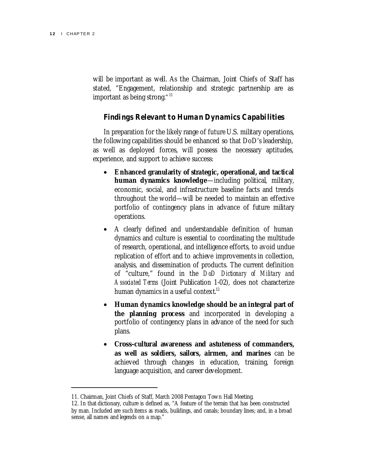$\overline{a}$ 

will be important as well. As the Chairman, Joint Chiefs of Staff has stated, "Engagement, relationship and strategic partnership are as important as being strong." <sup>11</sup>

#### *Findings Relevant to Human Dynamics Capabilities*

In preparation for the likely range of future U.S. military operations, the following capabilities should be enhanced so that DoD's leadership, as well as deployed forces, will possess the necessary aptitudes, experience, and support to achieve success:

- **Enhanced granularity of strategic, operational, and tactical human dynamics knowledge**—including political, military, economic, social, and infrastructure baseline facts and trends throughout the world—will be needed to maintain an effective portfolio of contingency plans in advance of future military operations.
- A clearly defined and understandable definition of human dynamics and culture is essential to coordinating the multitude of research, operational, and intelligence efforts, to avoid undue replication of effort and to achieve improvements in collection, analysis, and dissemination of products. The current definition of "culture," found in the *DoD Dictionary of Military and Associated Terms* (Joint Publication 1-02), does not characterize human dynamics in a useful context. $12$
- **Human dynamics knowledge should be an integral part of the planning process** and incorporated in developing a portfolio of contingency plans in advance of the need for such plans.
- **Cross-cultural awareness and astuteness of commanders, as well as soldiers, sailors, airmen, and marines** can be achieved through changes in education, training, foreign language acquisition, and career development.

<sup>11.</sup> Chairman, Joint Chiefs of Staff, March 2008 Pentagon Tow n Hall Meeting.

<sup>12.</sup> In that dictionary, culture is defined as, "A feature of the terrain that has been constructed by man. Included are such items as roads, buildings, and canals; boundary lines; and, in a broad sense, all names and legends on a map."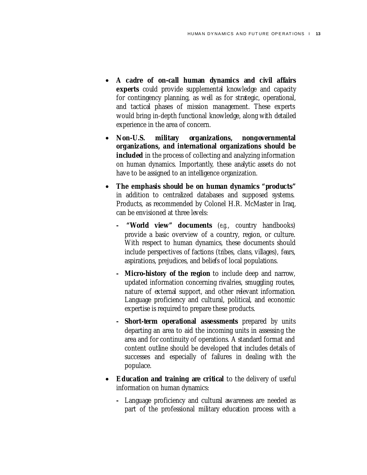- **A cadre of on-call human dynamics and civil affairs experts** could provide supplemental knowledge and capacity for contingency planning, as well as for strategic, operational, and tactical phases of mission management. These experts would bring in-depth functional knowledge, along with detailed experience in the area of concern.
- **Non-U.S. military organizations, nongovernmental organizations, and international organizations should be included** in the process of collecting and analyzing information on human dynamics. Importantly, these analytic assets do not have to be assigned to an intelligence organization.
- **The emphasis should be on human dynamics "products"** in addition to centralized databases and supposed systems. Products, as recommended by Colonel H.R. McMaster in Iraq, can be envisioned at three levels:
	- - **"World view" documents** (*e.g.*, country handbooks) provide a basic overview of a country, region, or culture. With respect to human dynamics, these documents should include perspectives of factions (tribes, clans, villages), fears, aspirations, prejudices, and beliefs of local populations.
	- **Micro-history of the region** to include deep and narrow, updated information concerning rivalries, smuggling routes, nature of external support, and other relevant information. Language proficiency and cultural, political, and economic expertise is required to prepare these products.
	- **Short-term operational assessments** prepared by units departing an area to aid the incoming units in assessing the area and for continuity of operations. A standard format and content outline should be developed that includes details of successes and especially of failures in dealing with the populace.
- **Education and training are critical** to the delivery of useful information on human dynamics:
	- Language proficiency and cultural awareness are needed as part of the professional military education process with a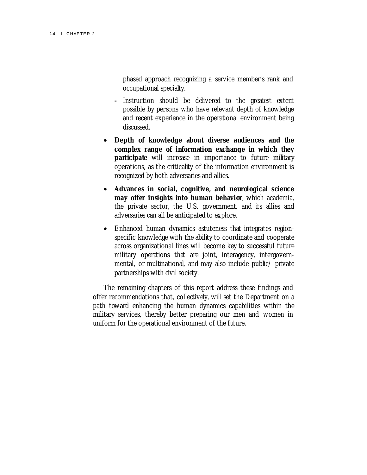phased approach recognizing a service member's rank and occupational specialty.

- Instruction should be delivered to the greatest extent possible by persons who have relevant depth of knowledge and recent experience in the operational environment being discussed.
- **Depth of knowledge about diverse audiences and the complex range of information exchange in which they participate** will increase in importance to future military operations, as the criticality of the information environment is recognized by both adversaries and allies.
- **Advances in social, cognitive, and neurological science may offer insights into human behavior**, which academia, the private sector, the U.S. government, and its allies and adversaries can all be anticipated to explore.
- Enhanced human dynamics astuteness that integrates regionspecific knowledge with the ability to coordinate and cooperate across organizational lines will become key to successful future military operations that are joint, interagency, intergovernmental, or multinational, and may also include public/ private partnerships with civil society.

The remaining chapters of this report address these findings and offer recommendations that, collectively, will set the Department on a path toward enhancing the human dynamics capabilities within the military services, thereby better preparing our men and women in uniform for the operational environment of the future.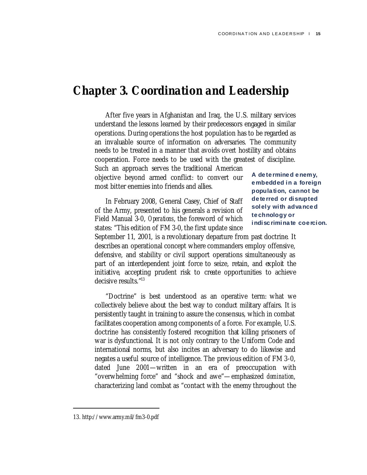# **Chapter 3. Coordination and Leadership**

After five years in Afghanistan and Iraq, the U.S. military services understand the lessons learned by their predecessors engaged in similar operations. During operations the host population has to be regarded as an invaluable source of information on adversaries. The community needs to be treated in a manner that avoids overt hostility and obtains cooperation. Force needs to be used with the greatest of discipline.

Such an approach serves the traditional American objective beyond armed conflict: to convert our most bitter enemies into friends and allies.

In February 2008, General Casey, Chief of Staff of the Army, presented to his generals a revision of Field Manual 3-0, *Operations*, the foreword of which states: "This edition of FM 3-0, the first update since

A determined enemy, embedded in a foreign population, cannot be deterred or disrupted solely with advanced technology or indiscriminate coercion.

September 11, 2001, is a revolutionary departure from past doctrine. It describes an operational concept where commanders employ offensive, defensive, and stability or civil support operations simultaneously as part of an interdependent joint force to seize, retain, and exploit the initiative, accepting prudent risk to create opportunities to achieve decisive results."13

"Doctrine" is best understood as an operative term: what we collectively believe about the best way to conduct military affairs. It is persistently taught in training to assure the consensus, which in combat facilitates cooperation among components of a force. For example, U.S. doctrine has consistently fostered recognition that killing prisoners of war is dysfunctional. It is not only contrary to the Uniform Code and international norms, but also incites an adversary to do likewise and negates a useful source of intelligence. The previous edition of FM 3-0, dated June 2001—written in an era of preoccupation with "overwhelming force" and "shock and awe"—emphasized *domination*, characterizing land combat as "contact with the enemy throughout the

l

<sup>13.</sup> http://www.army.mil/fm3-0.pdf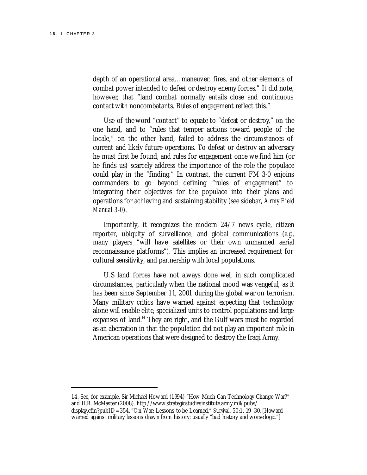$\overline{a}$ 

depth of an operational area…maneuver, fires, and other elements of combat power intended to defeat or destroy enemy forces." It did note, however, that "land combat normally entails close and continuous contact with noncombatants. Rules of engagement reflect this."

Use of the word "contact" to equate to "defeat or destroy," on the one hand, and to "rules that temper actions toward people of the locale," on the other hand, failed to address the circumstances of current and likely future operations. To defeat or destroy an adversary he must first be found, and rules for engagement once we find him (or he finds us) scarcely address the importance of the role the populace could play in the "finding." In contrast, the current FM 3-0 enjoins commanders to go beyond defining "rules of engagement" to integrating their objectives for the populace into their plans and operations for achieving and sustaining stability (see sidebar, *Army Field Manual 3-0*).

Importantly, it recognizes the modern 24/7 news cycle, citizen reporter, ubiquity of surveillance, and global communications (*e.g.*, many players "will have satellites or their own unmanned aerial reconnaissance platforms"). This implies an increased requirement for cultural sensitivity, and partnership with local populations.

U.S land forces have not always done well in such complicated circumstances, particularly when the national mood was vengeful, as it has been since September 11, 2001 during the global war on terrorism. Many military critics have warned against expecting that technology alone will enable elite, specialized units to control populations and large expanses of land.<sup>14</sup> They are right, and the Gulf wars must be regarded as an aberration in that the population did not play an important role in American operations that were designed to destroy the Iraqi Army.

14. See, for example, Sir Michael How ard (1994) "How Much Can Technology Change War?" and H.R. McMaster (2008). http://www.strategicstudiesinstitute.army.mil/pubs/ display.cfm?pubID=354. "On War: Lessons to be Learned," *Survival*, 50:1, 19–30. [How ard w arned against military lessons draw n from history: usually "bad history and w orse logic."]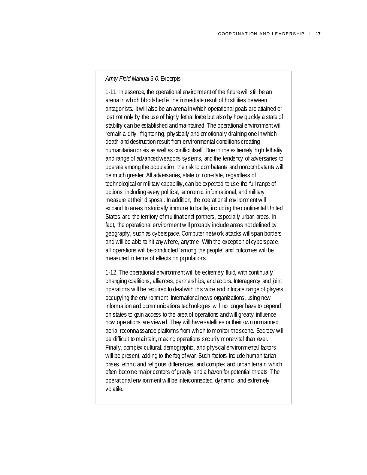#### *Army Field Manual 3-0*. Excerpts

1-11. In essence, the operational env ironment of the future will still be an arena in which bloodshed is the immediate result of hostilities between antagonists. It will also be an arena in which operational goals are attained or lost not only by the use of highly lethal force but also by how quickly a state of stability can be established and maintained. The operational environment will remain a dirty , frightening, physically and emotionally draining one in which death and destruction result from environmental conditions creating humanitarian crisis as well as conflict itself. Due to the ex tremely high lethality and range of advanced weapons systems, and the tendency of adversaries to operate among the population, the risk to combatants and noncombatants will be much greater. All adversaries, state or non-state, regardless of technological or military capability, can be expected to use the full range of options, including every political, economic, informational, and military measure at their disposal. In addition, the operational env ironment will ex pand to areas historically immune to battle, including the continental United States and the territory of multinational partners, especially urban areas. In fact, the operational environment will probably include areas not defined by geography, such as cyberspace. Computer netw ork attacks will span borders and will be able to hit anywhere, anytime. With the exception of cyberspace, all operations will be conducted "among the people" and outcomes will be measured in terms of effects on populations.

1-12. The operational environment will be ex tremely fluid, with continually changing coalitions, alliances, partnerships, and actors. Interagency and joint operations will be required to deal with this wide and intricate range of players occupying the environment. International news organizations, using new information and communications technologies, w ill no longer have to depend on states to gain access to the area of operations and will greatly influence how operations are viewed. They will have satellites or their own unmanned aerial reconnaissance platforms from which to monitor the scene. Secrecy will be difficult to maintain, making operations security more vital than ever. Finally, complex cultural, demographic, and physical environmental factors will be present, adding to the fog of war. Such factors include humanitarian crises, ethnic and religious differences, and complex and urban terrain, which often become major centers of gravity and a haven for potential threats. The operational environment will be interconnected, dynamic, and extremely volatile.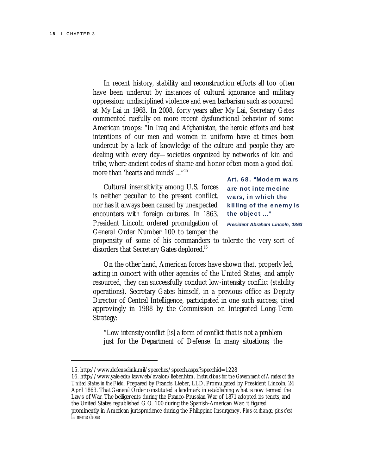$\overline{a}$ 

In recent history, stability and reconstruction efforts all too often have been undercut by instances of cultural ignorance and military oppression: undisciplined violence and even barbarism such as occurred at My Lai in 1968. In 2008, forty years after My Lai, Secretary Gates commented ruefully on more recent dysfunctional behavior of some American troops: "In Iraq and Afghanistan, the heroic efforts and best intentions of our men and women in uniform have at times been undercut by a lack of knowledge of the culture and people they are dealing with every day—societies organized by networks of kin and tribe, where ancient codes of shame and honor often mean a good deal more than 'hearts and minds' ..."<sup>15</sup>

Cultural insensitivity among U.S. forces is neither peculiar to the present conflict, nor has it always been caused by unexpected encounters with foreign cultures. In 1863, President Lincoln ordered promulgation of General Order Number 100 to temper the

Art. 68. "Modern wars are not internecine wars, in which the killing of the enemy is the object …"

*President Abraham Lincoln, 1863*

propensity of some of his commanders to tolerate the very sort of disorders that Secretary Gates deplored.<sup>16</sup>

On the other hand, American forces have shown that, properly led, acting in concert with other agencies of the United States, and amply resourced, they can successfully conduct low-intensity conflict (stability operations). Secretary Gates himself, in a previous office as Deputy Director of Central Intelligence, participated in one such success, cited approvingly in 1988 by the Commission on Integrated Long-Term Strategy:

"Low intensity conflict [is] a form of conflict that is not a problem just for the Department of Defense. In many situations, the

<sup>15.</sup> http://www.defenselink.mil/speeches/speech.aspx?speechid=1228

<sup>16.</sup> http://www.yale.edu/laww eb/avalon/lieber.htm. *Instructions for the Government of Armies of the United States in the Field*. Prepared by Francis Lieber, LLD. Promulgated by President Lincoln, 24 April 1863. That General Order constituted a landmark in establishing w hat is now termed the Law s of War. The belligerents during the Franco-Prussian War of 1871 adopted its tenets, and the United States republished G.O. 100 during the Spanish-American War; it figured prominently in American jurisprudence during the Philippine Insurgency. *Plus ca change, plus c'est la meme chose.*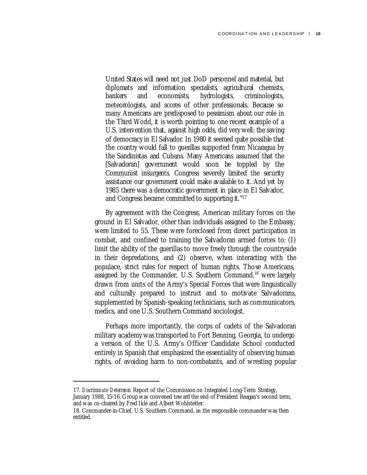United States will need not just DoD personnel and material, but diplomats and information specialists, agricultural chemists, bankers and economists, hydrologists, criminologists, meteorologists, and scores of other professionals. Because so many Americans are predisposed to pessimism about our role in the Third World, it is worth pointing to one recent example of a U.S. intervention that, against high odds, did very well: the saving of democracy in El Salvador. In 1980 it seemed quite possible that the country would fall to guerillas supported from Nicaragua by the Sandinistas and Cubans. Many Americans assumed that the [Salvadoran] government would soon be toppled by the Communist insurgents. Congress severely limited the security assistance our government could make available to it. And yet by 1985 there was a democratic government in place in El Salvador, and Congress became committed to supporting it."17

By agreement with the Congress, American military forces on the ground in El Salvador, other than individuals assigned to the Embassy, were limited to 55. These were foreclosed from direct participation in combat, and confined to training the Salvadoran armed forces to: (1) limit the ability of the guerillas to move freely through the countryside in their depredations, and (2) observe, when interacting with the populace, strict rules for respect of human rights. Those Americans, assigned by the Commander, U.S. Southern Command,<sup>18</sup> were largely drawn from units of the Army's Special Forces that were linguistically and culturally prepared to instruct and to motivate Salvadorans, supplemented by Spanish-speaking technicians, such as communicators, medics, and one U.S. Southern Command sociologist.

Perhaps more importantly, the corps of cadets of the Salvadoran military academy was transported to Fort Benning, Georgia, to undergo a version of the U.S. Army's Officer Candidate School conducted entirely in Spanish that emphasized the essentiality of observing human rights, of avoiding harm to non-combatants, and of wresting popular

<sup>17.</sup> *Discriminate Deterrence*. Report of the Commission on Integrated Long-Term Strategy,

January 1988, 15-16. Group w as convened tow ard the end of President Reagan's second term, and w as co-chaired by Fred Iklé and Albert Wohlstetter.

<sup>18.</sup> Commander-in-Chief, U.S. Southern Command, as the responsible commander w as then entitled.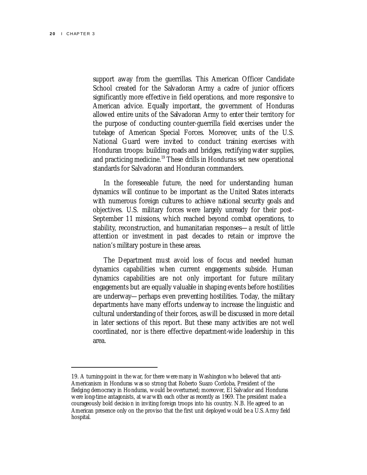support away from the guerrillas. This American Officer Candidate School created for the Salvadoran Army a cadre of junior officers significantly more effective in field operations, and more responsive to American advice. Equally important, the government of Honduras allowed entire units of the Salvadoran Army to enter their territory for the purpose of conducting counter-guerrilla field exercises under the tutelage of American Special Forces. Moreover, units of the U.S. National Guard were invited to conduct training exercises with Honduran troops: building roads and bridges, rectifying water supplies, and practicing medicine.19 These drills in Honduras set new operational standards for Salvadoran and Honduran commanders.

In the foreseeable future, the need for understanding human dynamics will continue to be important as the United States interacts with numerous foreign cultures to achieve national security goals and objectives. U.S. military forces were largely unready for their post-September 11 missions, which reached beyond combat operations, to stability, reconstruction, and humanitarian responses—a result of little attention or investment in past decades to retain or improve the nation's military posture in these areas.

The Department must avoid loss of focus and needed human dynamics capabilities when current engagements subside. Human dynamics capabilities are not only important for future military engagements but are equally valuable in shaping events before hostilities are underway—perhaps even preventing hostilities. Today, the military departments have many efforts underway to increase the linguistic and cultural understanding of their forces, as will be discussed in more detail in later sections of this report. But these many activities are not well coordinated, nor is there effective department-wide leadership in this area.

<sup>19.</sup> A turning-point in the w ar, for there w ere many in Washington w ho believed that anti-Americanism in Honduras w as so strong that Roberto Suazo Cordoba, President of the fledging democracy in Honduras, w ould be overturned; moreover, El Salvador and Honduras w ere long-time antagonists, at w ar w ith each other as recently as 1969. The president made a courageously bold decision in inviting foreign troops into his country. N.B. He agreed to an American presence only on the proviso that the first unit deployed w ould be a U.S. Army field hospital.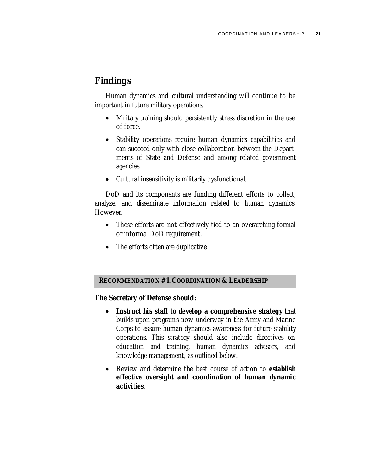# **Findings**

Human dynamics and cultural understanding will continue to be important in future military operations.

- Military training should persistently stress discretion in the use of force.
- Stability operations require human dynamics capabilities and can succeed only with close collaboration between the Departments of State and Defense and among related government agencies.
- Cultural insensitivity is militarily dysfunctional.

DoD and its components are funding different efforts to collect, analyze, and disseminate information related to human dynamics. However:

- These efforts are not effectively tied to an overarching formal or informal DoD requirement.
- The efforts often are duplicative

### **RECOMMENDATION #1.COORDINATION & LEADERSHIP**

**The Secretary of Defense should:** 

- **Instruct his staff to develop a comprehensive strategy** that builds upon programs now underway in the Army and Marine Corps to assure human dynamics awareness for future stability operations. This strategy should also include directives on education and training, human dynamics advisors, and knowledge management, as outlined below.
- Review and determine the best course of action to **establish effective oversight and coordination of human dynamic activities**.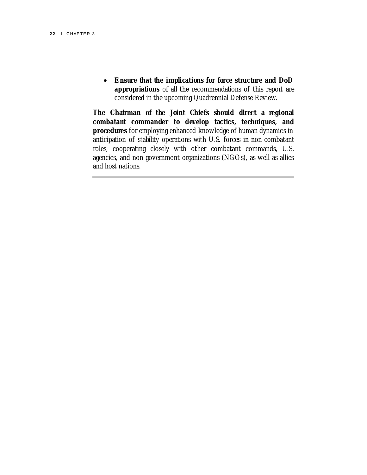• **Ensure that the implications for force structure and DoD appropriations** of all the recommendations of this report are considered in the upcoming Quadrennial Defense Review.

**The Chairman of the Joint Chiefs should direct a regional combatant commander to develop tactics, techniques, and procedures** for employing enhanced knowledge of human dynamics in anticipation of stability operations with U.S. forces in non-combatant roles, cooperating closely with other combatant commands, U.S. agencies, and non-government organizations (NGOs), as well as allies and host nations.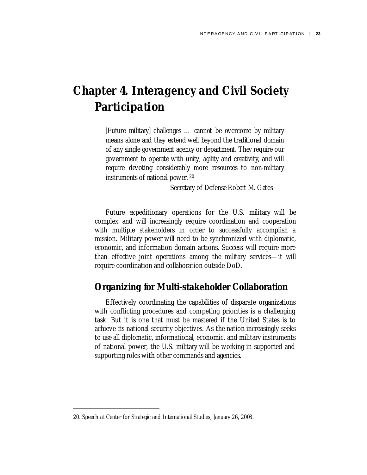# **Chapter 4. Interagency and Civil Society Participation**

[Future military] challenges … cannot be overcome by military means alone and they extend well beyond the traditional domain of any single government agency or department. They require our government to operate with unity, agility and creativity, and will require devoting considerably more resources to non-military instruments of national power. 20

Secretary of Defense Robert M. Gates

Future expeditionary operations for the U.S. military will be complex and will increasingly require coordination and cooperation with multiple stakeholders in order to successfully accomplish a mission. Military power will need to be synchronized with diplomatic, economic, and information domain actions. Success will require more than effective joint operations among the military services—it will require coordination and collaboration outside DoD.

# **Organizing for Multi-stakeholder Collaboration**

Effectively coordinating the capabilities of disparate organizations with conflicting procedures and competing priorities is a challenging task. But it is one that must be mastered if the United States is to achieve its national security objectives. As the nation increasingly seeks to use all diplomatic, informational, economic, and military instruments of national power, the U.S. military will be working in supported and supporting roles with other commands and agencies.

<sup>20.</sup> Speech at Center for Strategic and International Studies, January 26, 2008.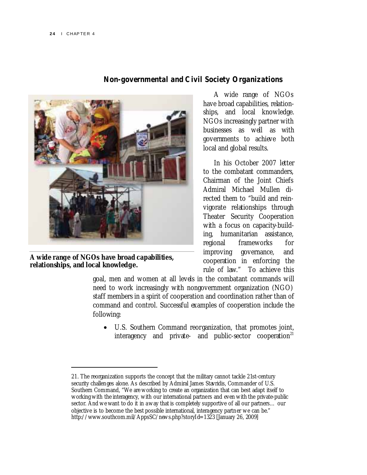# *Non-governmental and Civil Society Organizations*



**A wide range of NGOs have broad capabilities, relationships, and local knowledge.** 

l

A wide range of NGOs have broad capabilities, relationships, and local knowledge. NGOs increasingly partner with businesses as well as with governments to achieve both local and global results.

In his October 2007 letter to the combatant commanders, Chairman of the Joint Chiefs Admiral Michael Mullen directed them to "build and reinvigorate relationships through Theater Security Cooperation with a focus on capacity-building, humanitarian assistance, regional frameworks for improving governance, and cooperation in enforcing the rule of law." To achieve this

goal, men and women at all levels in the combatant commands will need to work increasingly with nongovernment organization (NGO) staff members in a spirit of cooperation and coordination rather than of command and control. Successful examples of cooperation include the following:

• U.S. Southern Command reorganization, that promotes joint, interagency and private- and public-sector cooperation<sup>21</sup>

<sup>21.</sup> The reorganization supports the concept that the military cannot tackle 21st-century security challenges alone. As described by Admiral James Stavridis, Commander of U.S. Southern Command, "We are w orking to create an organization that can best adapt itself to w orking w ith the interagency, w ith our international partners and even w ith the private-public sector. And we want to do it in a way that is completely supportive of all our partners... our objective is to become the best possible international, interagency partner w e can be." http://www.southcom.mil/AppsSC/new s.php?storyId=1323 [January 26, 2009]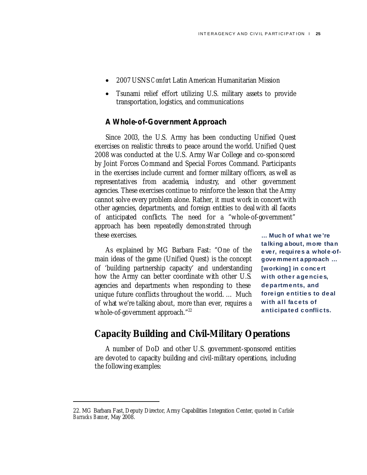- 2007 USNS *Comfort* Latin American Humanitarian Mission
- Tsunami relief effort utilizing U.S. military assets to provide transportation, logistics, and communications

### *A Whole-of-Government Approach*

Since 2003, the U.S. Army has been conducting Unified Quest exercises on realistic threats to peace around the world. Unified Quest 2008 was conducted at the U.S. Army War College and co-sponsored by Joint Forces Command and Special Forces Command. Participants in the exercises include current and former military officers, as well as representatives from academia, industry, and other government agencies. These exercises continue to reinforce the lesson that the Army cannot solve every problem alone. Rather, it must work in concert with other agencies, departments, and foreign entities to deal with all facets of anticipated conflicts. The need for a "whole-of-government" approach has been repeatedly demonstrated through these exercises.

As explained by MG Barbara Fast: "One of the main ideas of the game (Unified Quest) is the concept of 'building partnership capacity' and understanding how the Army can better coordinate with other U.S. agencies and departments when responding to these unique future conflicts throughout the world. … Much of what we're talking about, more than ever, requires a whole-of-government approach."<sup>22</sup>

… Much of what we're talking about, more than ever, requires a whole-ofgovernment approach … [working] in concert with other agencies, departments, and foreign entities to deal with all facets of anticipated conflicts.

# **Capacity Building and Civil-Military Operations**

A number of DoD and other U.S. government-sponsored entities are devoted to capacity building and civil-military operations, including the following examples:

<sup>22.</sup> MG Barbara Fast, Deputy Director, Army Capabilities Integration Center, quoted in *Carlisle Barracks Banner*, May 2008.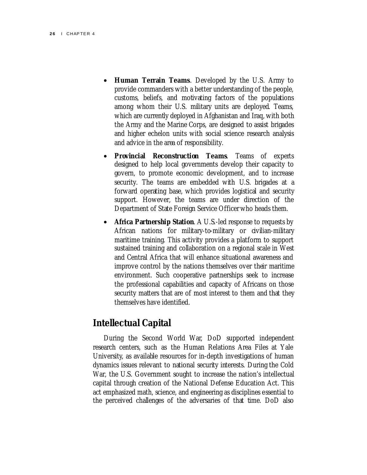- **Human Terrain Teams**. Developed by the U.S. Army to provide commanders with a better understanding of the people, customs, beliefs, and motivating factors of the populations among whom their U.S. military units are deployed. Teams, which are currently deployed in Afghanistan and Iraq, with both the Army and the Marine Corps, are designed to assist brigades and higher echelon units with social science research analysis and advice in the area of responsibility.
- **Provincial Reconstruction Teams**. Teams of experts designed to help local governments develop their capacity to govern, to promote economic development, and to increase security. The teams are embedded with U.S. brigades at a forward operating base, which provides logistical and security support. However, the teams are under direction of the Department of State Foreign Service Officer who heads them.
- **Africa Partnership Station**. A U.S.-led response to requests by African nations for military-to-military or civilian-military maritime training. This activity provides a platform to support sustained training and collaboration on a regional scale in West and Central Africa that will enhance situational awareness and improve control by the nations themselves over their maritime environment. Such cooperative partnerships seek to increase the professional capabilities and capacity of Africans on those security matters that are of most interest to them and that they themselves have identified.

# **Intellectual Capital**

During the Second World War, DoD supported independent research centers, such as the Human Relations Area Files at Yale University, as available resources for in-depth investigations of human dynamics issues relevant to national security interests. During the Cold War, the U.S. Government sought to increase the nation's intellectual capital through creation of the National Defense Education Act. This act emphasized math, science, and engineering as disciplines essential to the perceived challenges of the adversaries of that time. DoD also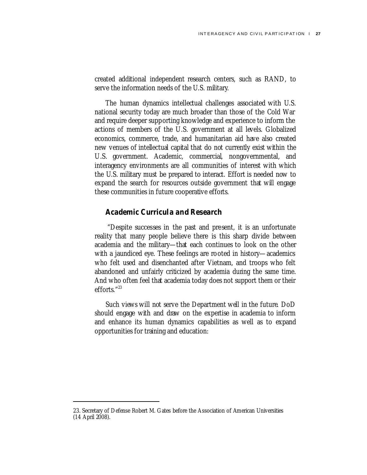created additional independent research centers, such as RAND, to serve the information needs of the U.S. military.

The human dynamics intellectual challenges associated with U.S. national security today are much broader than those of the Cold War and require deeper supporting knowledge and experience to inform the actions of members of the U.S. government at all levels. Globalized economics, commerce, trade, and humanitarian aid have also created new venues of intellectual capital that do not currently exist within the U.S. government. Academic, commercial, nongovernmental, and interagency environments are all communities of interest with which the U.S. military must be prepared to interact. Effort is needed now to expand the search for resources outside government that will engage these communities in future cooperative efforts.

### *Academic Curricula and Research*

 "Despite successes in the past and present, it is an unfortunate reality that many people believe there is this sharp divide between academia and the military—that each continues to look on the other with a jaundiced eye. These feelings are rooted in history—academics who felt used and disenchanted after Vietnam, and troops who felt abandoned and unfairly criticized by academia during the same time. And who often feel that academia today does not support them or their efforts."23

Such views will not serve the Department well in the future. DoD should engage with and draw on the expertise in academia to inform and enhance its human dynamics capabilities as well as to expand opportunities for training and education:

<sup>23.</sup> Secretary of Defense Robert M. Gates before the Association of American Universities  $(14$  April 2008).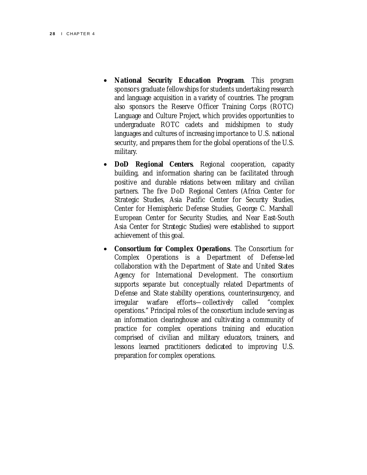- **National Security Education Program**. This program sponsors graduate fellowships for students undertaking research and language acquisition in a variety of countries. The program also sponsors the Reserve Officer Training Corps (ROTC) Language and Culture Project, which provides opportunities to undergraduate ROTC cadets and midshipmen to study languages and cultures of increasing importance to U.S. national security, and prepares them for the global operations of the U.S. military.
- **DoD Regional Centers**. Regional cooperation, capacity building, and information sharing can be facilitated through positive and durable relations between military and civilian partners. The five DoD Regional Centers (Africa Center for Strategic Studies, Asia Pacific Center for Security Studies, Center for Hemispheric Defense Studies, George C. Marshall European Center for Security Studies, and Near East-South Asia Center for Strategic Studies) were established to support achievement of this goal.
- **Consortium for Complex Operations**. The Consortium for Complex Operations is a Department of Defense-led collaboration with the Department of State and United States Agency for International Development. The consortium supports separate but conceptually related Departments of Defense and State stability operations, counterinsurgency, and irregular warfare efforts—collectively called "complex operations." Principal roles of the consortium include serving as an information clearinghouse and cultivating a community of practice for complex operations training and education comprised of civilian and military educators, trainers, and lessons learned practitioners dedicated to improving U.S. preparation for complex operations.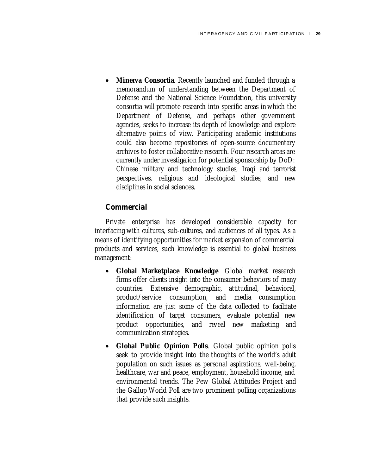• **Minerva Consortia.** Recently launched and funded through a memorandum of understanding between the Department of Defense and the National Science Foundation, this university consortia will promote research into specific areas in which the Department of Defense, and perhaps other government agencies, seeks to increase its depth of knowledge and explore alternative points of view. Participating academic institutions could also become repositories of open-source documentary archives to foster collaborative research. Four research areas are currently under investigation for potential sponsorship by DoD: Chinese military and technology studies, Iraqi and terrorist perspectives, religious and ideological studies, and new disciplines in social sciences.

# *Commercial*

Private enterprise has developed considerable capacity for interfacing with cultures, sub-cultures, and audiences of all types. As a means of identifying opportunities for market expansion of commercial products and services, such knowledge is essential to global business management:

- **Global Marketplace Knowledge**. Global market research firms offer clients insight into the consumer behaviors of many countries. Extensive demographic, attitudinal, behavioral, product/service consumption, and media consumption information are just some of the data collected to facilitate identification of target consumers, evaluate potential new product opportunities, and reveal new marketing and communication strategies.
- **Global Public Opinion Polls**. Global public opinion polls seek to provide insight into the thoughts of the world's adult population on such issues as personal aspirations, well-being, healthcare, war and peace, employment, household income, and environmental trends. The Pew Global Attitudes Project and the Gallup World Poll are two prominent polling organizations that provide such insights.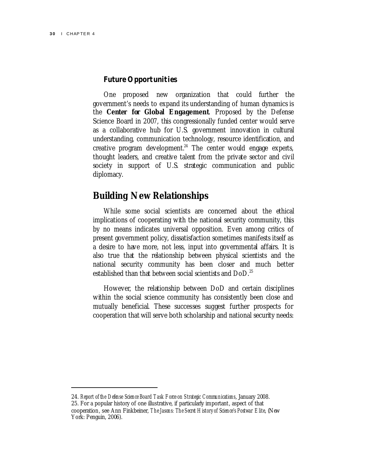$\overline{a}$ 

### *Future Opportunities*

One proposed new organization that could further the government's needs to expand its understanding of human dynamics is the **Center for Global Engagement**. Proposed by the Defense Science Board in 2007, this congressionally funded center would serve as a collaborative hub for U.S. government innovation in cultural understanding, communication technology, resource identification, and creative program development.<sup>24</sup> The center would engage experts, thought leaders, and creative talent from the private sector and civil society in support of U.S. strategic communication and public diplomacy.

# **Building New Relationships**

While some social scientists are concerned about the ethical implications of cooperating with the national security community, this by no means indicates universal opposition. Even among critics of present government policy, dissatisfaction sometimes manifests itself as a desire to have more, not less, input into governmental affairs. It is also true that the relationship between physical scientists and the national security community has been closer and much better established than that between social scientists and  $DoD$ .<sup>25</sup>

However, the relationship between DoD and certain disciplines within the social science community has consistently been close and mutually beneficial. These successes suggest further prospects for cooperation that will serve both scholarship and national security needs:

<sup>24.</sup> *Report of the Defense Science Board Task Force on Strategic Communications*, January 2008. 25. For a popular history of one illustrative, if particularly important, aspect of that cooperation, see Ann Finkbeiner, *The Jasons: The Secret History of Science's Postwar Elite*, (New York: Penguin, 2006).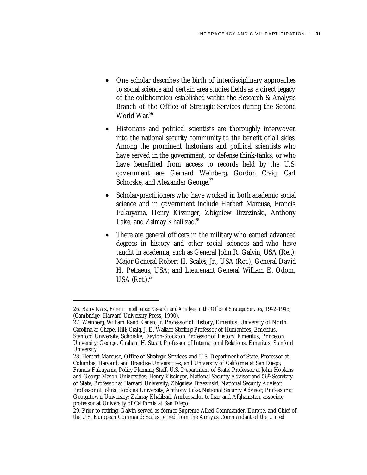- One scholar describes the birth of interdisciplinary approaches to social science and certain area studies fields as a direct legacy of the collaboration established within the Research & Analysis Branch of the Office of Strategic Services during the Second World War.<sup>26</sup>
- Historians and political scientists are thoroughly interwoven into the national security community to the benefit of all sides. Among the prominent historians and political scientists who have served in the government, or defense think-tanks, or who have benefitted from access to records held by the U.S. government are Gerhard Weinberg, Gordon Craig, Carl Schorske, and Alexander George.<sup>27</sup>
- Scholar-practitioners who have worked in both academic social science and in government include Herbert Marcuse, Francis Fukuyama, Henry Kissinger, Zbigniew Brzezinski, Anthony Lake, and Zalmay Khalilzad.<sup>28</sup>
- There are general officers in the military who earned advanced degrees in history and other social sciences and who have taught in academia, such as General John R. Galvin, USA (Ret.); Major General Robert H. Scales, Jr., USA (Ret.); General David H. Petraeus, USA; and Lieutenant General William E. Odom, USA  $(Ret.)^{29}$

<sup>26.</sup> Barry Katz, *Foreign Intelligence: Research and Analysis in the Office of Strategic Services*, 1942-1945, (Cambridge: Harvard University Press, 1990).

<sup>27.</sup> Weinberg, William Rand Kenan, Jr. Professor of History, Emeritus, University of North Carolina at Chapel Hill; Craig, J. E. Wallace Sterling Professor of Humanities, Emeritus, Stanford University; Schorske, Dayton-Stockton Professor of History, Emeritus, Princeton University; George, Graham H. Stuart Professor of International Relations, Emeritus, Stanford University.

<sup>28.</sup> Herbert Marcuse, Office of Strategic Services and U.S. Department of State, Professor at Columbia, Harvard, and Brandise Universitites, and University of California at San Diego; Francis Fukuyama, Policy Planning Staff, U.S. Department of State, Professor at John Hopkins and George Mason Universities; Henry Kissinger, National Security Advisor and 56<sup>th</sup> Secretary of State, Professor at Harvard University; Zbigniew Brzezinski, National Security Advisor, Professor at Johns Hopkins University; Anthony Lake, National Security Advisor, Professor at Georgetow n University; Zalmay Khalilzad, Ambassador to Iraq and Afghanistan, associate professor at University of California at San Diego.

<sup>29.</sup> Prior to retiring, Galvin served as former Supreme Allied Commander, Europe, and Chief of the U.S. European Command; Scales retired from the Army as Commandant of the United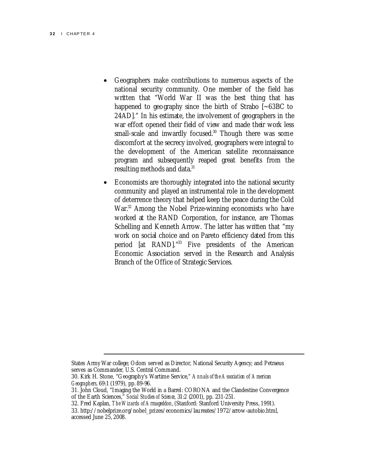- Geographers make contributions to numerous aspects of the national security community. One member of the field has written that "World War II was the best thing that has happened to geography since the birth of Strabo [~63BC to 24AD]." In his estimate, the involvement of geographers in the war effort opened their field of view and made their work less small-scale and inwardly focused.<sup>30</sup> Though there was some discomfort at the secrecy involved, geographers were integral to the development of the American satellite reconnaissance program and subsequently reaped great benefits from the resulting methods and data.<sup>31</sup>
- Economists are thoroughly integrated into the national security community and played an instrumental role in the development of deterrence theory that helped keep the peace during the Cold War.<sup>32</sup> Among the Nobel Prize-winning economists who have worked at the RAND Corporation, for instance, are Thomas Schelling and Kenneth Arrow. The latter has written that "my work on social choice and on Pareto efficiency dated from this period [at RAND]."33 Five presidents of the American Economic Association served in the Research and Analysis Branch of the Office of Strategic Services.

States Army War college; Odom served as Director, National Security Agency; and Petraeus serves as Commander, U.S. Central Command.

<sup>30.</sup> Kirk H. Stone, "Geography's Wartime Service," *Annals of the Association of American Geographers,* 69:1 (1979), pp. 89-96.

<sup>31.</sup> John Cloud, "Imaging the World in a Barrel: CORONA and the Clandestine Convergence of the Earth Sciences," *Social Studies of Science*, 31:2 (2001), pp. 231-251.

<sup>32.</sup> Fred Kaplan, *The Wizards of Armageddon*, (Stanford: Stanford University Press, 1991).

<sup>33.</sup> http://nobelprize.org/nobel\_prizes/economics/laureates/1972/arrow -autobio.html, accessed June 25, 2008.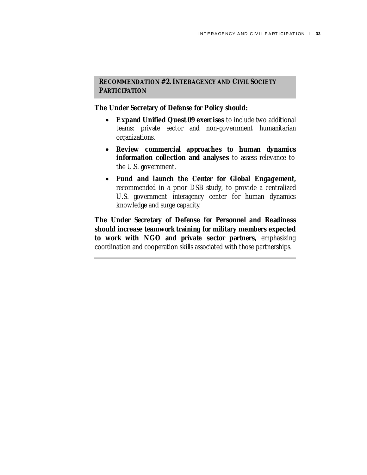## **RECOMMENDATION #2.INTERAGENCY AND CIVIL SOCIETY PARTICIPATION**

#### **The Under Secretary of Defense for Policy should:**

- **Expand Unified Quest 09 exercises** to include two additional teams: private sector and non-government humanitarian organizations.
- **Review commercial approaches to human dynamics information collection and analyses** to assess relevance to the U.S. government.
- **Fund and launch the Center for Global Engagement,**  recommended in a prior DSB study, to provide a centralized U.S. government interagency center for human dynamics knowledge and surge capacity.

**The Under Secretary of Defense for Personnel and Readiness should increase teamwork training for military members expected to work with NGO and private sector partners,** emphasizing coordination and cooperation skills associated with those partnerships.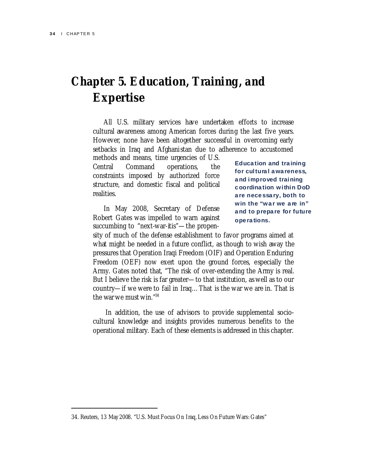# **Chapter 5. Education, Training, and Expertise**

All U.S. military services have undertaken efforts to increase cultural awareness among American forces during the last five years. However, none have been altogether successful in overcoming early setbacks in Iraq and Afghanistan due to adherence to accustomed

methods and means, time urgencies of U.S. Central Command operations, the constraints imposed by authorized force structure, and domestic fiscal and political realities.

In May 2008, Secretary of Defense Robert Gates was impelled to warn against succumbing to "next-war-itis"—the propenEducation and training for cultural awareness, and improved training coordination within DoD are necessary, both to win the "war we are in" and to prepare for future operations.

sity of much of the defense establishment to favor programs aimed at what might be needed in a future conflict, as though to wish away the pressures that Operation Iraqi Freedom (OIF) and Operation Enduring Freedom (OEF) now exert upon the ground forces, especially the Army. Gates noted that, "The risk of over-extending the Army is real. But I believe the risk is far greater—to that institution, as well as to our country—if we were to fail in Iraq…That is the war we are in. That is the war we must win."34

 In addition, the use of advisors to provide supplemental sociocultural knowledge and insights provides numerous benefits to the operational military. Each of these elements is addressed in this chapter.

<sup>34.</sup> Reuters, 13 May 2008. "U.S. Must Focus On Iraq, Less On Future Wars: Gates"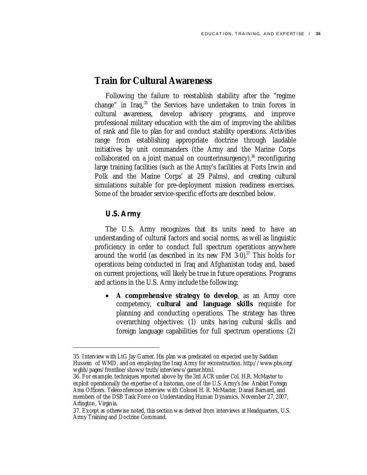# **Train for Cultural Awareness**

Following the failure to reestablish stability after the "regime change" in Iraq,<sup>35</sup> the Services have undertaken to train forces in cultural awareness, develop advisory programs, and improve professional military education with the aim of improving the abilities of rank and file to plan for and conduct stability operations. Activities range from establishing appropriate doctrine through laudable initiatives by unit commanders (the Army and the Marine Corps collaborated on a joint manual on counterinsurgency), $36$  reconfiguring large training facilities (such as the Army's facilities at Forts Irwin and Polk and the Marine Corps' at 29 Palms), and creating cultural simulations suitable for pre-deployment mission readiness exercises. Some of the broader service-specific efforts are described below.

# *U.S. Army*

l

The U.S. Army recognizes that its units need to have an understanding of cultural factors and social norms, as well as linguistic proficiency in order to conduct full spectrum operations anywhere around the world (as described in its new FM 3-0). $37$  This holds for operations being conducted in Iraq and Afghanistan today and, based on current projections, will likely be true in future operations. Programs and actions in the U.S. Army include the following:

• **A comprehensive strategy to develop**, as an Army core competency, **cultural and language skills** requisite for planning and conducting operations. The strategy has three overarching objectives: (1) units having cultural skills and foreign language capabilities for full spectrum operations; (2)

<sup>35.</sup> Interview w ith LtG Jay Garner. His plan w as predicated on expected use by Saddam Hussein of WMD, and on employing the Iraqi Army for reconstruction. http://www.pbs.org/ w gbh/pages/frontline/show s/truth/interview s/garner.html.

<sup>36.</sup> For example, techniques reported above by the 3rd ACR under Col. H.R. McMaster to exploit operationally the expertise of a historian, one of the U.S. Army's few Arabist Foreign Area Officers. Teleconference interview w ith Colonel H. R. McMaster, Daniel Barnard, and members of the DSB Task Force on Understanding Human Dynamics, November 27, 2007, Arlington, Virginia.

<sup>37.</sup> Except as otherw ise noted, this section w as derived from interviews at Headquarters, U.S. Army Training and Doctrine Command.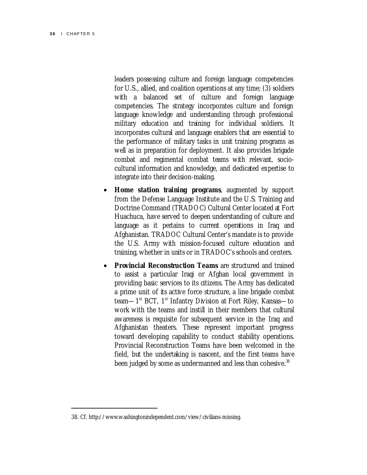leaders possessing culture and foreign language competencies for U.S., allied, and coalition operations at any time; (3) soldiers with a balanced set of culture and foreign language competencies. The strategy incorporates culture and foreign language knowledge and understanding through professional military education and training for individual soldiers. It incorporates cultural and language enablers that are essential to the performance of military tasks in unit training programs as well as in preparation for deployment. It also provides brigade combat and regimental combat teams with relevant, sociocultural information and knowledge, and dedicated expertise to integrate into their decision-making.

- **Home station training programs**, augmented by support from the Defense Language Institute and the U.S. Training and Doctrine Command (TRADOC) Cultural Center located at Fort Huachuca, have served to deepen understanding of culture and language as it pertains to current operations in Iraq and Afghanistan. TRADOC Cultural Center's mandate is to provide the U.S. Army with mission-focused culture education and training, whether in units or in TRADOC's schools and centers.
- **Provincial Reconstruction Teams** are structured and trained to assist a particular Iraqi or Afghan local government in providing basic services to its citizens. The Army has dedicated a prime unit of its active force structure, a line brigade combat team—1st BCT, 1st Infantry Division at Fort Riley, Kansas—to work with the teams and instill in their members that cultural awareness is requisite for subsequent service in the Iraq and Afghanistan theaters. These represent important progress toward developing capability to conduct stability operations. Provincial Reconstruction Teams have been welcomed in the field, but the undertaking is nascent, and the first teams have been judged by some as undermanned and less than cohesive.<sup>38</sup>

<sup>38.</sup> Cf. http://www.w ashingtonindependent.com/view /civilians-missing.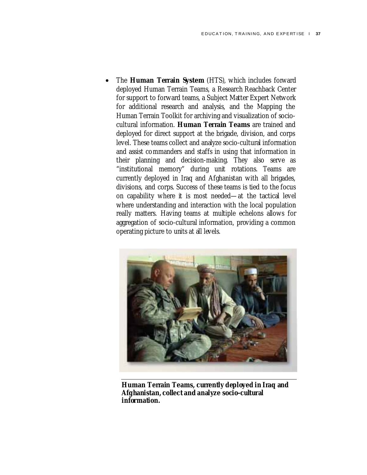• The **Human Terrain System** (HTS), which includes forward deployed Human Terrain Teams, a Research Reachback Center for support to forward teams, a Subject Matter Expert Network for additional research and analysis, and the Mapping the Human Terrain Toolkit for archiving and visualization of sociocultural information. **Human Terrain Teams** are trained and deployed for direct support at the brigade, division, and corps level. These teams collect and analyze socio-cultural information and assist commanders and staffs in using that information in their planning and decision-making. They also serve as "institutional memory" during unit rotations. Teams are currently deployed in Iraq and Afghanistan with all brigades, divisions, and corps. Success of these teams is tied to the focus on capability where it is most needed—at the tactical level where understanding and interaction with the local population really matters. Having teams at multiple echelons allows for aggregation of socio-cultural information, providing a common operating picture to units at all levels.



**Human Terrain Teams, currently deployed in Iraq and Afghanistan, collect and analyze socio-cultural information.**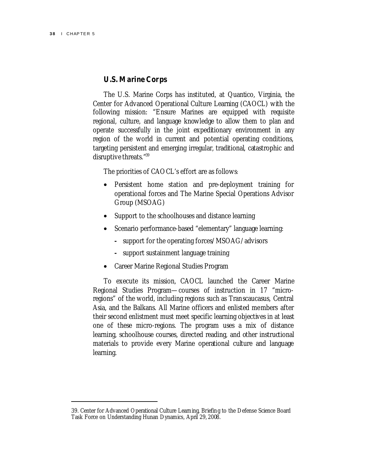#### *U.S. Marine Corps*

The U.S. Marine Corps has instituted, at Quantico, Virginia, the Center for Advanced Operational Culture Learning (CAOCL) with the following mission: "Ensure Marines are equipped with requisite regional, culture, and language knowledge to allow them to plan and operate successfully in the joint expeditionary environment in any region of the world in current and potential operating conditions, targeting persistent and emerging irregular, traditional, catastrophic and disruptive threats."<sup>39</sup>

The priorities of CAOCL's effort are as follows:

- Persistent home station and pre-deployment training for operational forces and The Marine Special Operations Advisor Group (MSOAG)
- Support to the schoolhouses and distance learning
- Scenario performance-based "elementary" language learning:
	- support for the operating forces/MSOAG/advisors
	- support sustainment language training
- Career Marine Regional Studies Program

To execute its mission, CAOCL launched the Career Marine Regional Studies Program—courses of instruction in 17 "microregions" of the world, including regions such as Transcaucasus, Central Asia, and the Balkans. All Marine officers and enlisted members after their second enlistment must meet specific learning objectives in at least one of these micro-regions. The program uses a mix of distance learning, schoolhouse courses, directed reading, and other instructional materials to provide every Marine operational culture and language learning.

<sup>39.</sup> Center for Advanced Operational Culture Learning, Briefing to the Defense Science Board Task Force on Understanding Hunan Dynamics, April 29, 2008.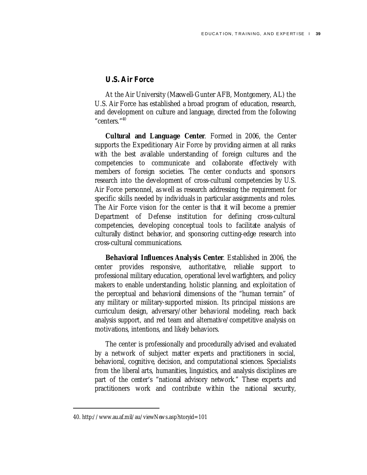## *U.S. Air Force*

At the Air University (Maxwell-Gunter AFB, Montgomery, AL) the U.S. Air Force has established a broad program of education, research, and development on culture and language, directed from the following "centers."40

**Cultural and Language Center**. Formed in 2006, the Center supports the Expeditionary Air Force by providing airmen at all ranks with the best available understanding of foreign cultures and the competencies to communicate and collaborate effectively with members of foreign societies. The center conducts and sponsors research into the development of cross-cultural competencies by U.S. Air Force personnel, as well as research addressing the requirement for specific skills needed by individuals in particular assignments and roles. The Air Force vision for the center is that it will become a premier Department of Defense institution for defining cross-cultural competencies, developing conceptual tools to facilitate analysis of culturally distinct behavior, and sponsoring cutting-edge research into cross-cultural communications.

**Behavioral Influences Analysis Center**. Established in 2006, the center provides responsive, authoritative, reliable support to professional military education, operational level warfighters, and policy makers to enable understanding, holistic planning, and exploitation of the perceptual and behavioral dimensions of the "human terrain" of any military or military-supported mission. Its principal missions are curriculum design, adversary/other behavioral modeling, reach back analysis support, and red team and alternative/competitive analysis on motivations, intentions, and likely behaviors.

The center is professionally and procedurally advised and evaluated by a network of subject matter experts and practitioners in social, behavioral, cognitive, decision, and computational sciences. Specialists from the liberal arts, humanities, linguistics, and analysis disciplines are part of the center's "national advisory network." These experts and practitioners work and contribute within the national security,

<sup>40.</sup> http://www.au.af.mil/au/viewNew s.asp?storyid=101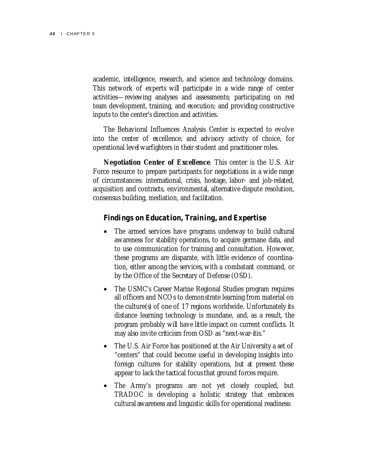academic, intelligence, research, and science and technology domains. This network of experts will participate in a wide range of center activities—reviewing analyses and assessments; participating on red team development, training, and execution; and providing constructive inputs to the center's direction and activities.

The Behavioral Influences Analysis Center is expected to evolve into the center of excellence, and advisory activity of choice, for operational level warfighters in their student and practitioner roles.

**Negotiation Center of Excellence**. This center is the U.S. Air Force resource to prepare participants for negotiations in a wide range of circumstances: international, crisis, hostage, labor- and job-related, acquisition and contracts, environmental, alternative dispute resolution, consensus building, mediation, and facilitation.

## *Findings on Education, Training, and Expertise*

- The armed services have programs underway to build cultural awareness for stability operations, to acquire germane data, and to use communication for training and consultation. However, these programs are disparate, with little evidence of coordination, either among the services, with a combatant command, or by the Office of the Secretary of Defense (OSD).
- The USMC's Career Marine Regional Studies program requires all officers and NCOs to demonstrate learning from material on the culture(s) of one of 17 regions worldwide. Unfortunately its distance learning technology is mundane, and, as a result, the program probably will have little impact on current conflicts. It may also invite criticism from OSD as "next-war-itis."
- The U.S. Air Force has positioned at the Air University a set of "centers" that could become useful in developing insights into foreign cultures for stability operations, but at present these appear to lack the tactical focus that ground forces require.
- The Army's programs are not yet closely coupled, but TRADOC is developing a holistic strategy that embraces cultural awareness and linguistic skills for operational readiness: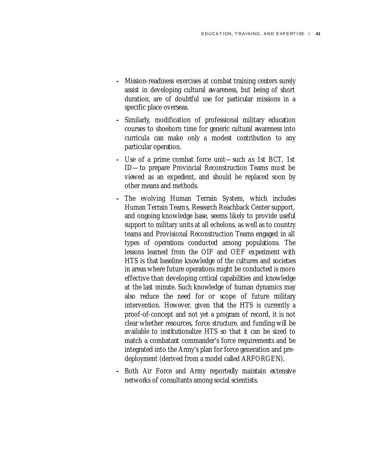- Mission-readiness exercises at combat training centers surely assist in developing cultural awareness, but being of short duration, are of doubtful use for particular missions in a specific place overseas.
- Similarly, modification of professional military education courses to shoehorn time for generic cultural awareness into curricula can make only a modest contribution to any particular operation.
- Use of a prime combat force unit—such as 1st BCT, 1st ID—to prepare Provincial Reconstruction Teams must be viewed as an expedient, and should be replaced soon by other means and methods.
- The evolving Human Terrain System, which includes Human Terrain Teams, Research Reachback Center support, and ongoing knowledge base, seems likely to provide useful support to military units at all echelons, as well as to country teams and Provisional Reconstruction Teams engaged in all types of operations conducted among populations. The lessons learned from the OIF and OEF experiment with HTS is that baseline knowledge of the cultures and societies in areas where future operations might be conducted is more effective than developing critical capabilities and knowledge at the last minute. Such knowledge of human dynamics may also reduce the need for or scope of future military intervention. However, given that the HTS is currently a proof-of-concept and not yet a program of record, it is not clear whether resources, force structure, and funding will be available to institutionalize HTS so that it can be sized to match a combatant commander's force requirements and be integrated into the Army's plan for force generation and predeployment (derived from a model called ARFORGEN).
- Both Air Force and Army reportedly maintain extensive networks of consultants among social scientists.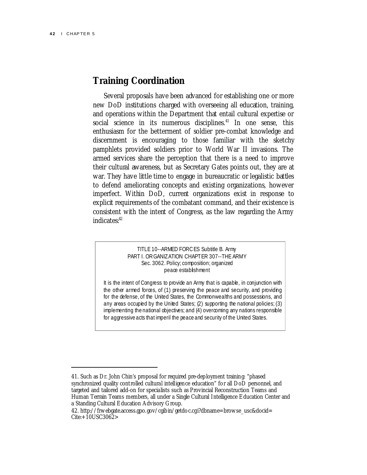# **Training Coordination**

Several proposals have been advanced for establishing one or more new DoD institutions charged with overseeing all education, training, and operations within the Department that entail cultural expertise or social science in its numerous disciplines.<sup>41</sup> In one sense, this enthusiasm for the betterment of soldier pre-combat knowledge and discernment is encouraging to those familiar with the sketchy pamphlets provided soldiers prior to World War II invasions. The armed services share the perception that there is a need to improve their cultural awareness, but as Secretary Gates points out, they are at war. They have little time to engage in bureaucratic or legalistic battles to defend ameliorating concepts and existing organizations, however imperfect. Within DoD, current organizations exist in response to explicit requirements of the combatant command, and their existence is consistent with the intent of Congress, as the law regarding the Army indicates:<sup>42</sup>

> TITLE 10--ARMED FORCES Subtitle B. Army PART I. ORGANIZATION CHAPTER 307--THE ARMY Sec. 3062. Policy; composition; organized peace establishment

It is the intent of Congress to provide an Army that is capable, in conjunction with the other armed forces, of (1) preserving the peace and security, and providing for the defense, of the United States, the Commonwealths and possessions, and any areas occupied by the United States; (2) supporting the national policies; (3) implementing the national objectives; and (4) overcoming any nations responsible for aggressive acts that imperil the peace and security of the United States.

<sup>41.</sup> Such as Dr. John Chin's proposal for required pre-deployment training: "phased synchronized quality controlled cultural intelligence education" for all DoD personnel, and targeted and tailored add-on for specialists such as Provincial Reconstruction Teams and Human Terrain Teams members, all under a Single Cultural Intelligence Education Center and a Standing Cultural Education Advisory Group.

<sup>42.</sup> http://frw ebgate.access.gpo.gov/cgibin/getdoc.cgi?dbname=brow se\_usc&docid=  $Cite: +10USC3062>$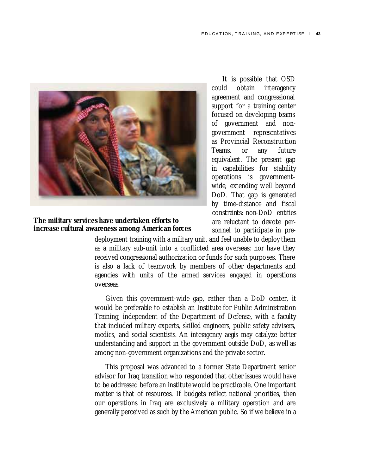

**The military services have undertaken efforts to increase cultural awareness among American forces** 

It is possible that OSD could obtain interagency agreement and congressional support for a training center focused on developing teams of government and nongovernment representatives as Provincial Reconstruction Teams, or any future equivalent. The present gap in capabilities for stability operations is governmentwide, extending well beyond DoD. That gap is generated by time-distance and fiscal constraints: non-DoD entities are reluctant to devote personnel to participate in pre-

deployment training with a military unit, and feel unable to deploy them as a military sub-unit into a conflicted area overseas; nor have they received congressional authorization or funds for such purposes. There is also a lack of teamwork by members of other departments and agencies with units of the armed services engaged in operations overseas.

Given this government-wide gap, rather than a DoD center, it would be preferable to establish an Institute for Public Administration Training, independent of the Department of Defense, with a faculty that included military experts, skilled engineers, public safety advisers, medics, and social scientists. An interagency aegis may catalyze better understanding and support in the government outside DoD, as well as among non-government organizations and the private sector.

This proposal was advanced to a former State Department senior advisor for Iraq transition who responded that other issues would have to be addressed before an institute would be practicable. One important matter is that of resources. If budgets reflect national priorities, then our operations in Iraq are exclusively a military operation and are generally perceived as such by the American public. So if we believe in a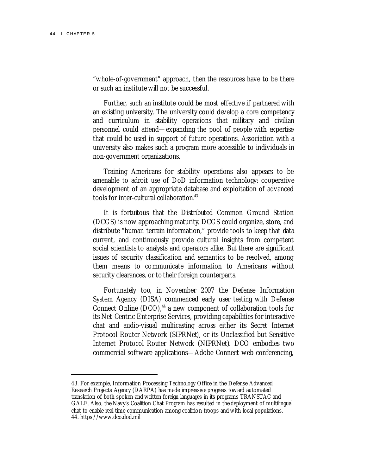"whole-of-government" approach, then the resources have to be there or such an institute will not be successful.

Further, such an institute could be most effective if partnered with an existing university. The university could develop a core competency and curriculum in stability operations that military and civilian personnel could attend—expanding the pool of people with expertise that could be used in support of future operations. Association with a university also makes such a program more accessible to individuals in non-government organizations.

Training Americans for stability operations also appears to be amenable to adroit use of DoD information technology: cooperative development of an appropriate database and exploitation of advanced tools for inter-cultural collaboration.<sup>43</sup>

It is fortuitous that the Distributed Common Ground Station (DCGS) is now approaching maturity. DCGS could organize, store, and distribute "human terrain information," provide tools to keep that data current, and continuously provide cultural insights from competent social scientists to analysts and operators alike. But there are significant issues of security classification and semantics to be resolved, among them means to communicate information to Americans without security clearances, or to their foreign counterparts.

Fortunately too, in November 2007 the Defense Information System Agency (DISA) commenced early user testing with Defense Connect Online  $(DCO)$ ,<sup>44</sup> a new component of collaboration tools for its Net-Centric Enterprise Services, providing capabilities for interactive chat and audio-visual multicasting across either its Secret Internet Protocol Router Network (SIPRNet), or its Unclassified but Sensitive Internet Protocol Router Network (NIPRNet). DCO embodies two commercial software applications—Adobe Connect web conferencing,

<sup>43.</sup> For example, Information Processing Technology Office in the Defense Advanced Research Projects Agency (DARPA) has made impressive progress tow ard automated translation of both spoken and w ritten foreign languages in its programs TRANSTAC and GALE. Also, the Navy's Coalition Chat Program has resulted in the deployment of multilingual chat to enable real-time communication among coalition troops and w ith local populations. 44. https://www .dco.dod.mil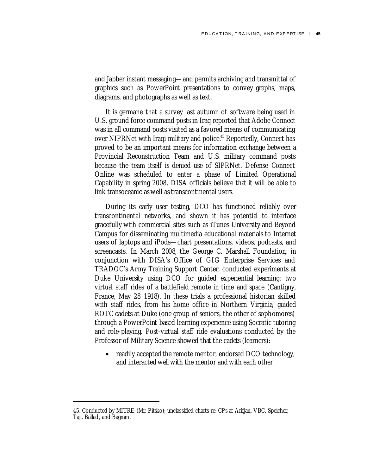and Jabber instant messaging—and permits archiving and transmittal of graphics such as PowerPoint presentations to convey graphs, maps, diagrams, and photographs as well as text.

It is germane that a survey last autumn of software being used in U.S. ground force command posts in Iraq reported that Adobe Connect was in all command posts visited as a favored means of communicating over NIPRNet with Iraqi military and police.<sup>45</sup> Reportedly, Connect has proved to be an important means for information exchange between a Provincial Reconstruction Team and U.S. military command posts because the team itself is denied use of SIPRNet. Defense Connect Online was scheduled to enter a phase of Limited Operational Capability in spring 2008. DISA officials believe that it will be able to link transoceanic as well as transcontinental users.

During its early user testing, DCO has functioned reliably over transcontinental networks, and shown it has potential to interface gracefully with commercial sites such as iTunes University and Beyond Campus for disseminating multimedia educational materials to Internet users of laptops and iPods—chart presentations, videos, podcasts, and screencasts. In March 2008, the George C. Marshall Foundation, in conjunction with DISA's Office of GIG Enterprise Services and TRADOC's Army Training Support Center, conducted experiments at Duke University using DCO for guided experiential learning: two virtual staff rides of a battlefield remote in time and space (Cantigny, France, May 28 1918). In these trials a professional historian skilled with staff rides, from his home office in Northern Virginia, guided ROTC cadets at Duke (one group of seniors, the other of sophomores) through a PowerPoint-based learning experience using Socratic tutoring and role-playing. Post-virtual staff ride evaluations conducted by the Professor of Military Science showed that the cadets (learners):

• readily accepted the remote mentor, endorsed DCO technology, and interacted well with the mentor and with each other

<sup>45.</sup> Conducted by MITRE (Mr. Pitsko); unclassified charts re: CPs at Arifjan, VBC, Speicher, Taji, Ballad, and Bagram.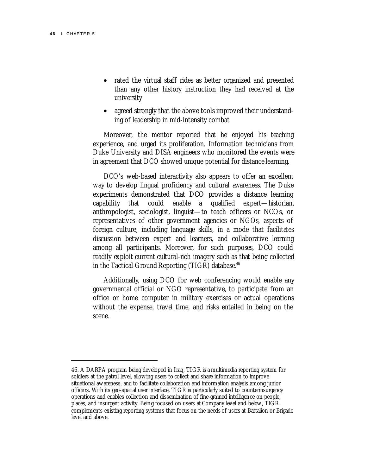$\overline{a}$ 

- rated the virtual staff rides as better organized and presented than any other history instruction they had received at the university
- agreed strongly that the above tools improved their understanding of leadership in mid-intensity combat

Moreover, the mentor reported that he enjoyed his teaching experience, and urged its proliferation. Information technicians from Duke University and DISA engineers who monitored the events were in agreement that DCO showed unique potential for distance learning.

DCO's web-based interactivity also appears to offer an excellent way to develop lingual proficiency and cultural awareness. The Duke experiments demonstrated that DCO provides a distance learning capability that could enable a qualified expert—historian, anthropologist, sociologist, linguist—to teach officers or NCOs, or representatives of other government agencies or NGOs, aspects of foreign culture, including language skills, in a mode that facilitates discussion between expert and learners, and collaborative learning among all participants. Moreover, for such purposes, DCO could readily exploit current cultural-rich imagery such as that being collected in the Tactical Ground Reporting (TIGR) database.<sup>46</sup>

Additionally, using DCO for web conferencing would enable any governmental official or NGO representative, to participate from an office or home computer in military exercises or actual operations without the expense, travel time, and risks entailed in being on the scene.

<sup>46.</sup> A DARPA program being developed in Iraq, TIGR is a multimedia reporting system for soldiers at the patrol level, allow ing users to collect and share information to improve situational aw areness, and to facilitate collaboration and information analysis among junior officers. With its geo-spatial user interface, TIGR is particularly suited to counterinsurgency operations and enables collection and dissemination of fine-grained intelligence on people, places, and insurgent activity. Being focused on users at Company level and below , TIGR complements existing reporting systems that focus on the needs of users at Battalion or Brigade level and above.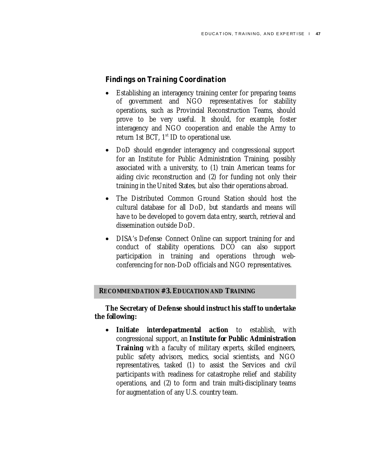## *Findings on Training Coordination*

- Establishing an interagency training center for preparing teams of government and NGO representatives for stability operations, such as Provincial Reconstruction Teams, should prove to be very useful. It should, for example, foster interagency and NGO cooperation and enable the Army to return 1st BCT,  $1<sup>st</sup>$  ID to operational use.
- DoD should engender interagency and congressional support for an Institute for Public Administration Training, possibly associated with a university, to (1) train American teams for aiding civic reconstruction and (2) for funding not only their training in the United States, but also their operations abroad.
- The Distributed Common Ground Station should host the cultural database for all DoD, but standards and means will have to be developed to govern data entry, search, retrieval and dissemination outside DoD.
- DISA's Defense Connect Online can support training for and conduct of stability operations. DCO can also support participation in training and operations through webconferencing for non-DoD officials and NGO representatives.

### **RECOMMENDATION #3. EDUCATION AND TRAINING**

**The Secretary of Defense should instruct his staff to undertake the following:** 

• **Initiate interdepartmental action** to establish, with congressional support, an **Institute for Public Administration Training** with a faculty of military experts, skilled engineers, public safety advisors, medics, social scientists, and NGO representatives, tasked (1) to assist the Services and civil participants with readiness for catastrophe relief and stability operations, and (2) to form and train multi-disciplinary teams for augmentation of any U.S. country team.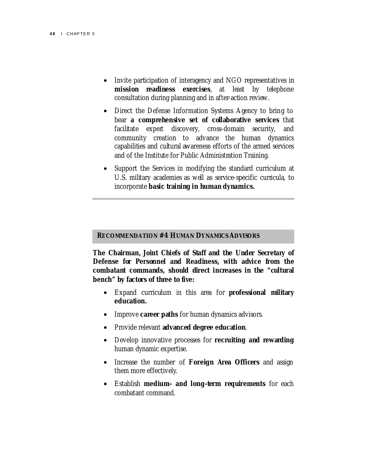- Invite participation of interagency and NGO representatives in **mission readiness exercises**, at least by telephone consultation during planning and in after-action review.
- Direct the Defense Information Systems Agency to bring to bear **a comprehensive set of collaborative services** that facilitate expert discovery, cross-domain security, and community creation to advance the human dynamics capabilities and cultural awareness efforts of the armed services and of the Institute for Public Administration Training.
- Support the Services in modifying the standard curriculum at U.S. military academies as well as service-specific curricula, to incorporate **basic training in human dynamics.**

#### **RECOMMENDATION #4 HUMAN DYNAMICS ADVISORS**

**The Chairman, Joint Chiefs of Staff and the Under Secretary of Defense for Personnel and Readiness, with advice from the combatant commands, should direct increases in the "cultural bench" by factors of three to five:** 

- Expand curriculum in this area for **professional military education.**
- Improve **career paths** for human dynamics advisors.
- Provide relevant **advanced degree education**.
- Develop innovative processes for **recruiting and rewarding** human dynamic expertise.
- Increase the number of **Foreign Area Officers** and assign them more effectively.
- Establish **medium- and long-term requirements** for each combatant command.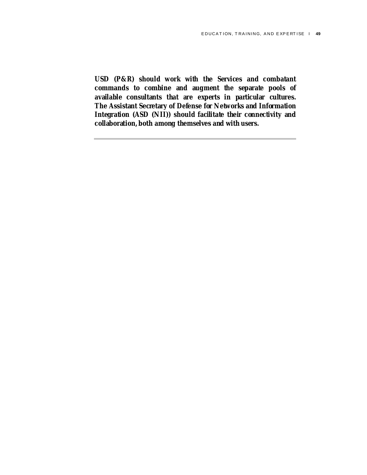**USD (P&R) should work with the Services and combatant commands to combine and augment the separate pools of available consultants that are experts in particular cultures. The Assistant Secretary of Defense for Networks and Information Integration (ASD (NII)) should facilitate their connectivity and collaboration, both among themselves and with users.**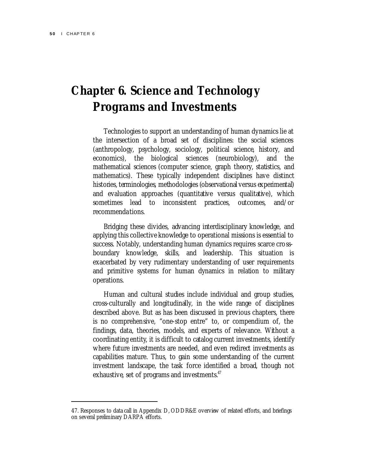# **Chapter 6. Science and Technology Programs and Investments**

Technologies to support an understanding of human dynamics lie at the intersection of a broad set of disciplines: the social sciences (anthropology, psychology, sociology, political science, history, and economics), the biological sciences (neurobiology), and the mathematical sciences (computer science, graph theory, statistics, and mathematics). These typically independent disciplines have distinct histories, terminologies, methodologies (observational versus experimental) and evaluation approaches (quantitative versus qualitative), which sometimes lead to inconsistent practices, outcomes, and/or recommendations.

Bridging these divides, advancing interdisciplinary knowledge, and applying this collective knowledge to operational missions is essential to success. Notably, understanding human dynamics requires scarce crossboundary knowledge, skills, and leadership. This situation is exacerbated by very rudimentary understanding of user requirements and primitive systems for human dynamics in relation to military operations.

Human and cultural studies include individual and group studies, cross-culturally and longitudinally, in the wide range of disciplines described above. But as has been discussed in previous chapters, there is no comprehensive, "one-stop entre" to, or compendium of, the findings, data, theories, models, and experts of relevance. Without a coordinating entity, it is difficult to catalog current investments, identify where future investments are needed, and even redirect investments as capabilities mature. Thus, to gain some understanding of the current investment landscape, the task force identified a broad, though not exhaustive, set of programs and investments.<sup>47</sup>

<sup>47.</sup> Responses to data call in Appendix D, ODDR&E overview of related efforts, and briefings on several preliminary DARPA efforts.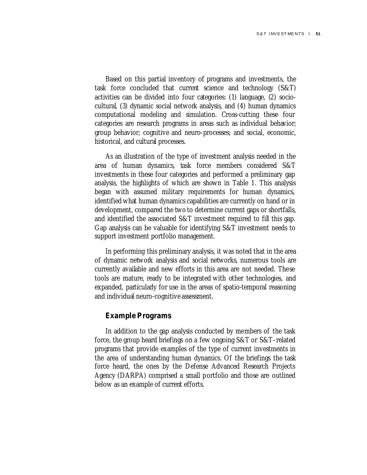Based on this partial inventory of programs and investments, the task force concluded that current science and technology (S&T) activities can be divided into four categories: (1) language, (2) sociocultural, (3) dynamic social network analysis, and (4) human dynamics computational modeling and simulation. Cross-cutting these four categories are research programs in areas such as individual behavior; group behavior; cognitive and neuro-processes; and social, economic, historical, and cultural processes.

As an illustration of the type of investment analysis needed in the area of human dynamics, task force members considered S&T investments in these four categories and performed a preliminary gap analysis, the highlights of which are shown in Table 1. This analysis began with assumed military requirements for human dynamics, identified what human dynamics capabilities are currently on hand or in development, compared the two to determine current gaps or shortfalls, and identified the associated S&T investment required to fill this gap. Gap analysis can be valuable for identifying S&T investment needs to support investment portfolio management.

In performing this preliminary analysis, it was noted that in the area of dynamic network analysis and social networks, numerous tools are currently available and new efforts in this area are not needed. These tools are mature, ready to be integrated with other technologies, and expanded, particularly for use in the areas of spatio-temporal reasoning and individual neuro-cognitive assessment.

### *Example Programs*

In addition to the gap analysis conducted by members of the task force, the group heard briefings on a few ongoing S&T or S&T–related programs that provide examples of the type of current investments in the area of understanding human dynamics. Of the briefings the task force heard, the ones by the Defense Advanced Research Projects Agency (DARPA) comprised a small portfolio and those are outlined below as an example of current efforts.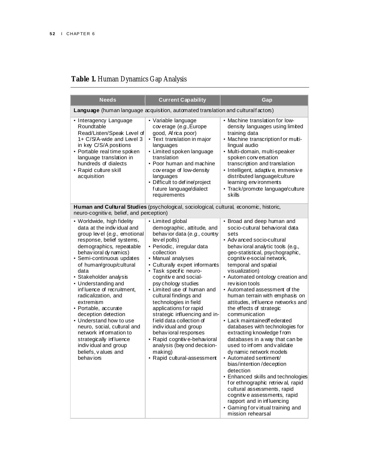|  | <b>Table 1. Human Dynamics Gap Analysis</b> |
|--|---------------------------------------------|
|  |                                             |

| <b>Needs</b>                                                                                                                                                                                                                                                                                                                                                                                                                                                                                                                                                                              | <b>Current Capability</b>                                                                                                                                                                                                                                                                                                                                                                                                                                                                                                                                                                                        | Gap                                                                                                                                                                                                                                                                                                                                                                                                                                                                                                                                                                                                                                                                                                                                                                                                                                                                                                                                                             |  |  |  |
|-------------------------------------------------------------------------------------------------------------------------------------------------------------------------------------------------------------------------------------------------------------------------------------------------------------------------------------------------------------------------------------------------------------------------------------------------------------------------------------------------------------------------------------------------------------------------------------------|------------------------------------------------------------------------------------------------------------------------------------------------------------------------------------------------------------------------------------------------------------------------------------------------------------------------------------------------------------------------------------------------------------------------------------------------------------------------------------------------------------------------------------------------------------------------------------------------------------------|-----------------------------------------------------------------------------------------------------------------------------------------------------------------------------------------------------------------------------------------------------------------------------------------------------------------------------------------------------------------------------------------------------------------------------------------------------------------------------------------------------------------------------------------------------------------------------------------------------------------------------------------------------------------------------------------------------------------------------------------------------------------------------------------------------------------------------------------------------------------------------------------------------------------------------------------------------------------|--|--|--|
| Language (human language acquisition, automated translation and culturalfactors)                                                                                                                                                                                                                                                                                                                                                                                                                                                                                                          |                                                                                                                                                                                                                                                                                                                                                                                                                                                                                                                                                                                                                  |                                                                                                                                                                                                                                                                                                                                                                                                                                                                                                                                                                                                                                                                                                                                                                                                                                                                                                                                                                 |  |  |  |
| • Interagency Language<br>Roundtable<br>Read/Listen/Speak Level of<br>1+ C/S/A-wide and Level 3<br>in key C/S/A positions<br>• Portable real time spoken<br>language translation in<br>hundreds of dialects<br>• Rapid culture skill<br>acquisition                                                                                                                                                                                                                                                                                                                                       | • Variable language<br>coverage (e.g., Europe<br>good, Africa poor)<br>• Text translation in major<br>languages<br>• Limited spoken language<br>translation<br>• Poor human and machine<br>coverage of low-density<br>languages<br>• Difficult to define/project<br>future language/dialect<br>requirements                                                                                                                                                                                                                                                                                                      | • Machine translation for low-<br>density languages using limited<br>training data<br>• Machine transcriptionf or multi-<br>lingual audio<br>· Multi-domain, multi-speaker<br>spoken conversation<br>transcription and translation<br>· Intelligent, adaptive, immersive<br>distributed language/culture<br>learning environments<br>· Track/promote language/culture<br>skills                                                                                                                                                                                                                                                                                                                                                                                                                                                                                                                                                                                 |  |  |  |
| Human and Cultural Studies (psychological, sociological, cultural, economic, historic,<br>neuro-cognitive, belief, and perception)                                                                                                                                                                                                                                                                                                                                                                                                                                                        |                                                                                                                                                                                                                                                                                                                                                                                                                                                                                                                                                                                                                  |                                                                                                                                                                                                                                                                                                                                                                                                                                                                                                                                                                                                                                                                                                                                                                                                                                                                                                                                                                 |  |  |  |
| • Worldwide, high fidelity<br>data at the individual and<br>group level (e.g., emotional<br>response, belief systems,<br>demographics, repeatable<br>behav ioral dy namics)<br>· Semi-continuous updates<br>of human/group/cultural<br>data<br>• Stakeholder analysis<br>• Understanding and<br>influence of recruitment,<br>radicalization, and<br>extremism<br>• Portable, accurate<br>deception detection<br>• Understand how to use<br>neuro, social, cultural and<br>network information to<br>strategically influence<br>indiv idual and group<br>beliefs, values and<br>behav iors | • Limited global<br>demographic, attitude, and<br>behav ior data (e.g., country<br>lev el polls)<br>· Periodic, irregular data<br>collection<br>• Manual analyses<br>• Culturally expert informants<br>• Task specific neuro-<br>cognitive and social-<br>psy chology studies<br>• Limited use of human and<br>cultural findings and<br>technologies in field<br>applications f or rapid<br>strategic influencing and in-<br>field data collection of<br>indiv idual and group<br>behav ioral responses<br>• Rapid cognitive-behavioral<br>analysis (bey ond decision-<br>making)<br>• Rapid cultural-assessment | • Broad and deep human and<br>socio-cultural behavioral data<br>sets<br>• Adv anced socio-cultural<br>behavioral analytic tools (e.g.,<br>geo-statistical, psychographic,<br>cognitiv e-social network,<br>temporal and spatial<br>visualization)<br>• Automated ontology creation and<br>rev ision tools<br>• Automated assessment of the<br>human terrain with emphasis on<br>attitudes, influence networks and<br>the effects of strategic<br>communication<br>• Lack maintained federated<br>databases with technologies for<br>extracting knowledge from<br>databases in a way that can be<br>used to inform and validate<br>dy namic network models<br>• Automated sentiment/<br>bias/intention/deception<br>detection<br>• Enhanced skills and technologies<br>f or ethnographic retrieval, rapid<br>cultural assessments, rapid<br>cognitive assessments, rapid<br>rapport and in influencing<br>• Gaming for virtual training and<br>mission rehearsal |  |  |  |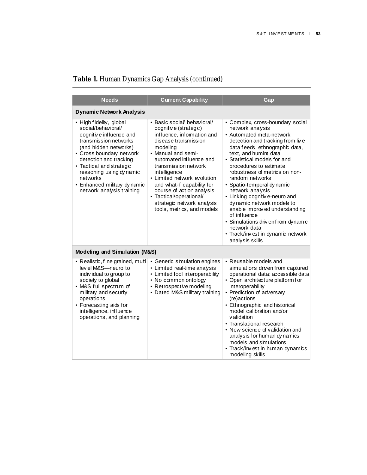# **Table 1.** Human Dynamics Gap Analysis (continued)

| <b>Needs</b>                                                                                                                                                                                                                                                                                                     | <b>Current Capability</b>                                                                                                                                                                                                                                                                                                                                                                       | Gap                                                                                                                                                                                                                                                                                                                                                                                                                                                                                                                                                                         |  |  |  |
|------------------------------------------------------------------------------------------------------------------------------------------------------------------------------------------------------------------------------------------------------------------------------------------------------------------|-------------------------------------------------------------------------------------------------------------------------------------------------------------------------------------------------------------------------------------------------------------------------------------------------------------------------------------------------------------------------------------------------|-----------------------------------------------------------------------------------------------------------------------------------------------------------------------------------------------------------------------------------------------------------------------------------------------------------------------------------------------------------------------------------------------------------------------------------------------------------------------------------------------------------------------------------------------------------------------------|--|--|--|
| <b>Dynamic Network Analysis</b>                                                                                                                                                                                                                                                                                  |                                                                                                                                                                                                                                                                                                                                                                                                 |                                                                                                                                                                                                                                                                                                                                                                                                                                                                                                                                                                             |  |  |  |
| • High fidelity, global<br>social/behavioral/<br>cognitive influence and<br>transmission networks<br>(and hidden networks)<br>• Cross boundary network<br>detection and tracking<br>• Tactical and strategic<br>reasoning using dy namic<br>networks<br>• Enhanced military dynamic<br>network analysis training | • Basic social behavioral/<br>cognitive (strategic)<br>influence, information and<br>disease transmission<br>modeling<br>• Manual and semi-<br>automated influence and<br>transmission network<br>intelligence<br>• Limited network evolution<br>and what-if capability for<br>course of action analysis<br>• Tactical/operational/<br>strategic network analysis<br>tools, metrics, and models | • Complex, cross-boundary social<br>network analysis<br>• Automated meta-network<br>detection and tracking from live<br>data feeds, ethnographic data,<br>text, and humint data<br>• Statistical models for and<br>procedures to estimate<br>robustness of metrics on non-<br>random networks<br>• Spatio-temporal dy namic<br>network analysis<br>• Linking cognitive-neuro and<br>dy namic network models to<br>enable improved understanding<br>of influence<br>· Simulations drivenfrom dynamic<br>network data<br>• Track/invest in dynamic network<br>analysis skills |  |  |  |
| Modeling and Simulation (M&S)                                                                                                                                                                                                                                                                                    |                                                                                                                                                                                                                                                                                                                                                                                                 |                                                                                                                                                                                                                                                                                                                                                                                                                                                                                                                                                                             |  |  |  |
| • Realistic, fine grained, multi<br>lev el M&S-neuro to<br>individual to group to<br>society to global<br>• M&S full spectrum of<br>military and security<br>operations<br>• Forecasting aids for<br>intelligence, influence<br>operations, and planning                                                         | • Generic simulation engines<br>• Limited real-time analysis<br>• Limited tool interoperability<br>• No common ontology<br>• Retrospective modeling<br>• Dated M&S military training                                                                                                                                                                                                            | • Reusable models and<br>simulations driven from captured<br>operational data; accessible data<br>• Open architecture platform for<br>interoperability<br>• Prediction of adversary<br>(re)actions<br>• Ethnographic and historical<br>model calibration and/or<br>validation<br>• Translational research<br>• New science of validation and<br>analysis for human dy namics<br>models and simulations<br>• Track/invest in human dynamics<br>modeling skills                                                                                                               |  |  |  |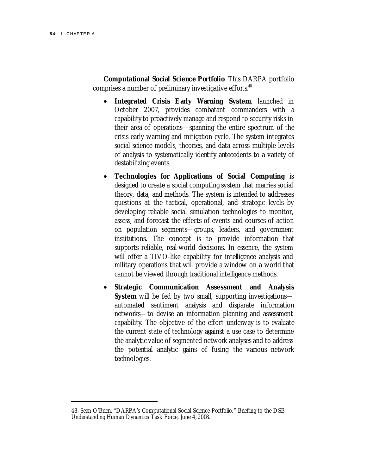l

**Computational Social Science Portfolio**. This DARPA portfolio comprises a number of preliminary investigative efforts.<sup>48</sup>

- **Integrated Crisis Early Warning System**, launched in October 2007, provides combatant commanders with a capability to proactively manage and respond to security risks in their area of operations—spanning the entire spectrum of the crisis early warning and mitigation cycle. The system integrates social science models, theories, and data across multiple levels of analysis to systematically identify antecedents to a variety of destabilizing events.
- **Technologies for Applications of Social Computing** is designed to create a social computing system that marries social theory, data, and methods. The system is intended to addresses questions at the tactical, operational, and strategic levels by developing reliable social simulation technologies to monitor, assess, and forecast the effects of events and courses of action on population segments—groups, leaders, and government institutions. The concept is to provide information that supports reliable, real-world decisions. In essence, the system will offer a TIVO-like capability for intelligence analysis and military operations that will provide a window on a world that cannot be viewed through traditional intelligence methods.
- **Strategic Communication Assessment and Analysis System** will be fed by two small, supporting investigations automated sentiment analysis and disparate information networks—to devise an information planning and assessment capability. The objective of the effort underway is to evaluate the current state of technology against a use case to determine the analytic value of segmented network analyses and to address the potential analytic gains of fusing the various network technologies.

<sup>48.</sup> Sean O'Brien, "DARPA's Computational Social Science Portfolio," Briefing to the DSB Understanding Human Dynamics Task Force, June 4, 2008.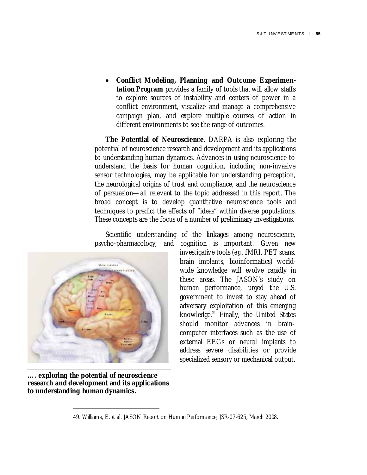• **Conflict Modeling, Planning and Outcome Experimentation Program** provides a family of tools that will allow staffs to explore sources of instability and centers of power in a conflict environment, visualize and manage a comprehensive campaign plan, and explore multiple courses of action in different environments to see the range of outcomes.

**The Potential of Neuroscience**. DARPA is also exploring the potential of neuroscience research and development and its applications to understanding human dynamics. Advances in using neuroscience to understand the basis for human cognition, including non-invasive sensor technologies, may be applicable for understanding perception, the neurological origins of trust and compliance, and the neuroscience of persuasion—all relevant to the topic addressed in this report. The broad concept is to develop quantitative neuroscience tools and techniques to predict the effects of "ideas" within diverse populations. These concepts are the focus of a number of preliminary investigations.



**…. exploring the potential of neuroscience research and development and its applications to understanding human dynamics.** 

l

Scientific understanding of the linkages among neuroscience, psycho-pharmacology, and cognition is important. Given new investigative tools (*e.g.*, fMRI, PET scans, brain implants, bioinformatics) worldwide knowledge will evolve rapidly in these areas. The JASON's study on human performance, urged the U.S. government to invest to stay ahead of adversary exploitation of this emerging knowledge.49 Finally, the United States should monitor advances in braincomputer interfaces such as the use of external EEGs or neural implants to address severe disabilities or provide specialized sensory or mechanical output.

<sup>49.</sup> Williams, E. *et al*. JASON Report on Human Performance, JSR-07-625, March 2008.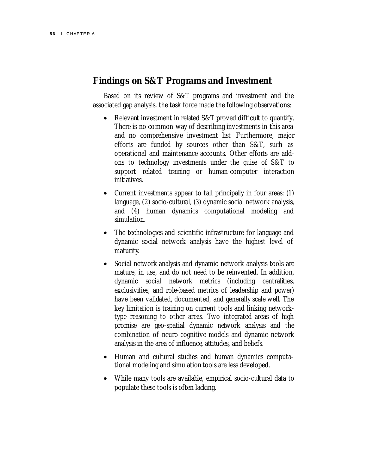### **Findings on S&T Programs and Investment**

Based on its review of S&T programs and investment and the associated gap analysis, the task force made the following observations:

- Relevant investment in related S&T proved difficult to quantify. There is no common way of describing investments in this area and no comprehensive investment list. Furthermore, major efforts are funded by sources other than S&T, such as operational and maintenance accounts. Other efforts are addons to technology investments under the guise of S&T to support related training or human-computer interaction initiatives.
- Current investments appear to fall principally in four areas: (1) language, (2) socio-cultural, (3) dynamic social network analysis, and (4) human dynamics computational modeling and simulation.
- The technologies and scientific infrastructure for language and dynamic social network analysis have the highest level of maturity.
- Social network analysis and dynamic network analysis tools are mature, in use, and do not need to be reinvented. In addition, dynamic social network metrics (including centralities, exclusivities, and role-based metrics of leadership and power) have been validated, documented, and generally scale well. The key limitation is training on current tools and linking networktype reasoning to other areas. Two integrated areas of high promise are geo-spatial dynamic network analysis and the combination of neuro-cognitive models and dynamic network analysis in the area of influence, attitudes, and beliefs.
- Human and cultural studies and human dynamics computational modeling and simulation tools are less developed.
- While many tools are available, empirical socio-cultural data to populate these tools is often lacking.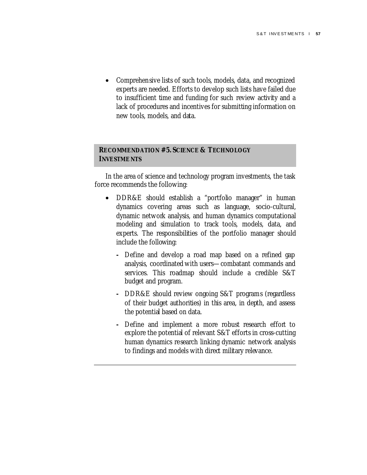• Comprehensive lists of such tools, models, data, and recognized experts are needed. Efforts to develop such lists have failed due to insufficient time and funding for such review activity and a lack of procedures and incentives for submitting information on new tools, models, and data.

#### **RECOMMENDATION #5. SCIENCE & TECHNOLOGY INVESTMENTS**

In the area of science and technology program investments, the task force recommends the following:

- DDR&E should establish a "portfolio manager" in human dynamics covering areas such as language, socio-cultural, dynamic network analysis, and human dynamics computational modeling and simulation to track tools, models, data, and experts. The responsibilities of the portfolio manager should include the following:
	- Define and develop a road map based on a refined gap analysis, coordinated with users—combatant commands and services. This roadmap should include a credible S&T budget and program.
	- DDR&E should review ongoing S&T programs (regardless of their budget authorities) in this area, in depth, and assess the potential based on data.
	- Define and implement a more robust research effort to explore the potential of relevant S&T efforts in cross-cutting human dynamics research linking dynamic network analysis to findings and models with direct military relevance.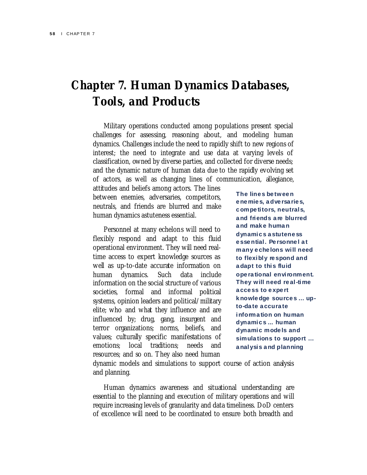# **Chapter 7. Human Dynamics Databases, Tools, and Products**

Military operations conducted among populations present special challenges for assessing, reasoning about, and modeling human dynamics. Challenges include the need to rapidly shift to new regions of interest; the need to integrate and use data at varying levels of classification, owned by diverse parties, and collected for diverse needs; and the dynamic nature of human data due to the rapidly evolving set of actors, as well as changing lines of communication, allegiance,

attitudes and beliefs among actors. The lines between enemies, adversaries, competitors, neutrals, and friends are blurred and make human dynamics astuteness essential.

Personnel at many echelons will need to flexibly respond and adapt to this fluid operational environment. They will need realtime access to expert knowledge sources as well as up-to-date accurate information on human dynamics. Such data include information on the social structure of various societies, formal and informal political systems, opinion leaders and political/military elite; who and what they influence and are influenced by; drug, gang, insurgent and terror organizations; norms, beliefs, and values; culturally specific manifestations of emotions; local traditions; needs and resources; and so on. They also need human

The lines between enemies, adversaries, competitors, neutrals, and friends are blurred and make human dynamics astuteness essential. Personnel at many echelons will need to flexibly respond and adapt to this fluid operational environment. They will need real-time access to expert knowledge sources … upto-date accurate information on human dynamics ... human dynamic models and simulations to support … analysis and planning

dynamic models and simulations to support course of action analysis and planning.

Human dynamics awareness and situational understanding are essential to the planning and execution of military operations and will require increasing levels of granularity and data timeliness. DoD centers of excellence will need to be coordinated to ensure both breadth and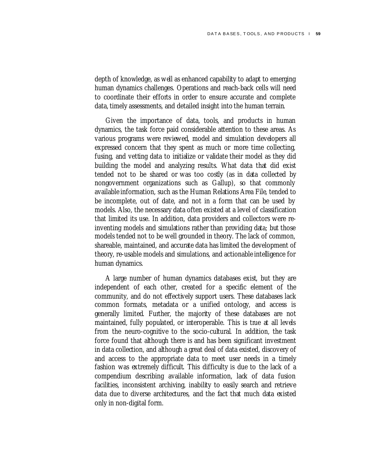depth of knowledge, as well as enhanced capability to adapt to emerging human dynamics challenges. Operations and reach-back cells will need to coordinate their efforts in order to ensure accurate and complete data, timely assessments, and detailed insight into the human terrain.

Given the importance of data, tools, and products in human dynamics, the task force paid considerable attention to these areas. As various programs were reviewed, model and simulation developers all expressed concern that they spent as much or more time collecting, fusing, and vetting data to initialize or validate their model as they did building the model and analyzing results. What data that did exist tended not to be shared or was too costly (as in data collected by nongovernment organizations such as Gallup), so that commonly available information, such as the Human Relations Area File, tended to be incomplete, out of date, and not in a form that can be used by models. Also, the necessary data often existed at a level of classification that limited its use. In addition, data providers and collectors were reinventing models and simulations rather than providing data; but those models tended not to be well grounded in theory. The lack of common, shareable, maintained, and accurate data has limited the development of theory, re-usable models and simulations, and actionable intelligence for human dynamics.

A large number of human dynamics databases exist, but they are independent of each other, created for a specific element of the community, and do not effectively support users. These databases lack common formats, metadata or a unified ontology, and access is generally limited. Further, the majority of these databases are not maintained, fully populated, or interoperable. This is true at all levels from the neuro-cognitive to the socio-cultural. In addition, the task force found that although there is and has been significant investment in data collection, and although a great deal of data existed, discovery of and access to the appropriate data to meet user needs in a timely fashion was extremely difficult. This difficulty is due to the lack of a compendium describing available information, lack of data fusion facilities, inconsistent archiving, inability to easily search and retrieve data due to diverse architectures, and the fact that much data existed only in non-digital form.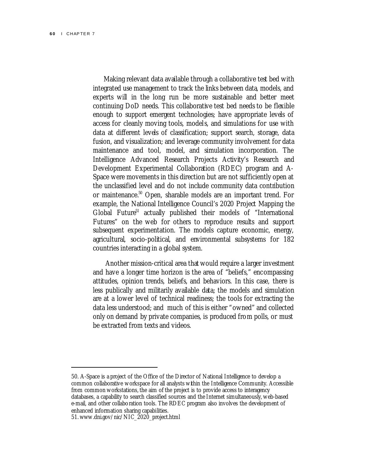Making relevant data available through a collaborative test bed with integrated use management to track the links between data, models, and experts will in the long run be more sustainable and better meet continuing DoD needs. This collaborative test bed needs to be flexible enough to support emergent technologies; have appropriate levels of access for cleanly moving tools, models, and simulations for use with data at different levels of classification; support search, storage, data fusion, and visualization; and leverage community involvement for data maintenance and tool, model, and simulation incorporation. The Intelligence Advanced Research Projects Activity's Research and Development Experimental Collaboration (RDEC) program and A-Space were movements in this direction but are not sufficiently open at the unclassified level and do not include community data contribution or maintenance.<sup>50</sup> Open, sharable models are an important trend. For example, the National Intelligence Council's 2020 Project Mapping the Global Future $51$  actually published their models of "International Futures" on the web for others to reproduce results and support subsequent experimentation. The models capture economic, energy, agricultural, socio-political, and environmental subsystems for 182 countries interacting in a global system.

 Another mission-critical area that would require a larger investment and have a longer time horizon is the area of "beliefs," encompassing attitudes, opinion trends, beliefs, and behaviors. In this case, there is less publically and militarily available data; the models and simulation are at a lower level of technical readiness; the tools for extracting the data less understood; and much of this is either "owned" and collected only on demand by private companies, is produced from polls, or must be extracted from texts and videos.

<sup>50.</sup> A-Space is a project of the Office of the Director of National Intelligence to develop a common collaborative w orkspace for all analysts w ithin the Intelligence Community. Accessible from common w orkstations, the aim of the project is to provide access to interagency databases, a capability to search classified sources and the Internet simultaneously, w eb-based e-mail, and other collaboration tools. The RDEC program also involves the development of enhanced information sharing capabilities.

<sup>51.</sup> www .dni.gov/nic/NIC\_2020\_project.html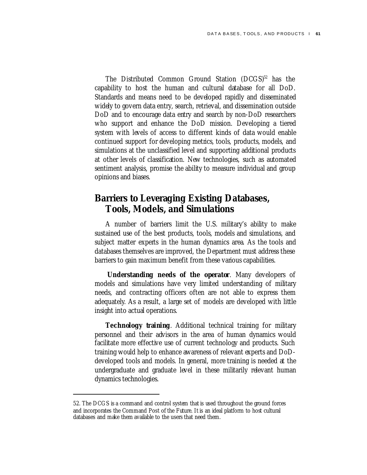The Distributed Common Ground Station (DCGS)<sup>52</sup> has the capability to host the human and cultural database for all DoD. Standards and means need to be developed rapidly and disseminated widely to govern data entry, search, retrieval, and dissemination outside DoD and to encourage data entry and search by non-DoD researchers who support and enhance the DoD mission. Developing a tiered system with levels of access to different kinds of data would enable continued support for developing metrics, tools, products, models, and simulations at the unclassified level and supporting additional products at other levels of classification. New technologies, such as automated sentiment analysis, promise the ability to measure individual and group opinions and biases.

### **Barriers to Leveraging Existing Databases, Tools, Models, and Simulations**

A number of barriers limit the U.S. military's ability to make sustained use of the best products, tools, models and simulations, and subject matter experts in the human dynamics area. As the tools and databases themselves are improved, the Department must address these barriers to gain maximum benefit from these various capabilities.

**Understanding needs of the operator**. Many developers of models and simulations have very limited understanding of military needs, and contracting officers often are not able to express them adequately. As a result, a large set of models are developed with little insight into actual operations.

**Technology training**. Additional technical training for military personnel and their advisors in the area of human dynamics would facilitate more effective use of current technology and products. Such training would help to enhance awareness of relevant experts and DoDdeveloped tools and models. In general, more training is needed at the undergraduate and graduate level in these militarily relevant human dynamics technologies.

<sup>52.</sup> The DCGS is a command and control system that is used throughout the ground forces and incorporates the Command Post of the Future. It is an ideal platform to host cultural databases and make them available to the users that need them.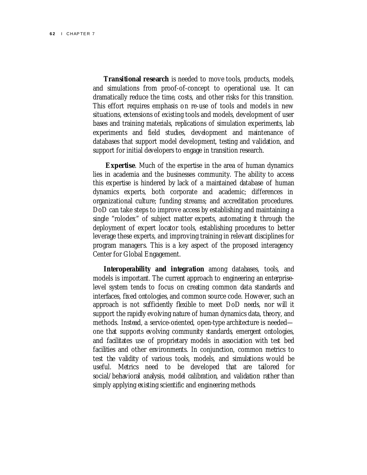**Transitional research** is needed to move tools, products, models, and simulations from proof-of-concept to operational use. It can dramatically reduce the time, costs, and other risks for this transition. This effort requires emphasis on re-use of tools and models in new situations, extensions of existing tools and models, development of user bases and training materials, replications of simulation experiments, lab experiments and field studies, development and maintenance of databases that support model development, testing and validation, and support for initial developers to engage in transition research.

**Expertise**. Much of the expertise in the area of human dynamics lies in academia and the businesses community. The ability to access this expertise is hindered by lack of a maintained database of human dynamics experts, both corporate and academic; differences in organizational culture; funding streams; and accreditation procedures. DoD can take steps to improve access by establishing and maintaining a single "rolodex" of subject matter experts, automating it through the deployment of expert locator tools, establishing procedures to better leverage these experts, and improving training in relevant disciplines for program managers. This is a key aspect of the proposed interagency Center for Global Engagement.

**Interoperability and integration** among databases, tools, and models is important. The current approach to engineering an enterpriselevel system tends to focus on creating common data standards and interfaces, fixed ontologies, and common source code. However, such an approach is not sufficiently flexible to meet DoD needs, nor will it support the rapidly evolving nature of human dynamics data, theory, and methods. Instead, a service-oriented, open-type architecture is needed one that supports evolving community standards, emergent ontologies, and facilitates use of proprietary models in association with test bed facilities and other environments. In conjunction, common metrics to test the validity of various tools, models, and simulations would be useful. Metrics need to be developed that are tailored for social/behavioral analysis, model calibration, and validation rather than simply applying existing scientific and engineering methods.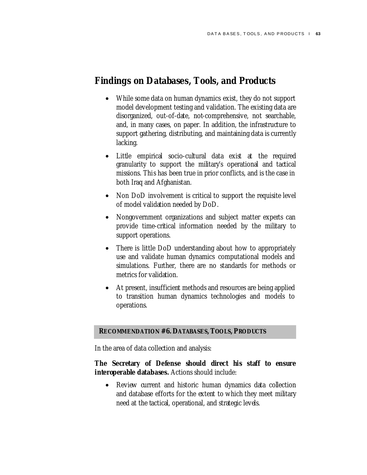### **Findings on Databases, Tools, and Products**

- While some data on human dynamics exist, they do not support model development testing and validation. The existing data are disorganized, out-of-date, not-comprehensive, not searchable, and, in many cases, on paper. In addition, the infrastructure to support gathering, distributing, and maintaining data is currently lacking.
- Little empirical socio-cultural data exist at the required granularity to support the military's operational and tactical missions. This has been true in prior conflicts, and is the case in both Iraq and Afghanistan.
- Non DoD involvement is critical to support the requisite level of model validation needed by DoD.
- Nongovernment organizations and subject matter experts can provide time-critical information needed by the military to support operations.
- There is little DoD understanding about how to appropriately use and validate human dynamics computational models and simulations. Further, there are no standards for methods or metrics for validation.
- At present, insufficient methods and resources are being applied to transition human dynamics technologies and models to operations.

#### **RECOMMENDATION #6.DATABASES,TOOLS, PRODUCTS**

In the area of data collection and analysis:

#### **The Secretary of Defense should direct his staff to ensure interoperable databases.** Actions should include:

• Review current and historic human dynamics data collection and database efforts for the extent to which they meet military need at the tactical, operational, and strategic levels.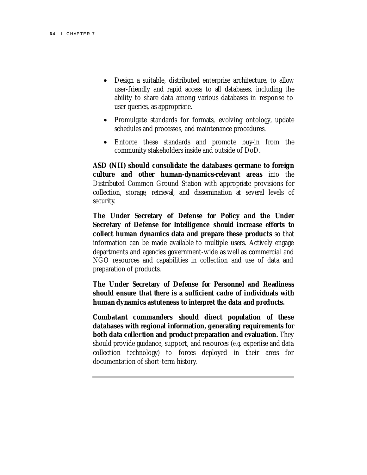- Design a suitable, distributed enterprise architecture, to allow user-friendly and rapid access to all databases, including the ability to share data among various databases in response to user queries, as appropriate.
- Promulgate standards for formats, evolving ontology, update schedules and processes, and maintenance procedures.
- Enforce these standards and promote buy-in from the community stakeholders inside and outside of DoD.

**ASD (NII) should consolidate the databases germane to foreign culture and other human-dynamics-relevant areas** into the Distributed Common Ground Station with appropriate provisions for collection, storage, retrieval, and dissemination at several levels of security.

**The Under Secretary of Defense for Policy and the Under Secretary of Defense for Intelligence should increase efforts to collect human dynamics data and prepare these products** so that information can be made available to multiple users. Actively engage departments and agencies government-wide as well as commercial and NGO resources and capabilities in collection and use of data and preparation of products.

**The Under Secretary of Defense for Personnel and Readiness should ensure that there is a sufficient cadre of individuals with human dynamics astuteness to interpret the data and products.**

**Combatant commanders should direct population of these databases with regional information, generating requirements for both data collection and product preparation and evaluation.** They should provide guidance, support, and resources (*e.g*. expertise and data collection technology) to forces deployed in their areas for documentation of short-term history.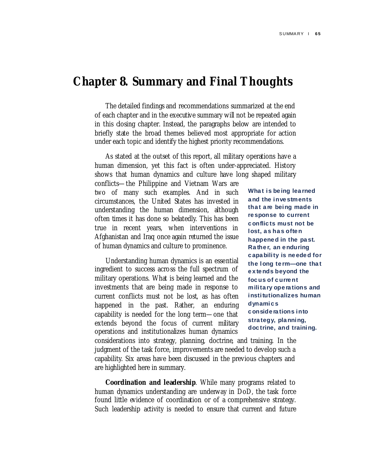## **Chapter 8. Summary and Final Thoughts**

The detailed findings and recommendations summarized at the end of each chapter and in the executive summary will not be repeated again in this closing chapter. Instead, the paragraphs below are intended to briefly state the broad themes believed most appropriate for action under each topic and identify the highest priority recommendations.

As stated at the outset of this report, all military operations have a human dimension, yet this fact is often under-appreciated. History shows that human dynamics and culture have long shaped military

conflicts—the Philippine and Vietnam Wars are two of many such examples. And in such circumstances, the United States has invested in understanding the human dimension, although often times it has done so belatedly. This has been true in recent years, when interventions in Afghanistan and Iraq once again returned the issue of human dynamics and culture to prominence.

Understanding human dynamics is an essential ingredient to success across the full spectrum of military operations. What is being learned and the investments that are being made in response to current conflicts must not be lost, as has often happened in the past. Rather, an enduring capability is needed for the long term—one that extends beyond the focus of current military operations and institutionalizes human dynamics

What is being learned and the investments that are being made in response to current conflicts must not be lost, as has often happened in the past. Rather, an enduring capability is needed for the long term—one that extends beyond the focus of current military operations and institutionalizes human dynamics considerations into strategy, planning, doctrine, and training.

considerations into strategy, planning, doctrine, and training. In the judgment of the task force, improvements are needed to develop such a capability. Six areas have been discussed in the previous chapters and are highlighted here in summary.

**Coordination and leadership**. While many programs related to human dynamics understanding are underway in DoD, the task force found little evidence of coordination or of a comprehensive strategy. Such leadership activity is needed to ensure that current and future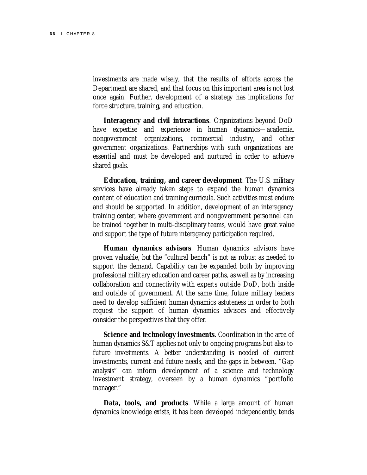investments are made wisely, that the results of efforts across the Department are shared, and that focus on this important area is not lost once again. Further, development of a strategy has implications for force structure, training, and education.

**Interagency and civil interactions**. Organizations beyond DoD have expertise and experience in human dynamics—academia, nongovernment organizations, commercial industry, and other government organizations. Partnerships with such organizations are essential and must be developed and nurtured in order to achieve shared goals.

**Education, training, and career development**. The U.S. military services have already taken steps to expand the human dynamics content of education and training curricula. Such activities must endure and should be supported. In addition, development of an interagency training center, where government and nongovernment personnel can be trained together in multi-disciplinary teams, would have great value and support the type of future interagency participation required.

**Human dynamics advisors**. Human dynamics advisors have proven valuable, but the "cultural bench" is not as robust as needed to support the demand. Capability can be expanded both by improving professional military education and career paths, as well as by increasing collaboration and connectivity with experts outside DoD, both inside and outside of government. At the same time, future military leaders need to develop sufficient human dynamics astuteness in order to both request the support of human dynamics advisors and effectively consider the perspectives that they offer.

**Science and technology investments**. Coordination in the area of human dynamics S&T applies not only to ongoing programs but also to future investments. A better understanding is needed of current investments, current and future needs, and the gaps in between. "Gap analysis" can inform development of a science and technology investment strategy, overseen by a human dynamics "portfolio manager."

**Data, tools, and products**. While a large amount of human dynamics knowledge exists, it has been developed independently, tends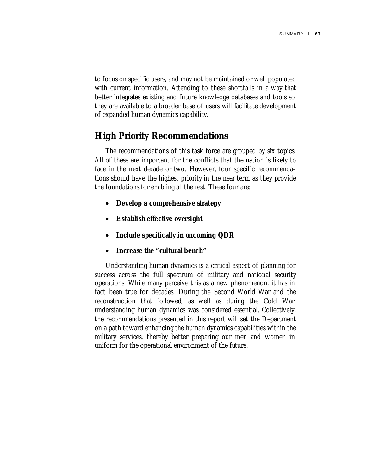to focus on specific users, and may not be maintained or well populated with current information. Attending to these shortfalls in a way that better integrates existing and future knowledge databases and tools so they are available to a broader base of users will facilitate development of expanded human dynamics capability.

### **High Priority Recommendations**

The recommendations of this task force are grouped by six topics. All of these are important for the conflicts that the nation is likely to face in the next decade or two. However, four specific recommendations should have the highest priority in the near term as they provide the foundations for enabling all the rest. These four are:

- **Develop a comprehensive strategy**
- **Establish effective oversight**
- **Include specifically in oncoming QDR**
- **Increase the "cultural bench"**

Understanding human dynamics is a critical aspect of planning for success across the full spectrum of military and national security operations. While many perceive this as a new phenomenon, it has in fact been true for decades. During the Second World War and the reconstruction that followed, as well as during the Cold War, understanding human dynamics was considered essential. Collectively, the recommendations presented in this report will set the Department on a path toward enhancing the human dynamics capabilities within the military services, thereby better preparing our men and women in uniform for the operational environment of the future.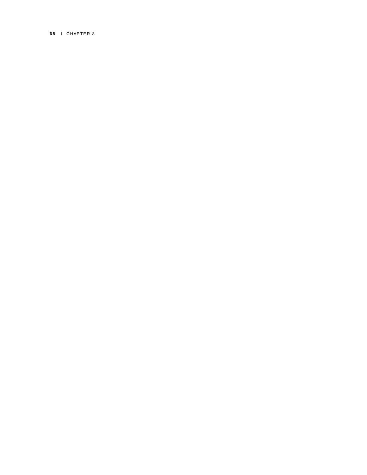68 | CHAPTER 8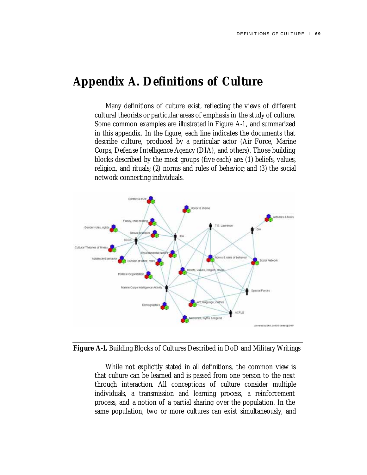## **Appendix A. Definitions of Culture**

Many definitions of culture exist, reflecting the views of different cultural theorists or particular areas of emphasis in the study of culture. Some common examples are illustrated in Figure A-1, and summarized in this appendix. In the figure, each line indicates the documents that describe culture, produced by a particular actor (Air Force, Marine Corps, Defense Intelligence Agency (DIA), and others). Those building blocks described by the most groups (five each) are: (1) beliefs, values, religion, and rituals; (2) norms and rules of behavior; and (3) the social network connecting individuals.



**Figure A-1.** Building Blocks of Cultures Described in DoD and Military Writings

While not explicitly stated in all definitions, the common view is that culture can be learned and is passed from one person to the next through interaction. All conceptions of culture consider multiple individuals, a transmission and learning process, a reinforcement process, and a notion of a partial sharing over the population. In the same population, two or more cultures can exist simultaneously, and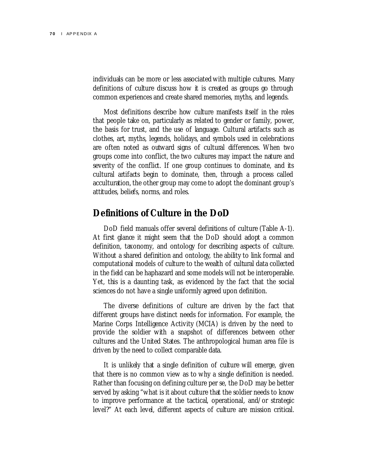individuals can be more or less associated with multiple cultures. Many definitions of culture discuss how it is created as groups go through common experiences and create shared memories, myths, and legends.

Most definitions describe how culture manifests itself in the roles that people take on, particularly as related to gender or family, power, the basis for trust, and the use of language. Cultural artifacts such as clothes, art, myths, legends, holidays, and symbols used in celebrations are often noted as outward signs of cultural differences. When two groups come into conflict, the two cultures may impact the nature and severity of the conflict. If one group continues to dominate, and its cultural artifacts begin to dominate, then, through a process called acculturation, the other group may come to adopt the dominant group's attitudes, beliefs, norms, and roles.

### **Definitions of Culture in the DoD**

DoD field manuals offer several definitions of culture (Table A-1). At first glance it might seem that the DoD should adopt a common definition, taxonomy, and ontology for describing aspects of culture. Without a shared definition and ontology, the ability to link formal and computational models of culture to the wealth of cultural data collected in the field can be haphazard and some models will not be interoperable. Yet, this is a daunting task, as evidenced by the fact that the social sciences do not have a single uniformly agreed upon definition.

The diverse definitions of culture are driven by the fact that different groups have distinct needs for information. For example, the Marine Corps Intelligence Activity (MCIA) is driven by the need to provide the soldier with a snapshot of differences between other cultures and the United States. The anthropological human area file is driven by the need to collect comparable data.

It is unlikely that a single definition of culture will emerge, given that there is no common view as to why a single definition is needed. Rather than focusing on defining culture per se, the DoD may be better served by asking "what is it about culture that the soldier needs to know to improve performance at the tactical, operational, and/or strategic level?" At each level, different aspects of culture are mission critical.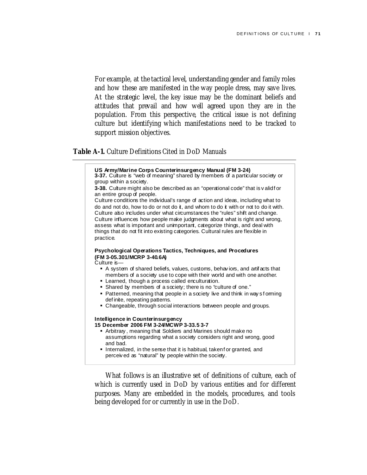For example, at the tactical level, understanding gender and family roles and how these are manifested in the way people dress, may save lives. At the strategic level, the key issue may be the dominant beliefs and attitudes that prevail and how well agreed upon they are in the population. From this perspective, the critical issue is not defining culture but identifying which manifestations need to be tracked to support mission objectives.

**Table A-1.** Culture Definitions Cited in DoD Manuals



What follows is an illustrative set of definitions of culture, each of which is currently used in DoD by various entities and for different purposes. Many are embedded in the models, procedures, and tools being developed for or currently in use in the DoD.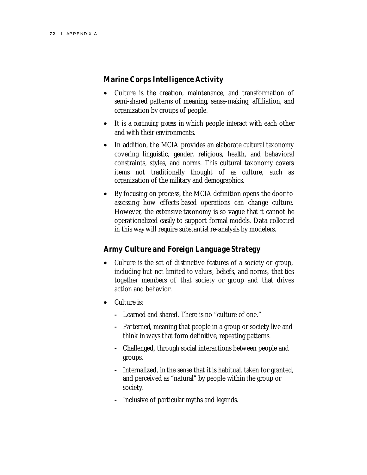#### *Marine Corps Intelligence Activity*

- Culture is the creation, maintenance, and transformation of semi-shared patterns of meaning, sense-making, affiliation, and organization by groups of people.
- It is a *continuing process* in which people interact with each other and with their environments.
- In addition, the MCIA provides an elaborate cultural taxonomy covering linguistic, gender, religious, health, and behavioral constraints, styles, and norms. This cultural taxonomy covers items not traditionally thought of as culture, such as organization of the military and demographics.
- By focusing on process, the MCIA definition opens the door to assessing how effects-based operations can change culture. However, the extensive taxonomy is so vague that it cannot be operationalized easily to support formal models. Data collected in this way will require substantial re-analysis by modelers.

#### *Army Culture and Foreign Language Strategy*

- Culture is the set of distinctive features of a society or group, including but not limited to values, beliefs, and norms, that ties together members of that society or group and that drives action and behavior.
- Culture is:
	- Learned and shared. There is no "culture of one."
	- Patterned, meaning that people in a group or society live and think in ways that form definitive, repeating patterns.
	- Challenged, through social interactions between people and groups.
	- Internalized, in the sense that it is habitual, taken for granted, and perceived as "natural" by people within the group or society.
	- Inclusive of particular myths and legends.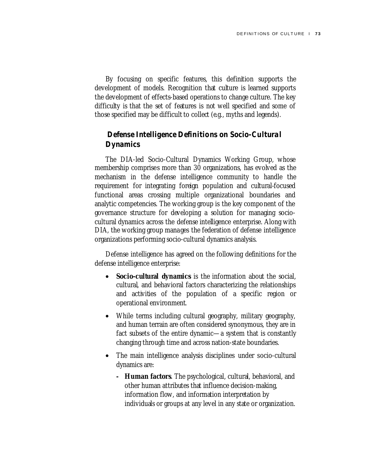By focusing on specific features, this definition supports the development of models. Recognition that culture is learned supports the development of effects-based operations to change culture. The key difficulty is that the set of features is not well specified and some of those specified may be difficult to collect (e.g., myths and legends).

### *Defense Intelligence Definitions on Socio-Cultural Dynamics*

The DIA-led Socio-Cultural Dynamics Working Group, whose membership comprises more than 30 organizations, has evolved as the mechanism in the defense intelligence community to handle the requirement for integrating foreign population and cultural-focused functional areas crossing multiple organizational boundaries and analytic competencies. The working group is the key component of the governance structure for developing a solution for managing sociocultural dynamics across the defense intelligence enterprise. Along with DIA, the working group manages the federation of defense intelligence organizations performing socio-cultural dynamics analysis.

Defense intelligence has agreed on the following definitions for the defense intelligence enterprise:

- **Socio-cultural dynamics** is the information about the social, cultural, and behavioral factors characterizing the relationships and activities of the population of a specific region or operational environment.
- While terms including cultural geography, military geography, and human terrain are often considered synonymous, they are in fact subsets of the entire dynamic—a system that is constantly changing through time and across nation-state boundaries.
- The main intelligence analysis disciplines under socio-cultural dynamics are:
	- **Human factors**. The psychological, cultural, behavioral, and other human attributes that influence decision-making, information flow, and information interpretation by individuals or groups at any level in any state or organization.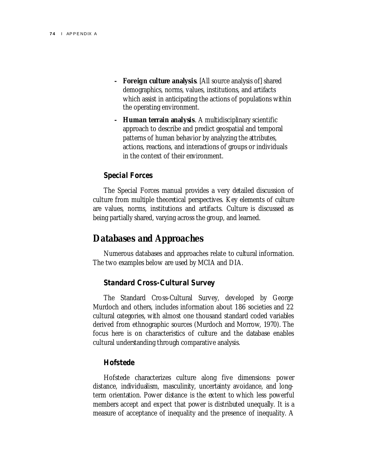- **Foreign culture analysis**. [All source analysis of] shared demographics, norms, values, institutions, and artifacts which assist in anticipating the actions of populations within the operating environment.
- **Human terrain analysis**. A multidisciplinary scientific approach to describe and predict geospatial and temporal patterns of human behavior by analyzing the attributes, actions, reactions, and interactions of groups or individuals in the context of their environment.

#### *Special Forces*

The Special Forces manual provides a very detailed discussion of culture from multiple theoretical perspectives. Key elements of culture are values, norms, institutions and artifacts. Culture is discussed as being partially shared, varying across the group, and learned.

### **Databases and Approaches**

Numerous databases and approaches relate to cultural information. The two examples below are used by MCIA and DIA.

#### *Standard Cross-Cultural Survey*

The Standard Cross-Cultural Survey, developed by George Murdoch and others, includes information about 186 societies and 22 cultural categories, with almost one thousand standard coded variables derived from ethnographic sources (Murdoch and Morrow, 1970). The focus here is on characteristics of culture and the database enables cultural understanding through comparative analysis.

#### *Hofstede*

Hofstede characterizes culture along five dimensions: power distance, individualism, masculinity, uncertainty avoidance, and longterm orientation. Power distance is the extent to which less powerful members accept and expect that power is distributed unequally. It is a measure of acceptance of inequality and the presence of inequality. A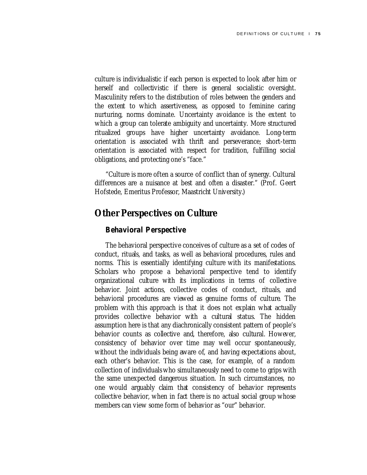culture is individualistic if each person is expected to look after him or herself and collectivistic if there is general socialistic oversight. Masculinity refers to the distribution of roles between the genders and the extent to which assertiveness, as opposed to feminine caring nurturing, norms dominate. Uncertainty avoidance is the extent to which a group can tolerate ambiguity and uncertainty. More structured ritualized groups have higher uncertainty avoidance. Long-term orientation is associated with thrift and perseverance; short-term orientation is associated with respect for tradition, fulfilling social obligations, and protecting one's "face."

"Culture is more often a source of conflict than of synergy. Cultural differences are a nuisance at best and often a disaster." (Prof. Geert Hofstede, Emeritus Professor, Maastricht University.)

### **Other Perspectives on Culture**

#### *Behavioral Perspective*

The behavioral perspective conceives of culture as a set of codes of conduct, rituals, and tasks, as well as behavioral procedures, rules and norms. This is essentially identifying culture with its manifestations. Scholars who propose a behavioral perspective tend to identify organizational culture with its implications in terms of collective behavior. Joint actions, collective codes of conduct, rituals, and behavioral procedures are viewed as genuine forms of culture. The problem with this approach is that it does not explain what actually provides collective behavior with a cultural status. The hidden assumption here is that any diachronically consistent pattern of people's behavior counts as collective and, therefore, also cultural. However, consistency of behavior over time may well occur spontaneously, without the individuals being aware of, and having expectations about, each other's behavior. This is the case, for example, of a random collection of individuals who simultaneously need to come to grips with the same unexpected dangerous situation. In such circumstances, no one would arguably claim that consistency of behavior represents collective behavior, when in fact there is no actual social group whose members can view some form of behavior as "our" behavior.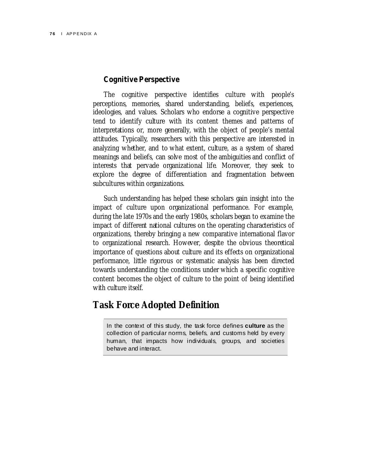#### *Cognitive Perspective*

The cognitive perspective identifies culture with people's perceptions, memories, shared understanding, beliefs, experiences, ideologies, and values. Scholars who endorse a cognitive perspective tend to identify culture with its content themes and patterns of interpretations or, more generally, with the object of people's mental attitudes. Typically, researchers with this perspective are interested in analyzing whether, and to what extent, culture, as a system of shared meanings and beliefs, can solve most of the ambiguities and conflict of interests that pervade organizational life. Moreover, they seek to explore the degree of differentiation and fragmentation between subcultures within organizations.

Such understanding has helped these scholars gain insight into the impact of culture upon organizational performance. For example, during the late 1970s and the early 1980s, scholars began to examine the impact of different national cultures on the operating characteristics of organizations, thereby bringing a new comparative international flavor to organizational research. However, despite the obvious theoretical importance of questions about culture and its effects on organizational performance, little rigorous or systematic analysis has been directed towards understanding the conditions under which a specific cognitive content becomes the object of culture to the point of being identified with culture itself.

### **Task Force Adopted Definition**

In the context of this study, the task force defines **culture** as the collection of particular norms, beliefs, and customs held by every human, that impacts how individuals, groups, and societies behave and interact.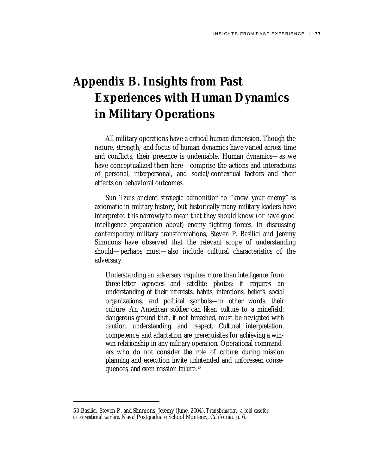# **Appendix B. Insights from Past Experiences with Human Dynamics in Military Operations**

All military operations have a critical human dimension. Though the nature, strength, and focus of human dynamics have varied across time and conflicts, their presence is undeniable. Human dynamics—as we have conceptualized them here—comprise the actions and interactions of personal, interpersonal, and social/contextual factors and their effects on behavioral outcomes.

Sun Tzu's ancient strategic admonition to "know your enemy" is axiomatic in military history, but historically many military leaders have interpreted this narrowly to mean that they should know (or have good intelligence preparation about) enemy fighting forces. In discussing contemporary military transformations, Steven P. Basilici and Jeremy Simmons have observed that the relevant scope of understanding should—perhaps must—also include cultural characteristics of the adversary:

Understanding an adversary requires more than intelligence from three-letter agencies and satellite photos; it requires an understanding of their interests, habits, intentions, beliefs, social organizations, and political symbols—in other words, their culture. An American soldier can liken culture to a minefield: dangerous ground that, if not breached, must be navigated with caution, understanding, and respect. Cultural interpretation, competence, and adaptation are prerequisites for achieving a winwin relationship in any military operation. Operational commanders who do not consider the role of culture during mission planning and execution invite unintended and unforeseen consequences, and even mission failure.53

<sup>53</sup> Basilici, Steven P. and Simmons, Jeremy (June, 2004). *Transformation: a bold case for unconventional warfare*. Naval Postgraduate School Monterey, California. p. 6.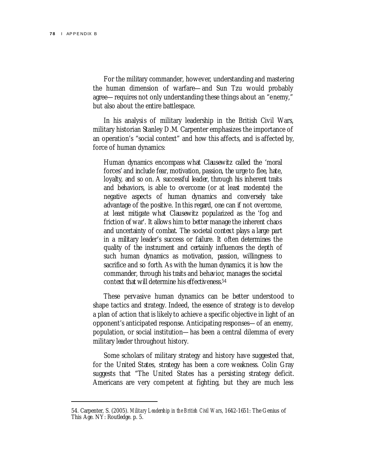l

For the military commander, however, understanding and mastering the human dimension of warfare—and Sun Tzu would probably agree—requires not only understanding these things about an "enemy," but also about the entire battlespace.

In his analysis of military leadership in the British Civil Wars, military historian Stanley D.M. Carpenter emphasizes the importance of an operation's "social context" and how this affects, and is affected by, force of human dynamics:

Human dynamics encompass what Clausewitz called the 'moral forces' and include fear, motivation, passion, the urge to flee, hate, loyalty, and so on. A successful leader, through his inherent traits and behaviors, is able to overcome (or at least moderate) the negative aspects of human dynamics and conversely take advantage of the positive. In this regard, one can if not overcome, at least mitigate what Clausewitz popularized as the 'fog and friction of war'. It allows him to better manage the inherent chaos and uncertainty of combat. The societal context plays a large part in a military leader's success or failure. It often determines the quality of the instrument and certainly influences the depth of such human dynamics as motivation, passion, willingness to sacrifice and so forth. As with the human dynamics, it is how the commander, through his traits and behavior, manages the societal context that will determine his effectiveness.54

These pervasive human dynamics can be better understood to shape tactics and strategy. Indeed, the essence of strategy is to develop a plan of action that is likely to achieve a specific objective in light of an opponent's anticipated response. Anticipating responses—of an enemy, population, or social institution—has been a central dilemma of every military leader throughout history.

Some scholars of military strategy and history have suggested that, for the United States, strategy has been a core weakness. Colin Gray suggests that "The United States has a persisting strategy deficit. Americans are very competent at fighting, but they are much less

<sup>54.</sup> Carpenter, S. (2005). *Military Leadership in the British Civil Wars*, 1642-1651: The Genius of This Age. NY: Routledge. p. 5.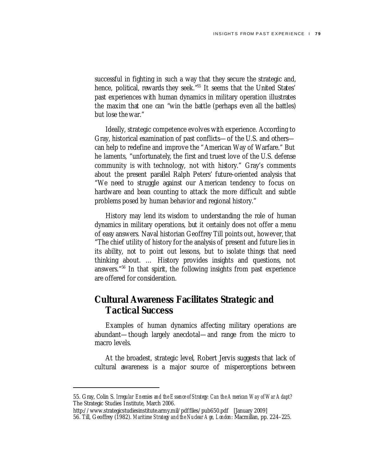successful in fighting in such a way that they secure the strategic and, hence, political, rewards they seek."<sup>55</sup> It seems that the United States' past experiences with human dynamics in military operation illustrates the maxim that one can "win the battle (perhaps even all the battles) but lose the war."

Ideally, strategic competence evolves with experience. According to Gray, historical examination of past conflicts—of the U.S. and others can help to redefine and improve the "American Way of Warfare." But he laments, "unfortunately, the first and truest love of the U.S. defense community is with technology, not with history." Gray's comments about the present parallel Ralph Peters' future-oriented analysis that "We need to struggle against our American tendency to focus on hardware and bean counting to attack the more difficult and subtle problems posed by human behavior and regional history."

History may lend its wisdom to understanding the role of human dynamics in military operations, but it certainly does not offer a menu of easy answers. Naval historian Geoffrey Till points out, however, that "The chief utility of history for the analysis of present and future lies in its ability, not to point out lessons, but to isolate things that need thinking about. … History provides insights and questions, not answers."56 In that spirit, the following insights from past experience are offered for consideration.

### **Cultural Awareness Facilitates Strategic and Tactical Success**

Examples of human dynamics affecting military operations are abundant—though largely anecdotal—and range from the micro to macro levels.

At the broadest, strategic level, Robert Jervis suggests that lack of cultural awareness is a major source of misperceptions between

 $\overline{a}$ 

<sup>55.</sup> Gray, Colin S. *Irregular Enemies and the Essence of Strategy: Can the American Way of War Adapt?* The Strategic Studies Institute, March 2006.

http://www.strategicstudiesinstitute.army.mil/pdffiles/pub650.pdf [January 2009]

<sup>56.</sup> Till, Geoffrey (1982). *Maritime Strategy and the Nuclear Age, London*: Macmillan, pp. 224–225.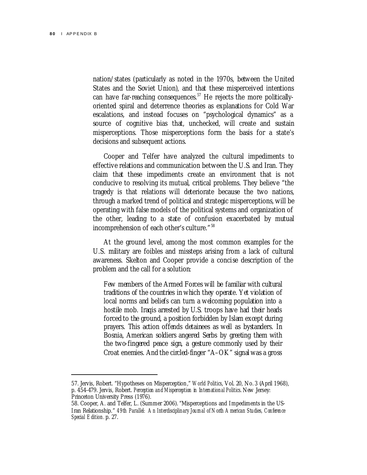l

nation/states (particularly as noted in the 1970s, between the United States and the Soviet Union), and that these misperceived intentions can have far-reaching consequences.<sup>57</sup> He rejects the more politicallyoriented spiral and deterrence theories as explanations for Cold War escalations, and instead focuses on "psychological dynamics" as a source of cognitive bias that, unchecked, will create and sustain misperceptions. Those misperceptions form the basis for a state's decisions and subsequent actions.

Cooper and Telfer have analyzed the cultural impediments to effective relations and communication between the U.S. and Iran. They claim that these impediments create an environment that is not conducive to resolving its mutual, critical problems. They believe "the tragedy is that relations will deteriorate because the two nations, through a marked trend of political and strategic misperceptions, will be operating with false models of the political systems and organization of the other, leading to a state of confusion exacerbated by mutual incomprehension of each other's culture." 58

At the ground level, among the most common examples for the U.S. military are foibles and missteps arising from a lack of cultural awareness. Skelton and Cooper provide a concise description of the problem and the call for a solution:

Few members of the Armed Forces will be familiar with cultural traditions of the countries in which they operate. Yet violation of local norms and beliefs can turn a welcoming population into a hostile mob. Iraqis arrested by U.S. troops have had their heads forced to the ground, a position forbidden by Islam except during prayers. This action offends detainees as well as bystanders. In Bosnia, American soldiers angered Serbs by greeting them with the two-fingered peace sign, a gesture commonly used by their Croat enemies. And the circled-finger "A–OK" signal was a gross

<sup>57.</sup> Jervis, Robert. "Hypotheses on Misperception," *World Politics*, Vol. 20, No. 3 (April 1968), p. 454-479. Jervis, Robert. *Perception and Misperception in International Politics*. New Jersey: Princeton University Press (1976).

<sup>58.</sup> Cooper, A. and Telfer, L. (Summer 2006). "Misperceptions and Impediments in the US-Iran Relationship." *49th Parallel: An Interdisciplinary Journal of North American Studies, Conference Special Edition.* p. 27.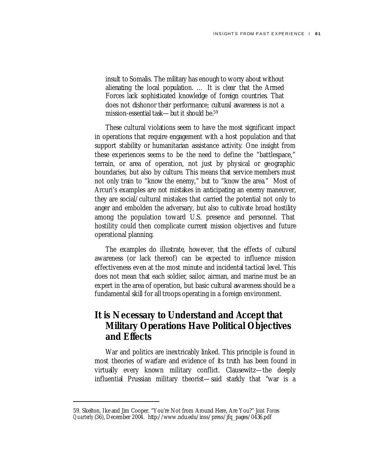insult to Somalis. The military has enough to worry about without alienating the local population. … It is clear that the Armed Forces lack sophisticated knowledge of foreign countries. That does not dishonor their performance; cultural awareness is not a mission-essential task—but it should be.59

These cultural violations seem to have the most significant impact in operations that require engagement with a host population and that support stability or humanitarian assistance activity. One insight from these experiences seems to be the need to define the "battlespace," terrain, or area of operation, not just by physical or geographic boundaries, but also by culture. This means that service members must not only train to "know the enemy," but to "know the area." Most of Arcuri's examples are not mistakes in anticipating an enemy maneuver, they are social/cultural mistakes that carried the potential not only to anger and embolden the adversary, but also to cultivate broad hostility among the population toward U.S. presence and personnel. That hostility could then complicate current mission objectives and future operational planning.

The examples do illustrate, however, that the effects of cultural awareness (or lack thereof) can be expected to influence mission effectiveness even at the most minute and incidental tactical level. This does not mean that each soldier, sailor, airman, and marine must be an expert in the area of operation, but basic cultural awareness should be a fundamental skill for all troops operating in a foreign environment.

### **It is Necessary to Understand and Accept that Military Operations Have Political Objectives and Effects**

War and politics are inextricably linked. This principle is found in most theories of warfare and evidence of its truth has been found in virtually every known military conflict. Clausewitz—the deeply influential Prussian military theorist—said starkly that "war is a

<sup>59.</sup> Skelton, Ike and Jim Cooper. "You're Not from Around Here, Are You?" *Joint Forces Quarterly* (36), December 2004. http://www .ndu.edu/inss/press/jfq\_pages/0436.pdf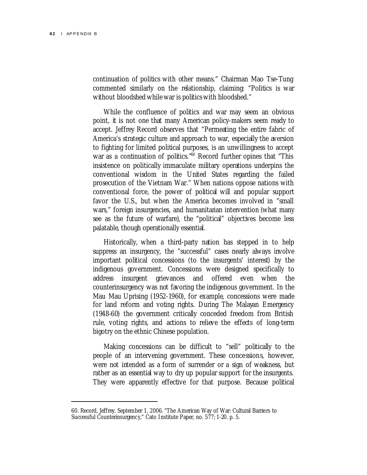l

continuation of politics with other means." Chairman Mao Tse-Tung commented similarly on the relationship, claiming: "Politics is war without bloodshed while war is politics with bloodshed."

While the confluence of politics and war may seem an obvious point, it is not one that many American policy-makers seem ready to accept. Jeffrey Record observes that "Permeating the entire fabric of America's strategic culture and approach to war, especially the aversion to fighting for limited political purposes, is an unwillingness to accept war as a continuation of politics.<sup>"60</sup> Record further opines that "This insistence on politically immaculate military operations underpins the conventional wisdom in the United States regarding the failed prosecution of the Vietnam War." When nations oppose nations with conventional force, the power of political will and popular support favor the U.S., but when the America becomes involved in "small wars," foreign insurgencies, and humanitarian intervention (what many see as the future of warfare), the "political" objectives become less palatable, though operationally essential.

Historically, when a third-party nation has stepped in to help suppress an insurgency, the "successful" cases nearly always involve important political concessions (to the insurgents' interest) by the indigenous government. Concessions were designed specifically to address insurgent grievances and offered even when the counterinsurgency was not favoring the indigenous government. In the Mau Mau Uprising (1952-1960), for example, concessions were made for land reform and voting rights. During The Malayan Emergency (1948-60) the government critically conceded freedom from British rule, voting rights, and actions to relieve the effects of long-term bigotry on the ethnic Chinese population.

Making concessions can be difficult to "sell" politically to the people of an intervening government. These concessions, however, were not intended as a form of surrender or a sign of weakness, but rather as an essential way to dry up popular support for the insurgents. They were apparently effective for that purpose. Because political

<sup>60.</sup> Record, Jeffrey. September 1, 2006. "The American Way of War: Cultural Barriers to Successful Counterinsurgency," Cato Institute Paper, no. 577; 1-20. p. 5.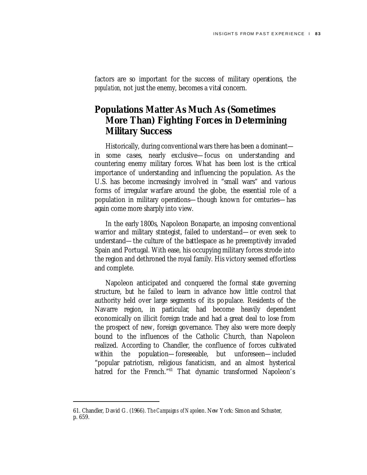factors are so important for the success of military operations, the *population,* not just the enemy, becomes a vital concern.

### **Populations Matter As Much As (Sometimes More Than) Fighting Forces in Determining Military Success**

Historically, during conventional wars there has been a dominant in some cases, nearly exclusive—focus on understanding and countering enemy military forces. What has been lost is the critical importance of understanding and influencing the population. As the U.S. has become increasingly involved in "small wars" and various forms of irregular warfare around the globe, the essential role of a population in military operations—though known for centuries—has again come more sharply into view.

In the early 1800s, Napoleon Bonaparte, an imposing conventional warrior and military strategist, failed to understand—or even seek to understand—the culture of the battlespace as he preemptively invaded Spain and Portugal. With ease, his occupying military forces strode into the region and dethroned the royal family. His victory seemed effortless and complete.

Napoleon anticipated and conquered the formal state governing structure, but he failed to learn in advance how little control that authority held over large segments of its populace. Residents of the Navarre region, in particular, had become heavily dependent economically on illicit foreign trade and had a great deal to lose from the prospect of new, foreign governance. They also were more deeply bound to the influences of the Catholic Church, than Napoleon realized. According to Chandler, the confluence of forces cultivated within the population—foreseeable, but unforeseen—included "popular patriotism, religious fanaticism, and an almost hysterical hatred for the French."61 That dynamic transformed Napoleon's

<sup>61.</sup> Chandler, David G. (1966). *The Campaigns of Napoleon*. New York: Simon and Schuster, p. 659.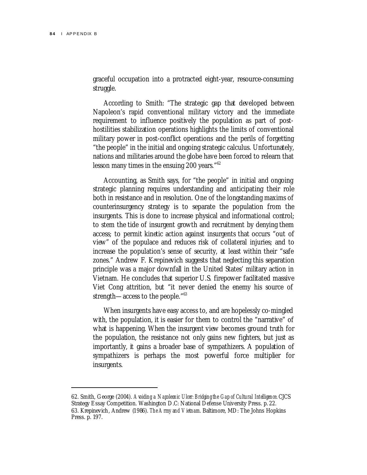$\overline{a}$ 

graceful occupation into a protracted eight-year, resource-consuming struggle.

According to Smith: "The strategic gap that developed between Napoleon's rapid conventional military victory and the immediate requirement to influence positively the population as part of posthostilities stabilization operations highlights the limits of conventional military power in post-conflict operations and the perils of forgetting "the people" in the initial and ongoing strategic calculus. Unfortunately, nations and militaries around the globe have been forced to relearn that lesson many times in the ensuing 200 years."<sup>62</sup>

Accounting, as Smith says, for "the people" in initial and ongoing strategic planning requires understanding and anticipating their role both in resistance and in resolution. One of the longstanding maxims of counterinsurgency strategy is to separate the population from the insurgents. This is done to increase physical and informational control; to stem the tide of insurgent growth and recruitment by denying them access; to permit kinetic action against insurgents that occurs "out of view" of the populace and reduces risk of collateral injuries; and to increase the population's sense of security, at least within their "safe zones." Andrew F. Krepinevich suggests that neglecting this separation principle was a major downfall in the United States' military action in Vietnam. He concludes that superior U.S. firepower facilitated massive Viet Cong attrition, but "it never denied the enemy his source of strength—access to the people."63

When insurgents have easy access to, and are hopelessly co-mingled with, the population, it is easier for them to control the "narrative" of what is happening. When the insurgent view becomes ground truth for the population, the resistance not only gains new fighters, but just as importantly, it gains a broader base of sympathizers. A population of sympathizers is perhaps the most powerful force multiplier for insurgents.

<sup>62.</sup> Smith, George (2004). *Avoiding a Napoleonic Ulcer: Bridging the Gap of Cultural Intelligence*. CJCS Strategy Essay Competition. Washington D.C: National Defense University Press. p. 22. 63. Krepinevich, Andrew (1986). *The Army and Vietnam*. Baltimore, MD: The Johns Hopkins Press. p. 197.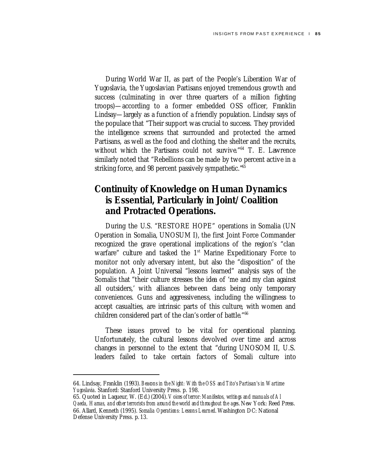During World War II, as part of the People's Liberation War of Yugoslavia, the Yugoslavian Partisans enjoyed tremendous growth and success (culminating in over three quarters of a million fighting troops)—according to a former embedded OSS officer, Franklin Lindsay—largely as a function of a friendly population. Lindsay says of the populace that "Their support was crucial to success. They provided the intelligence screens that surrounded and protected the armed Partisans, as well as the food and clothing, the shelter and the recruits, without which the Partisans could not survive."64 T. E. Lawrence similarly noted that "Rebellions can be made by two percent active in a striking force, and 98 percent passively sympathetic."65

### **Continuity of Knowledge on Human Dynamics is Essential, Particularly in Joint/Coalition and Protracted Operations.**

During the U.S. "RESTORE HOPE" operations in Somalia (UN Operation in Somalia, UNOSUM I), the first Joint Force Commander recognized the grave operational implications of the region's "clan warfare" culture and tasked the 1<sup>st</sup> Marine Expeditionary Force to monitor not only adversary intent, but also the "disposition" of the population. A Joint Universal "lessons learned" analysis says of the Somalis that "their culture stresses the idea of 'me and my clan against all outsiders,' with alliances between clans being only temporary conveniences. Guns and aggressiveness, including the willingness to accept casualties, are intrinsic parts of this culture, with women and children considered part of the clan's order of battle."<sup>66</sup>

These issues proved to be vital for operational planning. Unfortunately, the cultural lessons devolved over time and across changes in personnel to the extent that "during UNOSOM II, U.S. leaders failed to take certain factors of Somali culture into

<sup>64.</sup> Lindsay, Franklin (1993). *Beacons in the Night: With the OSS and Tito's Partisan's in Wartime Yugoslavia*. Stanford: Stanford University Press. p. 198.

<sup>65.</sup> Quoted in Laqueur, W. (Ed.) (2004). *Voices of terror: Manifestos, writings and manuals of Al Qaeda, Hamas, and other terrorists from around the world and throughout the ages*. New York: Reed Press. 66. Allard, Kenneth (1995). *Somalia Operations: Lessons Learned*. Washington DC: National Defense University Press. p. 13.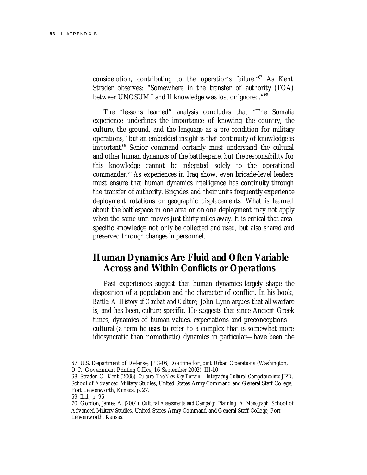consideration, contributing to the operation's failure.<sup>"67</sup> As Kent Strader observes: "Somewhere in the transfer of authority (TOA) between UNOSUM I and II knowledge was lost or ignored."<sup>68</sup>

The "lessons learned" analysis concludes that "The Somalia experience underlines the importance of knowing the country, the culture, the ground, and the language as a pre-condition for military operations," but an embedded insight is that continuity of knowledge is important.<sup>69</sup> Senior command certainly must understand the cultural and other human dynamics of the battlespace, but the responsibility for this knowledge cannot be relegated solely to the operational commander.<sup>70</sup> As experiences in Iraq show, even brigade-level leaders must ensure that human dynamics intelligence has continuity through the transfer of authority. Brigades and their units frequently experience deployment rotations or geographic displacements. What is learned about the battlespace in one area or on one deployment may not apply when the same unit moves just thirty miles away. It is critical that areaspecific knowledge not only be collected and used, but also shared and preserved through changes in personnel.

### **Human Dynamics Are Fluid and Often Variable Across and Within Conflicts or Operations**

Past experiences suggest that human dynamics largely shape the disposition of a population and the character of conflict. In his book, *Battle: A History of Combat and Culture*, John Lynn argues that all warfare is, and has been, culture-specific. He suggests that since Ancient Greek times, dynamics of human values, expectations and preconceptions cultural (a term he uses to refer to a complex that is somewhat more idiosyncratic than nomothetic) dynamics in particular—have been the

<sup>67.</sup> U.S. Department of Defense, JP 3-06, Doctrine for Joint Urban Operations (Washington, D.C.: Government Printing Office, 16 September 2002), III-10.

<sup>68.</sup> Strader, O. Kent (2006). *Culture: The New Key Terrain—Integrating Cultural Competence into JIPB*. School of Advanced Military Studies, United States Army Command and General Staff College, Fort Leavenw orth, Kansas. p. 27.

<sup>69.</sup> *Ibid*., p. 95.

<sup>70.</sup> Gordon, James A. (2004). *Cultural Assessments and Campaign Planning: A Monograph*. School of Advanced Military Studies, United States Army Command and General Staff College, Fort Leavenw orth, Kansas.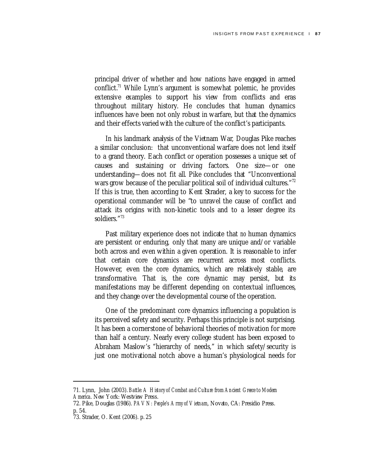principal driver of whether and how nations have engaged in armed conflict.<sup>71</sup> While Lynn's argument is somewhat polemic, he provides extensive examples to support his view from conflicts and eras throughout military history. He concludes that human dynamics influences have been not only robust in warfare, but that the dynamics and their effects varied with the culture of the conflict's participants.

In his landmark analysis of the Vietnam War, Douglas Pike reaches a similar conclusion: that unconventional warfare does not lend itself to a grand theory. Each conflict or operation possesses a unique set of causes and sustaining or driving factors. One size—or one understanding—does not fit all. Pike concludes that "Unconventional wars grow because of the peculiar political soil of individual cultures."<sup>72</sup> If this is true, then according to Kent Strader, a key to success for the operational commander will be "to unravel the cause of conflict and attack its origins with non-kinetic tools and to a lesser degree its soldiers."73

Past military experience does not indicate that *no* human dynamics are persistent or enduring, only that many are unique and/or variable both across and even within a given operation. It is reasonable to infer that certain core dynamics are recurrent across most conflicts. However, even the core dynamics, which are relatively stable, are transformative. That is, the core dynamic may persist, but its manifestations may be different depending on contextual influences, and they change over the developmental course of the operation.

One of the predominant core dynamics influencing a population is its perceived safety and security. Perhaps this principle is not surprising. It has been a cornerstone of behavioral theories of motivation for more than half a century. Nearly every college student has been exposed to Abraham Maslow's "hierarchy of needs," in which safety/security is just one motivational notch above a human's physiological needs for

<sup>71.</sup> Lynn, John (2003). *Battle: A History of Combat and Culture from Ancient Greece to Modern America*. New York: Westview Press.

<sup>72.</sup> Pike, Douglas (1986). *PAVN: People's Army of Vietnam*, Novato, CA: Presidio Press. p. 54.

<sup>73.</sup> Strader, O. Kent (2006). p. 25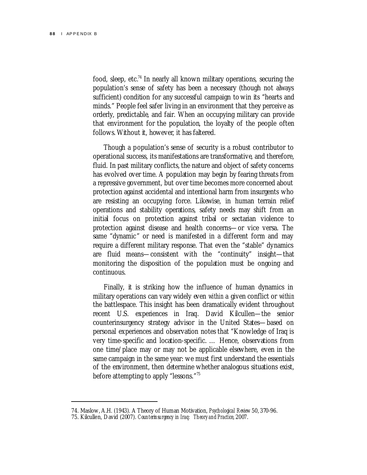l

food, sleep, etc.<sup>74</sup> In nearly all known military operations, securing the population's sense of safety has been a necessary (though not always sufficient) condition for any successful campaign to win its "hearts and minds." People feel safer living in an environment that they perceive as orderly, predictable, and fair. When an occupying military can provide that environment for the population, the loyalty of the people often follows. Without it, however, it has faltered.

Though a population's sense of security is a robust contributor to operational success, its manifestations are transformative, and therefore, fluid. In past military conflicts, the nature and object of safety concerns has evolved over time. A population may begin by fearing threats from a repressive government, but over time becomes more concerned about protection against accidental and intentional harm from insurgents who are resisting an occupying force. Likewise, in human terrain relief operations and stability operations, safety needs may shift from an initial focus on protection against tribal or sectarian violence to protection against disease and health concerns—or vice versa. The same "dynamic" or need is manifested in a different form and may require a different military response. That even the "stable" dynamics are fluid means—consistent with the "continuity" insight—that monitoring the disposition of the population must be ongoing and continuous.

Finally, it is striking how the influence of human dynamics in military operations can vary widely even *within* a given conflict or *within* the battlespace. This insight has been dramatically evident throughout recent U.S. experiences in Iraq. David Kilcullen—the senior counterinsurgency strategy advisor in the United States—based on personal experiences and observation notes that "Knowledge of Iraq is very time-specific and location-specific. … Hence, observations from one time/place may or may not be applicable elsewhere, even in the same campaign in the same year: we must first understand the essentials of the environment, then determine whether analogous situations exist, before attempting to apply "lessons."<sup>75</sup>

<sup>74.</sup> Maslow , A.H. (1943). A Theory of Human Motivation, *Psychological Review* 50, 370-96.

<sup>75.</sup> Kilcullen, David (2007). *Counterinsurgency in Iraq: Theory and Practice*, 2007.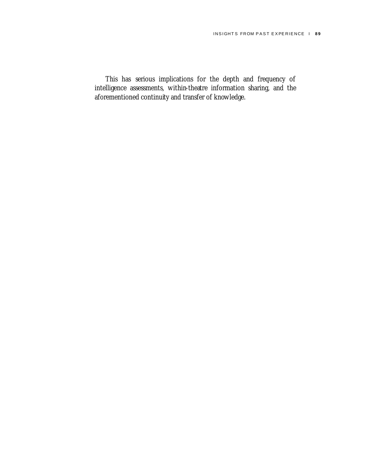This has serious implications for the depth and frequency of intelligence assessments, within-theatre information sharing, and the aforementioned continuity and transfer of knowledge.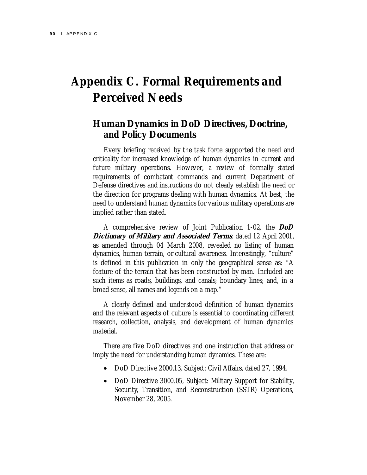## **Appendix C. Formal Requirements and Perceived Needs**

## **Human Dynamics in DoD Directives, Doctrine, and Policy Documents**

Every briefing received by the task force supported the need and criticality for increased knowledge of human dynamics in current and future military operations. However, a review of formally stated requirements of combatant commands and current Department of Defense directives and instructions do not clearly establish the need or the direction for programs dealing with human dynamics. At best, the need to understand human dynamics for various military operations are implied rather than stated.

A comprehensive review of Joint Publication 1-02, the **DoD Dictionary of Military and Associated Terms**, dated 12 April 2001, as amended through 04 March 2008, revealed no listing of human dynamics, human terrain, or cultural awareness. Interestingly, "culture" is defined in this publication in only the geographical sense as: "A feature of the terrain that has been constructed by man. Included are such items as roads, buildings, and canals; boundary lines; and, in a broad sense, all names and legends on a map."

A clearly defined and understood definition of human dynamics and the relevant aspects of culture is essential to coordinating different research, collection, analysis, and development of human dynamics material.

There are five DoD directives and one instruction that address or imply the need for understanding human dynamics. These are:

- DoD Directive 2000.13, Subject: Civil Affairs, dated 27, 1994.
- DoD Directive 3000.05, Subject: Military Support for Stability, Security, Transition, and Reconstruction (SSTR) Operations, November 28, 2005.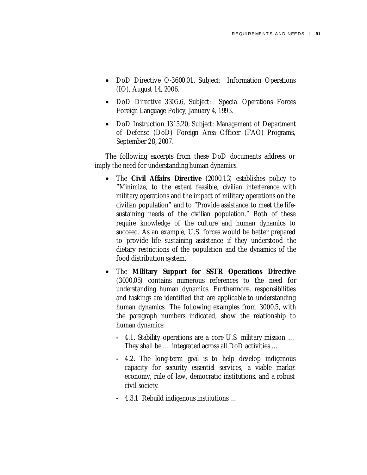- DoD Directive O-3600.01, Subject: Information Operations (IO), August 14, 2006.
- DoD Directive 3305.6, Subject: Special Operations Forces Foreign Language Policy, January 4, 1993.
- DoD Instruction 1315.20, Subject: Management of Department of Defense (DoD) Foreign Area Officer (FAO) Programs, September 28, 2007.

The following excerpts from these DoD documents address or imply the need for understanding human dynamics.

- The **Civil Affairs Directive** (2000.13) establishes policy to "Minimize, to the extent feasible, civilian interference with military operations and the impact of military operations on the civilian population" and to "Provide assistance to meet the lifesustaining needs of the civilian population." Both of these require knowledge of the culture and human dynamics to succeed. As an example, U.S. forces would be better prepared to provide life sustaining assistance if they understood the dietary restrictions of the population and the dynamics of the food distribution system.
- The **Military Support for SSTR Operations Directive** (3000.05) contains numerous references to the need for understanding human dynamics. Furthermore, responsibilities and taskings are identified that are applicable to understanding human dynamics. The following examples from 3000.5, with the paragraph numbers indicated, show the relationship to human dynamics:
	- 4.1. Stability operations are a core U.S. military mission … They shall be … integrated across all DoD activities …
	- 4.2. The long-term goal is to help develop indigenous capacity for security essential services, a viable market economy, rule of law, democratic institutions, and a robust civil society.
	- 4.3.1 Rebuild indigenous institutions …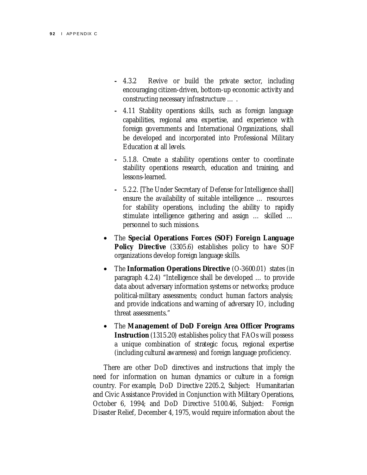- 4.3.2 Revive or build the private sector, including encouraging citizen-driven, bottom-up economic activity and constructing necessary infrastructure … .
- 4.11 Stability operations skills, such as foreign language capabilities, regional area expertise, and experience with foreign governments and International Organizations, shall be developed and incorporated into Professional Military Education at all levels.
- 5.1.8. Create a stability operations center to coordinate stability operations research, education and training, and lessons-learned.
- 5.2.2. [The Under Secretary of Defense for Intelligence shall] ensure the availability of suitable intelligence … resources for stability operations, including the ability to rapidly stimulate intelligence gathering and assign … skilled … personnel to such missions.
- The **Special Operations Forces (SOF) Foreign Language Policy Directive** (3305.6) establishes policy to have SOF organizations develop foreign language skills.
- The **Information Operations Directive** (O-3600.01) states (in paragraph 4.2.4) "Intelligence shall be developed … to provide data about adversary information systems or networks; produce political-military assessments; conduct human factors analysis; and provide indications and warning of adversary IO, including threat assessments."
- The **Management of DoD Foreign Area Officer Programs Instruction** (1315.20) establishes policy that FAOs will possess a unique combination of strategic focus, regional expertise (including cultural awareness) and foreign language proficiency.

There are other DoD directives and instructions that imply the need for information on human dynamics or culture in a foreign country. For example, DoD Directive 2205.2, Subject: Humanitarian and Civic Assistance Provided in Conjunction with Military Operations, October 6, 1994; and DoD Directive 5100.46, Subject: Foreign Disaster Relief, December 4, 1975, would require information about the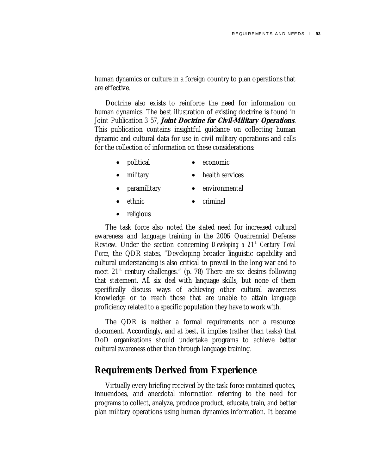human dynamics or culture in a foreign country to plan operations that are effective.

Doctrine also exists to reinforce the need for information on human dynamics. The best illustration of existing doctrine is found in Joint Publication 3-57, **Joint Doctrine for Civil-Military Operations**. This publication contains insightful guidance on collecting human dynamic and cultural data for use in civil-military operations and calls for the collection of information on these considerations:

- political • economic
	- health services
- paramilitary

• military

- environmental
- ethnic
- criminal
- religious

The task force also noted the stated need for increased cultural awareness and language training in the 2006 Quadrennial Defense Review. Under the section concerning *Developing a 21<sup>st</sup> Century Total* Force, the QDR states, "Developing broader linguistic capability and cultural understanding is also critical to prevail in the long war and to meet  $21<sup>st</sup>$  century challenges." (p. 78) There are six desires following that statement. All six deal with language skills, but none of them specifically discuss ways of achieving other cultural awareness knowledge or to reach those that are unable to attain language proficiency related to a specific population they have to work with.

The QDR is neither a formal requirements nor a resource document. Accordingly, and at best, it implies (rather than tasks) that DoD organizations should undertake programs to achieve better cultural awareness other than through language training.

## **Requirements Derived from Experience**

Virtually every briefing received by the task force contained quotes, innuendoes, and anecdotal information referring to the need for programs to collect, analyze, produce product, educate, train, and better plan military operations using human dynamics information. It became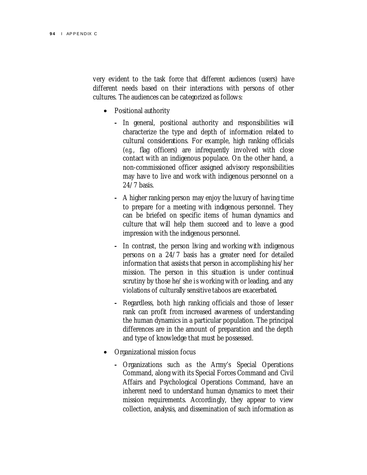very evident to the task force that different audiences (users) have different needs based on their interactions with persons of other cultures. The audiences can be categorized as follows:

- Positional authority
	- In general, positional authority and responsibilities will characterize the type and depth of information related to cultural considerations. For example, high ranking officials (*e.g.*, flag officers) are infrequently involved with close contact with an indigenous populace. On the other hand, a non-commissioned officer assigned advisory responsibilities may have to live and work with indigenous personnel on a 24/7 basis.
	- A higher ranking person may enjoy the luxury of having time to prepare for a meeting with indigenous personnel. They can be briefed on specific items of human dynamics and culture that will help them succeed and to leave a good impression with the indigenous personnel.
	- In contrast, the person living and working with indigenous persons on a 24/7 basis has a greater need for detailed information that assists that person in accomplishing his/her mission. The person in this situation is under continual scrutiny by those he/she is working with or leading, and any violations of culturally sensitive taboos are exacerbated.
	- Regardless, both high ranking officials and those of lesser rank can profit from increased awareness of understanding the human dynamics in a particular population. The principal differences are in the amount of preparation and the depth and type of knowledge that must be possessed.
- Organizational mission focus
	- Organizations such as the Army's Special Operations Command, along with its Special Forces Command and Civil Affairs and Psychological Operations Command, have an inherent need to understand human dynamics to meet their mission requirements. Accordingly, they appear to view collection, analysis, and dissemination of such information as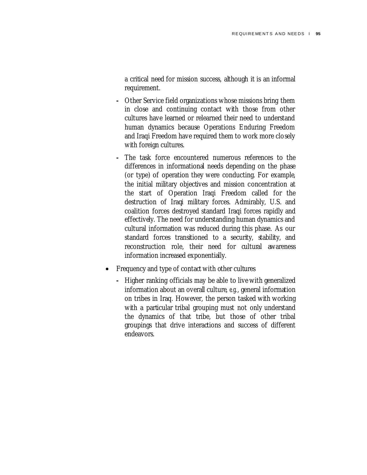a critical need for mission success, although it is an informal requirement.

- Other Service field organizations whose missions bring them in close and continuing contact with those from other cultures have learned or relearned their need to understand human dynamics because Operations Enduring Freedom and Iraqi Freedom have required them to work more closely with foreign cultures.
- The task force encountered numerous references to the differences in informational needs depending on the phase (or type) of operation they were conducting. For example, the initial military objectives and mission concentration at the start of Operation Iraqi Freedom called for the destruction of Iraqi military forces. Admirably, U.S. and coalition forces destroyed standard Iraqi forces rapidly and effectively. The need for understanding human dynamics and cultural information was reduced during this phase. As our standard forces transitioned to a security, stability, and reconstruction role, their need for cultural awareness information increased exponentially.
- Frequency and type of contact with other cultures
	- Higher ranking officials may be able to live with generalized information about an overall culture, *e.g.*, general information on tribes in Iraq. However, the person tasked with working with a particular tribal grouping must not only understand the dynamics of that tribe, but those of other tribal groupings that drive interactions and success of different endeavors.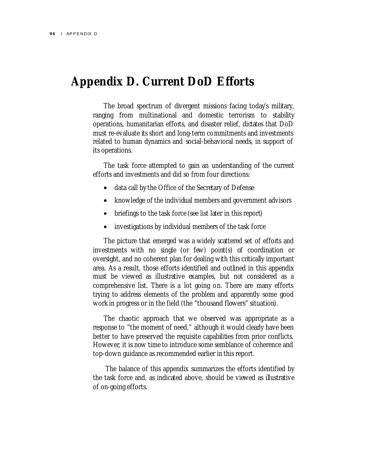## **Appendix D. Current DoD Efforts**

The broad spectrum of divergent missions facing today's military, ranging from multinational and domestic terrorism to stability operations, humanitarian efforts, and disaster relief, dictates that DoD must re-evaluate its short and long-term commitments and investments related to human dynamics and social-behavioral needs, in support of its operations.

The task force attempted to gain an understanding of the current efforts and investments and did so from four directions:

- data call by the Office of the Secretary of Defense
- knowledge of the individual members and government advisors
- briefings to the task force (see list later in this report)
- investigations by individual members of the task force

The picture that emerged was a widely scattered set of efforts and investments with no single (or few) point(s) of coordination or oversight, and no coherent plan for dealing with this critically important area. As a result, those efforts identified and outlined in this appendix must be viewed as illustrative examples, but not considered as a comprehensive list. There is a lot going on. There are many efforts trying to address elements of the problem and apparently some good work in progress or in the field (the "thousand flowers" situation).

The chaotic approach that we observed was appropriate as a response to "the moment of need," although it would clearly have been better to have preserved the requisite capabilities from prior conflicts. However, it is now time to introduce some semblance of coherence and top-down guidance as recommended earlier in this report.

 The balance of this appendix summarizes the efforts identified by the task force and, as indicated above, should be viewed as illustrative of on-going efforts.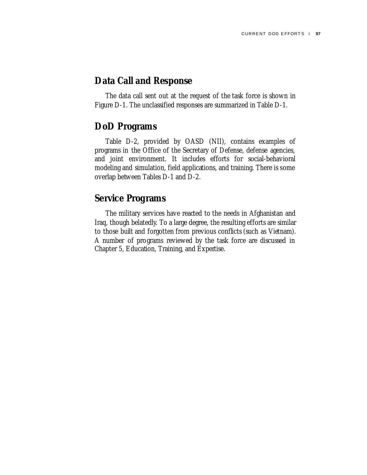### **Data Call and Response**

The data call sent out at the request of the task force is shown in Figure D-1. The unclassified responses are summarized in Table D-1.

## **DoD Programs**

Table D-2, provided by OASD (NII), contains examples of programs in the Office of the Secretary of Defense, defense agencies, and joint environment. It includes efforts for social-behavioral modeling and simulation, field applications, and training. There is some overlap between Tables D-1 and D-2.

## **Service Programs**

The military services have reacted to the needs in Afghanistan and Iraq, though belatedly. To a large degree, the resulting efforts are similar to those built and forgotten from previous conflicts (such as Vietnam). A number of programs reviewed by the task force are discussed in Chapter 5, Education, Training, and Expertise.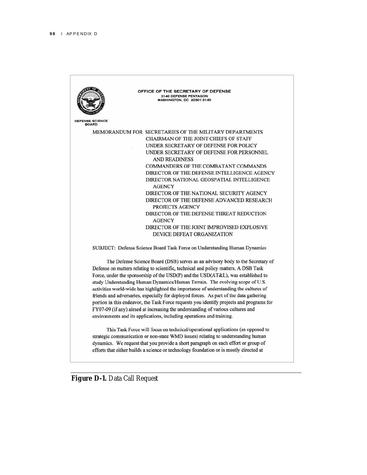|                                        | OFFICE OF THE SECRETARY OF DEFENSE                                                       |
|----------------------------------------|------------------------------------------------------------------------------------------|
|                                        | <b>3140 DEFENSE PENTAGON</b>                                                             |
|                                        | WASHINGTON, DC 20301-3140                                                                |
|                                        |                                                                                          |
|                                        |                                                                                          |
| <b>DEFENSE SCIENCE</b><br><b>BOARD</b> |                                                                                          |
|                                        | MEMORANDUM FOR SECRETARIES OF THE MILITARY DEPARTMENTS                                   |
|                                        | <b>CHAIRMAN OF THE JOINT CHIEFS OF STAFF</b>                                             |
|                                        | UNDER SECRETARY OF DEFENSE FOR POLICY                                                    |
|                                        | UNDER SECRETARY OF DEFENSE FOR PERSONNEL                                                 |
|                                        | <b>AND READINESS</b>                                                                     |
|                                        | COMMANDERS OF THE COMBATANT COMMANDS                                                     |
|                                        | DIRECTOR OF THE DEFENSE INTELLIGENCE AGENCY                                              |
|                                        | DIRECTOR NATIONAL GEOSPATIAL INTELLIGENCE                                                |
|                                        | <b>AGENCY</b>                                                                            |
|                                        | DIRECTOR OF THE NATIONAL SECURITY AGENCY                                                 |
|                                        | DIRECTOR OF THE DEFENSE ADVANCED RESEARCH                                                |
|                                        | PROJECTS AGENCY                                                                          |
|                                        | DIRECTOR OF THE DEFENSE THREAT REDUCTION                                                 |
|                                        | <b>AGENCY</b>                                                                            |
|                                        | DIRECTOR OF THE JOINT IMPROVISED EXPLOSIVE                                               |
|                                        | <b>DEVICE DEFEAT ORGANIZATION</b>                                                        |
|                                        | SUBJECT: Defense Science Board Task Force on Understanding Human Dynamics                |
|                                        | The Defense Science Board (DSB) serves as an advisory body to the Secretary of           |
|                                        | Defense on matters relating to scientific, technical and policy matters. A DSB Task      |
|                                        | Force, under the sponsorship of the USD(P) and the USD(AT&L), was established to         |
|                                        | study Understanding Human Dynamics/Human Terrain. The evolving scope of U.S.             |
|                                        | activities world-wide has highlighted the importance of understanding the cultures of    |
|                                        | friends and adversaries, especially for deployed forces. As part of the data gathering   |
|                                        | portion in this endeavor, the Task Force requests you identify projects and programs for |
|                                        | FY07-09 (if any) aimed at increasing the understanding of various cultures and           |
|                                        | environments and its applications, including operations and training.                    |
|                                        | This Task Force will focus on technical/operational applications (as opposed to          |
|                                        | strategic communication or non-state WMD issues) relating to understanding human         |
|                                        | dynamics. We request that you provide a short paragraph on each effort or group of       |
|                                        | efforts that either builds a science or technology foundation or is mostly directed at   |

Figure D-1. Data Call Request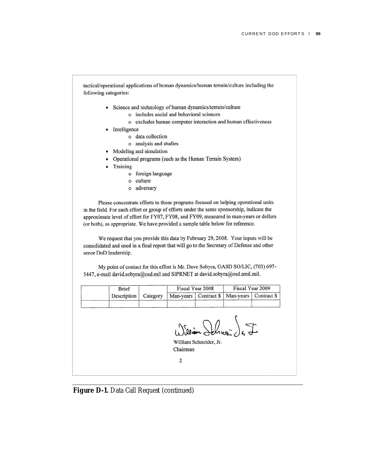tactical/operational applications of human dynamics/human terrain/culture including the following categories:

- Science and technology of human dynamics/terrain/culture
	- o includes social and behavioral sciences
	- o excludes human computer interaction and human effectiveness
- Intelligence  $\bullet$ 
	- o data collection
	- o analysis and studies
- Modeling and simulation  $\bullet$
- Operational programs (such as the Human Terrain System)
- Training
	- o foreign language
	- o culture
	- o adversary

Please concentrate efforts to those programs focused on helping operational units in the field. For each effort or group of efforts under the same sponsorship, indicate the approximate level of effort for FY07, FY08, and FY09, measured in man-years or dollars (or both), as appropriate. We have provided a sample table below for reference.

We request that you provide this data by February 29, 2008. Your inputs will be consolidated and used in a final report that will go to the Secretary of Defense and other senor DoD leadership.

My point of contact for this effort is Mr. Dave Sobyra, OASD SO/LIC, (703) 697-5447, e-mail david.sobyra@osd.mil and SIPRNET at david.sobyra@osd.smil.mil.

| <b>Brief</b>                                                               |  | Fiscal Year 2008 | Fiscal Year 2009 |
|----------------------------------------------------------------------------|--|------------------|------------------|
| Description   Category   Man-years   Contract \$   Man-years   Contract \$ |  |                  |                  |
|                                                                            |  |                  |                  |

William Johnsen Ja I

William Schneider, Jr. Chairman

 $\overline{2}$ 

Figure D-1. Data Call Request (continued)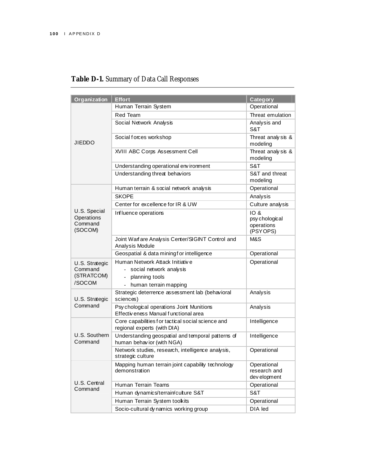| Organization                                      | <b>Effort</b>                                                                                                                        | <b>Category</b>                                  |  |
|---------------------------------------------------|--------------------------------------------------------------------------------------------------------------------------------------|--------------------------------------------------|--|
|                                                   | Human Terrain System                                                                                                                 | Operational                                      |  |
|                                                   | <b>Red Team</b>                                                                                                                      | Threat emulation                                 |  |
|                                                   | Social Network Analysis                                                                                                              | Analysis and<br>S&T                              |  |
| <b>JIEDDO</b>                                     | Social forces workshop                                                                                                               | Threat analy sis &<br>modeling                   |  |
|                                                   | XVIII ABC Corps Assessment Cell                                                                                                      | Threat analy sis &<br>modeling                   |  |
|                                                   | Understanding operational environment                                                                                                | S&T                                              |  |
|                                                   | Understanding threat behaviors                                                                                                       | S&T and threat<br>modeling                       |  |
|                                                   | Human terrain & social network analysis                                                                                              | Operational                                      |  |
|                                                   | <b>SKOPE</b>                                                                                                                         | Analysis                                         |  |
|                                                   | Center for excellence for IR & UW                                                                                                    | Culture analysis                                 |  |
| U.S. Special<br>Operations<br>Command<br>(SOCOM)  | Influence operations                                                                                                                 | IO &<br>psy chological<br>operations<br>(PSYOPS) |  |
|                                                   | Joint Warf are Analysis Center/SIGINT Control and<br>Analysis Module                                                                 | M&S                                              |  |
|                                                   | Geospatial & data miningf or intelligence                                                                                            | Operational                                      |  |
| U.S. Strategic<br>Command<br>(STRATCOM)<br>/SOCOM | Human Network Attack Initiative<br>social network analysis<br>$\mathcal{L}_{\mathcal{A}}$<br>planning tools<br>human terrain mapping | Operational                                      |  |
| U.S. Strategic                                    | Strategic deterrence assessment lab (behavioral<br>sciences)                                                                         | Analysis                                         |  |
| Command                                           | Psy chological operations Joint Munitions<br>Effectiveness Manual functional area                                                    | Analysis                                         |  |
|                                                   | Core capabilities for tactical social science and<br>regional experts (with DIA)                                                     | Intelligence                                     |  |
| U.S. Southern<br>Command                          | Understanding geospatial and temporal patterns of<br>human behav ior (with NGA)                                                      | Intelligence                                     |  |
|                                                   | Network studies, research, intelligence analysis,<br>strategic culture                                                               | Operational                                      |  |
|                                                   | Mapping human terrain joint capability technology<br>demonstration                                                                   | Operational<br>research and<br>dev elopment      |  |
| U.S. Central<br>Command                           | Human Terrain Teams                                                                                                                  | Operational                                      |  |
|                                                   | S&T<br>Human dynamics/terrain/culture S&T                                                                                            |                                                  |  |
|                                                   | Human Terrain System toolkits                                                                                                        | Operational                                      |  |
|                                                   | Socio-cultural dy namics working group                                                                                               | DIA led                                          |  |

### **Table D-1.** Summary of Data Call Responses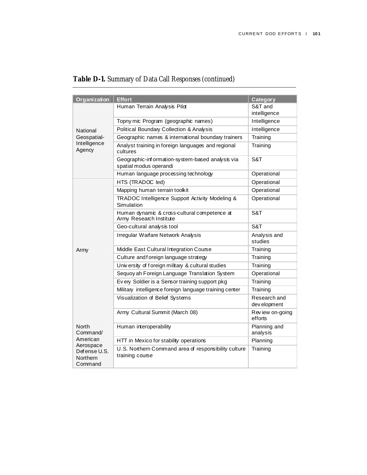| Organization                                     | <b>Effort</b>                                                              | Category                     |
|--------------------------------------------------|----------------------------------------------------------------------------|------------------------------|
|                                                  | Human Terrain Analysis Pilot                                               | S&T and                      |
|                                                  |                                                                            | intelligence                 |
|                                                  | Topny mic Program (geographic names)                                       | Intelligence                 |
| National                                         | Political Boundary Collection & Analysis                                   | Intelligence                 |
| Geospatial-                                      | Geographic names & international boundary trainers                         | Training                     |
| Intelligence<br>Agency                           | Analyst training in foreign languages and regional<br>cultures             | Training                     |
|                                                  | Geographic-information-system-based analysis via<br>spatial modus operandi | S&T                          |
|                                                  | Human language processing technology                                       | Operational                  |
|                                                  | HTS (TRADOC led)                                                           | Operational                  |
|                                                  | Mapping human terrain toolkit                                              | Operational                  |
|                                                  | TRADOC Intelligence Support Activity Modeling &<br>Simulation              | Operational                  |
|                                                  | Human dynamic & cross-cultural competence at<br>Army Research Institute    | S&T                          |
|                                                  | Geo-cultural analysis tool                                                 | S&T                          |
|                                                  | Irregular Warfare Network Analysis                                         | Analysis and<br>studies      |
| Army                                             | Middle East Cultural Integration Course                                    | Training                     |
|                                                  | Culture and f oreign language strategy                                     | Training                     |
|                                                  | University of foreign military & cultural studies                          | Training                     |
|                                                  | Sequoy ah Foreign Language Translation System                              | Operational                  |
|                                                  | Every Soldier is a Sensor training support pkg                             | Training                     |
|                                                  | Military intelligence foreign language training center                     | Training                     |
|                                                  | Visualization of Belief Systems                                            | Research and<br>dev elopment |
| North<br>Command/                                | Army Cultural Summit (March 08)                                            | Review on-going<br>efforts   |
|                                                  | Human interoperability                                                     | Planning and<br>analysis     |
| American                                         | HTT in Mexico for stability operations                                     | Planning                     |
| Aerospace<br>Defense U.S.<br>Northern<br>Command | U.S. Northern Command area of responsibility culture<br>training course    | Training                     |

## **Table D-1.** Summary of Data Call Responses (continued)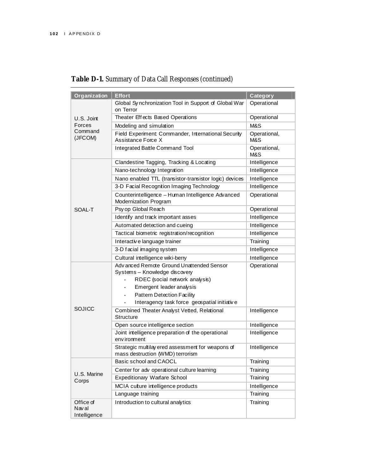| <b>Organization</b>                 | <b>Effort</b>                                                                         | <b>Category</b>     |
|-------------------------------------|---------------------------------------------------------------------------------------|---------------------|
|                                     | Global Synchronization Tool in Support of Global War                                  | Operational         |
|                                     | on Terror                                                                             |                     |
| U.S. Joint                          | Theater Effects Based Operations                                                      | Operational         |
| Forces                              | Modeling and simulation                                                               | M&S                 |
| Command<br>(JFCOM)                  | Field Experiment: Commander, International Security<br>Assistance Force X             | Operational,<br>M&S |
|                                     | Integrated Battle Command Tool                                                        | Operational,<br>M&S |
|                                     | Clandestine Tagging, Tracking & Locating                                              | Intelligence        |
|                                     | Nano-technology Integration                                                           | Intelligence        |
|                                     | Nano enabled TTL (transistor-transistor logic) devices                                | Intelligence        |
|                                     | 3-D Facial Recognition Imaging Technology                                             | Intelligence        |
|                                     | Counterintelligence - Human Intelligence Advanced<br>Modernization Program            | Operational         |
| SOAL-T                              | Psy op Global Reach                                                                   | Operational         |
|                                     | Identify and track important asses                                                    | Intelligence        |
|                                     | Automated detection and cueing                                                        | Intelligence        |
|                                     | Tactical biometric registration/recognition                                           | Intelligence        |
|                                     | Interactive language trainer                                                          | Training            |
|                                     | 3-D facial imaging system                                                             | Intelligence        |
|                                     | Cultural intelligence wiki-berry                                                      | Intelligence        |
|                                     | Adv anced Remote Ground Unattended Sensor                                             | Operational         |
|                                     | Systems - Knowledge discovery                                                         |                     |
|                                     | RDEC (social network analysis)                                                        |                     |
|                                     | Emergent leader analysis                                                              |                     |
|                                     | <b>Pattern Detection Facility</b>                                                     |                     |
|                                     | Interagency task force geospatial initiative                                          |                     |
| SOJICC                              | Combined Theater Analyst Vetted, Relational<br>Structure                              | Intelligence        |
|                                     | Open source intelligence section                                                      | Intelligence        |
|                                     | Joint intelligence preparation of the operational<br>env ironment                     | Intelligence        |
|                                     | Strategic multilay ered assessment for weapons of<br>mass destruction (WMD) terrorism | Intelligence        |
|                                     | Basic school and CAOCL                                                                | Training            |
|                                     | Center for adv operational culture learning                                           | Training            |
| U.S. Marine<br>Corps                | Expeditionary Warfare School                                                          | Training            |
|                                     | MCIA culture intelligence products                                                    | Intelligence        |
|                                     | Language training                                                                     | Training            |
| Office of<br>Nav al<br>Intelligence | Introduction to cultural analytics                                                    | Training            |

### **Table D-1.** Summary of Data Call Responses (continued)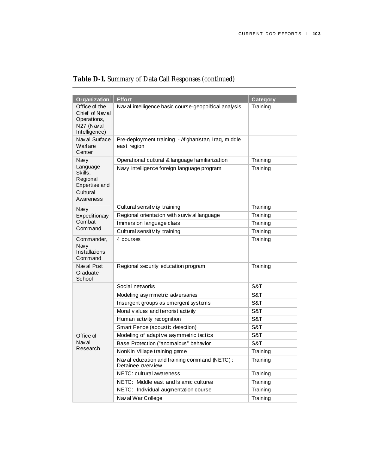| Organization                                                                  | <b>Effort</b>                                                                                                  | <b>Category</b>  |
|-------------------------------------------------------------------------------|----------------------------------------------------------------------------------------------------------------|------------------|
| Office of the<br>Chief of Naval<br>Operations,<br>N27 (Naval<br>Intelligence) | Nav al intelligence basic course-geopolitical analysis<br>Pre-deployment training - Af ghanistan, Iraq, middle | Training         |
| Nav al Surface<br>Warfare<br>Center                                           |                                                                                                                |                  |
| Navy                                                                          | Operational cultural & language familiarization                                                                | Training         |
| Language<br>Skills,<br>Regional<br>Expertise and<br>Cultural<br>Awareness     | Navy intelligence foreign language program                                                                     | Training         |
| Navy                                                                          | Cultural sensitivity training                                                                                  | Training         |
| Expeditionary                                                                 | Regional orientation with surviv al language                                                                   | Training         |
| Combat                                                                        | Immersion language class                                                                                       | Training         |
| Command                                                                       | Cultural sensitivity training                                                                                  | Training         |
| Commander,<br>Navy<br>Installations<br>Command                                | 4 courses                                                                                                      |                  |
| Nav al Post<br>Graduate<br>School                                             | Regional security education program                                                                            | Training         |
|                                                                               | Social networks                                                                                                | S&T              |
|                                                                               | Modeling asy mmetric adversaries                                                                               | S&T              |
|                                                                               | Insurgent groups as emergent systems                                                                           | S&T              |
|                                                                               | Moral values and terrorist activity                                                                            | S&T              |
|                                                                               | Human activity recognition                                                                                     | S&T              |
|                                                                               | Smart Fence (acoustic detection)                                                                               | S&T              |
| Office of                                                                     | Modeling of adaptive asymmetric tactics                                                                        | S&T              |
| Nav al                                                                        | Base Protection ("anomalous" behavior                                                                          | S&T              |
| Research                                                                      | NonKin Village training game                                                                                   | Training         |
|                                                                               | Nav al education and training command (NETC):<br>Detainee overview                                             | <b>I</b> raining |
|                                                                               | NETC: cultural awareness                                                                                       | Training         |
|                                                                               | NETC: Middle east and Islamic cultures                                                                         | Training         |
|                                                                               | NETC: Individual augmentation course                                                                           | Training         |
|                                                                               | Nav al War College                                                                                             | Training         |

**Table D-1.** Summary of Data Call Responses (continued)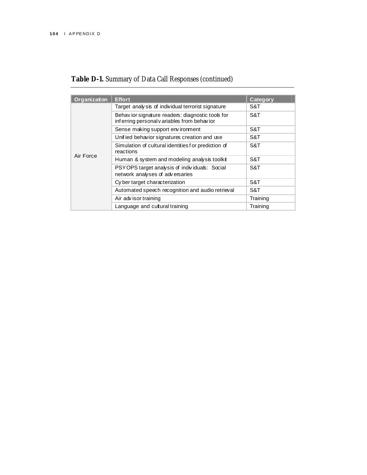| <b>Table D-1.</b> Summary of Data Call Responses (continued) |  |  |  |
|--------------------------------------------------------------|--|--|--|
|--------------------------------------------------------------|--|--|--|

| Organization | <b>Effort</b>                                                                                  | Category |
|--------------|------------------------------------------------------------------------------------------------|----------|
|              | Target analy sis of individual terrorist signature                                             | S&T      |
|              | Behavior signature readers: diagnostic tools for<br>inferring personal variables from behavior | S&T      |
|              | Sense making support environment                                                               | S&T      |
|              | Unified behavior signatures creation and use                                                   | S&T      |
| Air Force    | Simulation of cultural identities for prediction of<br>reactions                               | S&T      |
|              | Human & system and modeling analysis toolkit                                                   | S&T      |
|              | PSYOPS target analysis of individuals: Social<br>network analyses of adversaries               | S&T      |
|              | Cy ber target characterization                                                                 | S&T      |
|              | Automated speech recognition and audio retrieval                                               | S&T      |
|              | Air advisor training                                                                           | Training |
|              | Language and cultural training                                                                 | Training |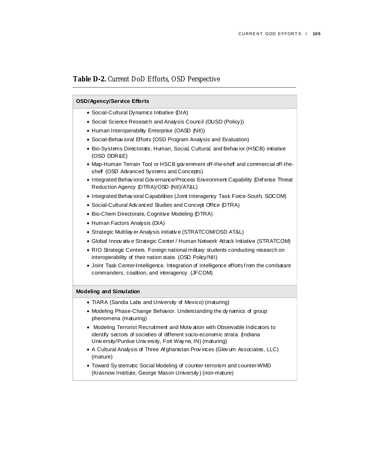## **Table D-2.** Current DoD Efforts, OSD Perspective

| <b>OSD/Agency/Service Efforts</b>                                                                                                                                                                                       |
|-------------------------------------------------------------------------------------------------------------------------------------------------------------------------------------------------------------------------|
| • Social-Cultural Dynamics Initiative (DIA)                                                                                                                                                                             |
| • Social Science Research and Analysis Council (OUSD (Policy))                                                                                                                                                          |
| • Human Interoperability Enterprise (OASD (NII))                                                                                                                                                                        |
| • Social-Behavioral Efforts (OSD Program Analysis and Evaluation)                                                                                                                                                       |
| • Bio-Systems Directorate, Human, Social, Cultural, and Behavior (HSCB) initiative<br>(OSD DDR&E)                                                                                                                       |
| • Map-Human Terrain Tool or HSCB government off-the-shelf and commercial off-the-<br>shelf (OSD Advanced Systems and Concepts)                                                                                          |
| • Integrated Behav ioral Governance/Process Environment Capability (Defense Threat<br>Reduction Agency (DTRA)/OSD (NII)/AT&L)                                                                                           |
| • Integrated Behav ioral Capabilities (Joint Interagency Task Force-South, SOCOM)                                                                                                                                       |
| • Social-Cultural Adv anced Studies and Concept Office (DTRA)                                                                                                                                                           |
| • Bio-Chem Directorate, Cognitive Modeling (DTRA)                                                                                                                                                                       |
| • Human Factors Analysis (DIA)                                                                                                                                                                                          |
| • Strategic Multilay er Analysis initiative (STRATCOM/OSD AT&L)                                                                                                                                                         |
| · Global Innov ative Strategic Center / Human Network Attack Initiative (STRATCOM)                                                                                                                                      |
| • RIO Strategic Centers. Foreign national military students conducting research on<br>interoperability of their nation state. (OSD Policy/NII)                                                                          |
| • Joint Task Center-Intelligence. Integration of intelligence efforts from the combatant<br>commanders, coalition, and interagency. (JFCOM)                                                                             |
| <b>Modeling and Simulation</b>                                                                                                                                                                                          |
| • TIARA (Sandia Labs and University of Mexico) (maturing)                                                                                                                                                               |
| • Modeling Phase-Change Behavior. Understanding the dynamics of group<br>phenomena (maturing)                                                                                                                           |
| • Modeling Terrorist Recruitment and Motivation with Observable Indicators to<br>identify sectors of societies of different socio-economic strata. (Indiana<br>University/Purdue University, Fort Wayne, IN) (maturing) |
| • A Cultural Analysis of Three Afghanistan Provinces (Glevum Associates, LLC)<br>(mature)                                                                                                                               |
| • Toward Sy stematic Social Modeling of counter-terrorism and counter-WMD<br>(Krasnow Institute, George Mason University) (non-mature)                                                                                  |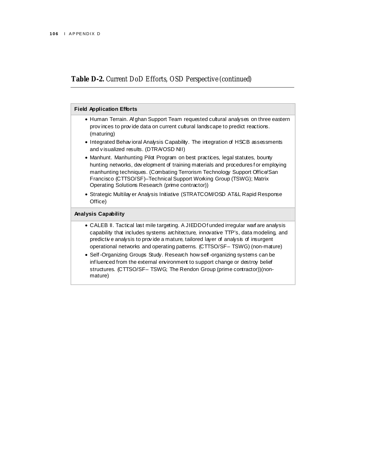## **Table D-2.** Current DoD Efforts, OSD Perspective (continued)

| <b>Field Application Efforts</b>                                                                                                                                                                                                                                                                                                                                                                                                                                                                                                                                                                  |  |  |  |  |
|---------------------------------------------------------------------------------------------------------------------------------------------------------------------------------------------------------------------------------------------------------------------------------------------------------------------------------------------------------------------------------------------------------------------------------------------------------------------------------------------------------------------------------------------------------------------------------------------------|--|--|--|--|
| • Human Terrain. Af ghan Support Team requested cultural analyses on three eastern<br>provinces to provide data on current cultural landscape to predict reactions.<br>(maturing)                                                                                                                                                                                                                                                                                                                                                                                                                 |  |  |  |  |
| • Integrated Behav ioral Analysis Capability. The integration of HSCB assessments<br>and visualized results. (DTRA/OSD NII)                                                                                                                                                                                                                                                                                                                                                                                                                                                                       |  |  |  |  |
| • Manhunt. Manhunting Pilot Program on best practices, legal statutes, bounty<br>hunting networks, dev elopment of training materials and procedures for employing<br>manhunting techniques. (Combating Terrorism Technology Support Office/San<br>Francisco (CTTSO/SF)-Technical Support Working Group (TSWG); Matrix<br>Operating Solutions Research (prime contractor))                                                                                                                                                                                                                        |  |  |  |  |
| • Strategic Multilay er Analysis Initiative (STRATCOM/OSD AT&L Rapid Response<br>Office)                                                                                                                                                                                                                                                                                                                                                                                                                                                                                                          |  |  |  |  |
| <b>Analysis Capability</b>                                                                                                                                                                                                                                                                                                                                                                                                                                                                                                                                                                        |  |  |  |  |
| • CALEB II. Tactical last mile targeting. A JIEDDOf unded irregular warf are analysis<br>capability that includes systems architecture, innovative TTP's, data modeling, and<br>predictive analysis to provide a mature, tailored layer of analysis of insurgent<br>operational networks and operating patterns. (CTTSO/SF-TSWG) (non-mature)<br>• Self-Organizing Groups Study. Research how self-organizing systems can be<br>influenced from the external environment to support change or destroy belief<br>structures. (CTTSO/SF-TSWG; The Rendon Group (prime contractor)) (non-<br>mature) |  |  |  |  |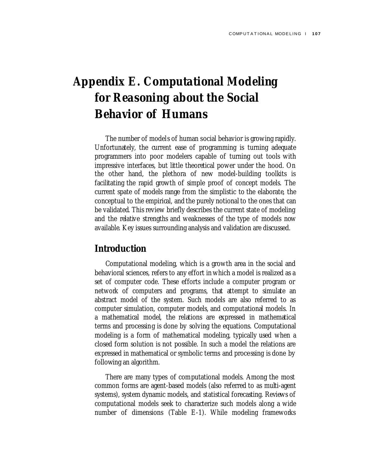## **Appendix E. Computational Modeling for Reasoning about the Social Behavior of Humans**

The number of models of human social behavior is growing rapidly. Unfortunately, the current ease of programming is turning adequate programmers into poor modelers capable of turning out tools with impressive interfaces, but little theoretical power under the hood. On the other hand, the plethora of new model-building toolkits is facilitating the rapid growth of simple proof of concept models. The current spate of models range from the simplistic to the elaborate, the conceptual to the empirical, and the purely notional to the ones that can be validated. This review briefly describes the current state of modeling and the relative strengths and weaknesses of the type of models now available. Key issues surrounding analysis and validation are discussed.

### **Introduction**

Computational modeling, which is a growth area in the social and behavioral sciences, refers to any effort in which a model is realized as a set of computer code. These efforts include a computer program or network of computers and programs, that attempt to simulate an abstract model of the system. Such models are also referred to as computer simulation, computer models, and computational models. In a mathematical model, the relations are expressed in mathematical terms and processing is done by solving the equations. Computational modeling is a form of mathematical modeling, typically used when a closed form solution is not possible. In such a model the relations are expressed in mathematical or symbolic terms and processing is done by following an algorithm.

There are many types of computational models. Among the most common forms are agent-based models (also referred to as multi-agent systems), system dynamic models, and statistical forecasting. Reviews of computational models seek to characterize such models along a wide number of dimensions (Table E-1). While modeling frameworks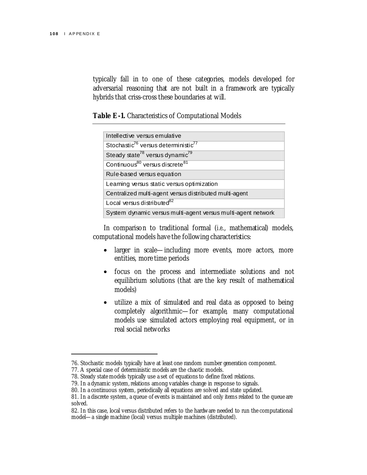l

typically fall in to one of these categories, models developed for adversarial reasoning that are not built in a framework are typically hybrids that criss-cross these boundaries at will.

**Table E-1.** Characteristics of Computational Models

| Intellective versus emulative                                |
|--------------------------------------------------------------|
| Stochastic <sup>76</sup> versus deterministic <sup>77</sup>  |
| Steady state <sup>78</sup> versus dynamic <sup>79</sup>      |
| Continuous <sup>80</sup> versus discrete <sup>81</sup>       |
| Rule-based versus equation                                   |
| Learning versus static versus optimization                   |
| Centralized multi-agent versus distributed multi-agent       |
| Local versus distributed <sup>82</sup>                       |
| System dynamic versus multi-agent versus multi-agent network |

In comparison to traditional formal (*i.e*., mathematical) models, computational models have the following characteristics:

- larger in scale—including more events, more actors, more entities, more time periods
- focus on the process and intermediate solutions and not equilibrium solutions (that are the key result of mathematical models)
- utilize a mix of simulated and real data as opposed to being completely algorithmic—for example, many computational models use simulated actors employing real equipment, or in real social networks

<sup>76.</sup> Stochastic models typically have at least one random number generation component.

<sup>77.</sup> A special case of deterministic models are the chaotic models.

<sup>78.</sup> Steady state models typically use a set of equations to define fixed relations.

<sup>79.</sup> In a dynamic system, relations among variables change in response to signals.

<sup>80.</sup> In a continuous system, periodically all equations are solved and state updated.

<sup>81.</sup> In a discrete system, a queue of events is maintained and only items related to the queue are solved.

<sup>82.</sup> In this case, local versus distributed refers to the hardw are needed to run the computational model—a single machine (local) versus multiple machines (distributed).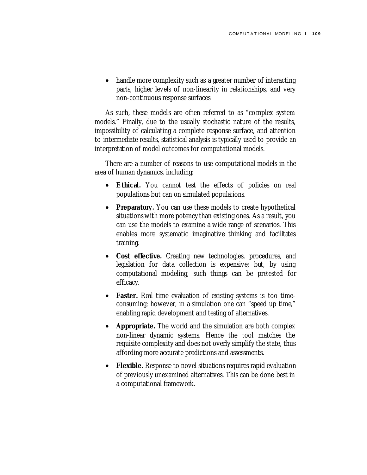• handle more complexity such as a greater number of interacting parts, higher levels of non-linearity in relationships, and very non-continuous response surfaces

As such, these models are often referred to as "complex system models." Finally, due to the usually stochastic nature of the results, impossibility of calculating a complete response surface, and attention to intermediate results, statistical analysis is typically used to provide an interpretation of model outcomes for computational models.

There are a number of reasons to use computational models in the area of human dynamics, including:

- **Ethical.** You cannot test the effects of policies on real populations but can on simulated populations.
- **Preparatory.** You can use these models to create hypothetical situations with more potency than existing ones. As a result, you can use the models to examine a wide range of scenarios. This enables more systematic imaginative thinking and facilitates training.
- **Cost effective.** Creating new technologies, procedures, and legislation for data collection is expensive; but, by using computational modeling, such things can be pretested for efficacy.
- **Faster.** Real time evaluation of existing systems is too timeconsuming; however, in a simulation one can "speed up time," enabling rapid development and testing of alternatives.
- **Appropriate.** The world and the simulation are both complex non-linear dynamic systems. Hence the tool matches the requisite complexity and does not overly simplify the state, thus affording more accurate predictions and assessments.
- **Flexible.** Response to novel situations requires rapid evaluation of previously unexamined alternatives. This can be done best in a computational framework.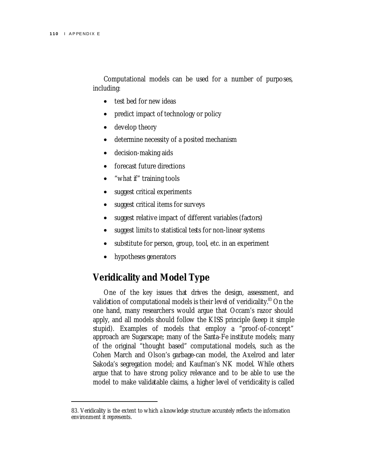l

Computational models can be used for a number of purposes, including:

- test bed for new ideas
- predict impact of technology or policy
- develop theory
- determine necessity of a posited mechanism
- decision-making aids
- forecast future directions
- "what if" training tools
- suggest critical experiments
- suggest critical items for surveys
- suggest relative impact of different variables (factors)
- suggest limits to statistical tests for non-linear systems
- substitute for person, group, tool, etc. in an experiment
- hypotheses generators

## **Veridicality and Model Type**

One of the key issues that drives the design, assessment, and validation of computational models is their level of veridicality.<sup>83</sup> On the one hand, many researchers would argue that Occam's razor should apply, and all models should follow the KISS principle (keep it simple stupid). Examples of models that employ a "proof-of-concept" approach are Sugarscape; many of the Santa-Fe institute models; many of the original "thought based" computational models, such as the Cohen March and Olson's garbage-can model, the Axelrod and later Sakoda's segregation model; and Kaufman's NK model. While others argue that to have strong policy relevance and to be able to use the model to make validatable claims, a higher level of veridicality is called

<sup>83.</sup> Veridicality is the extent to w hich a know ledge structure accurately reflects the information environment it represents.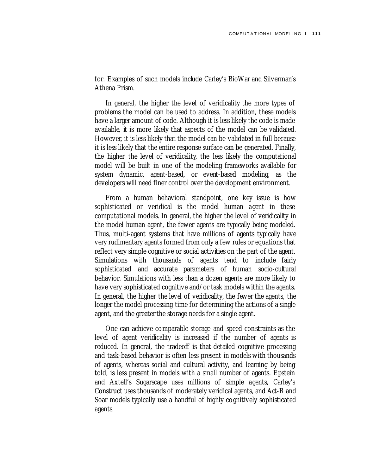for. Examples of such models include Carley's BioWar and Silverman's Athena Prism.

In general, the higher the level of veridicality the more types of problems the model can be used to address. In addition, these models have a larger amount of code. Although it is less likely the code is made available, it is more likely that aspects of the model can be validated. However, it is less likely that the model can be validated in full because it is less likely that the entire response surface can be generated. Finally, the higher the level of veridicality, the less likely the computational model will be built in one of the modeling frameworks available for system dynamic, agent-based, or event-based modeling, as the developers will need finer control over the development environment.

From a human behavioral standpoint, one key issue is how sophisticated or veridical is the model human agent in these computational models. In general, the higher the level of veridicality in the model human agent, the fewer agents are typically being modeled. Thus, multi-agent systems that have millions of agents typically have very rudimentary agents formed from only a few rules or equations that reflect very simple cognitive or social activities on the part of the agent. Simulations with thousands of agents tend to include fairly sophisticated and accurate parameters of human socio-cultural behavior. Simulations with less than a dozen agents are more likely to have very sophisticated cognitive and/or task models within the agents. In general, the higher the level of veridicality, the fewer the agents, the longer the model processing time for determining the actions of a single agent, and the greater the storage needs for a single agent.

One can achieve comparable storage and speed constraints as the level of agent veridicality is increased if the number of agents is reduced. In general, the tradeoff is that detailed cognitive processing and task-based behavior is often less present in models with thousands of agents, whereas social and cultural activity, and learning by being told, is less present in models with a small number of agents. Epstein and Axtell's Sugarscape uses millions of simple agents, Carley's Construct uses thousands of moderately veridical agents, and Act-R and Soar models typically use a handful of highly cognitively sophisticated agents.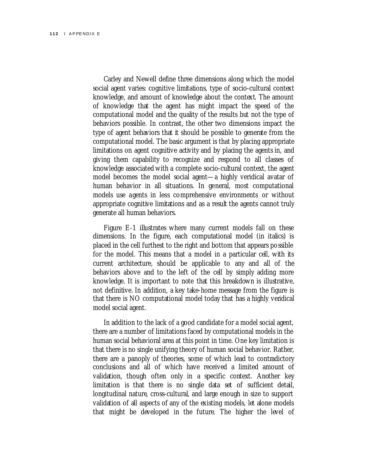Carley and Newell define three dimensions along which the model social agent varies: cognitive limitations, type of socio-cultural context knowledge, and amount of knowledge about the context. The amount of knowledge that the agent has might impact the speed of the computational model and the quality of the results but not the type of behaviors possible. In contrast, the other two dimensions impact the type of agent behaviors that it should be possible to generate from the computational model. The basic argument is that by placing appropriate limitations on agent cognitive activity and by placing the agents in, and giving them capability to recognize and respond to all classes of knowledge associated with a complete socio-cultural context, the agent model becomes the model social agent—a highly veridical avatar of human behavior in all situations. In general, most computational models use agents in less comprehensive environments or without appropriate cognitive limitations and as a result the agents cannot truly generate all human behaviors.

Figure E-1 illustrates where many current models fall on these dimensions. In the figure, each computational model (in italics) is placed in the cell furthest to the right and bottom that appears possible for the model. This means that a model in a particular cell, with its current architecture, should be applicable to any and all of the behaviors above and to the left of the cell by simply adding more knowledge. It is important to note that this breakdown is illustrative, not definitive. In addition, a key take-home message from the figure is that there is NO computational model today that has a highly veridical model social agent.

In addition to the lack of a good candidate for a model social agent, there are a number of limitations faced by computational models in the human social behavioral area at this point in time. One key limitation is that there is no single unifying theory of human social behavior. Rather, there are a panoply of theories, some of which lead to contradictory conclusions and all of which have received a limited amount of validation, though often only in a specific context. Another key limitation is that there is no single data set of sufficient detail, longitudinal nature, cross-cultural, and large enough in size to support validation of all aspects of any of the existing models, let alone models that might be developed in the future. The higher the level of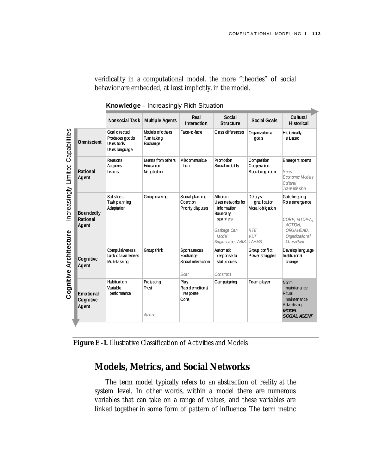veridicality in a computational model, the more "theories" of social behavior are embedded, at least implicitly, in the model.

|                                           |                                 | <u> Kilowiedye – lilcieasiliyiy Kich Situation</u>             |                                                |                                                              |                                                                                                                  |                                                                                          |                                                                                                           |
|-------------------------------------------|---------------------------------|----------------------------------------------------------------|------------------------------------------------|--------------------------------------------------------------|------------------------------------------------------------------------------------------------------------------|------------------------------------------------------------------------------------------|-----------------------------------------------------------------------------------------------------------|
|                                           |                                 | Nonsocial Task                                                 | <b>Multiple Agents</b>                         | Real<br>Interaction                                          | Social<br><b>Structure</b>                                                                                       | <b>Social Goals</b>                                                                      | Cultural<br><b>Historical</b>                                                                             |
| Capabilities                              | Omniscient                      | Goal directed<br>Produces goods<br>Uses tools<br>Uses language | Models of others<br>Turn taking<br>Exchange    | Face-to-face                                                 | Class differences                                                                                                | Organizational<br>qoals                                                                  | <b>Historically</b><br>situated                                                                           |
|                                           | Rational<br>Agent               | Reasons<br>Acquires<br>Learns                                  | Learns from others<br>Education<br>Negotiation | Misc om munic a-<br>tion                                     | <b>Promotion</b><br>Social mobility                                                                              | Competition<br>Cooperation<br>Social cognition                                           | E mergent norms<br>Seas<br>Economic Models<br>Cultural<br>Transmis sion                                   |
| Increasingly Limited<br>T<br>Architecture | Boundedly<br>Rational<br>Agent  | <b>Satisfices</b><br>Task planning<br>Adaptation               | Group making                                   | Social planning<br>Coercion<br>Priority disputes             | Altruism<br>Uses networks for<br>information<br>Boundary<br>spanners<br>Garbage Can<br>Model<br>Sugarscape, AAIS | Dela-ys<br>qratification<br>Moral obligation<br><b>RTE</b><br><b>VDT</b><br><b>TAEMS</b> | Gate keeping<br>Role emergence<br>CORP, HITOP-A,<br>ACTION,<br>ORGA HEAD,<br>Organizational<br>Consultant |
|                                           | Cognitive<br>Agent              | <b>Compulsiveness</b><br>Lack of awareness<br>Multi-tasking    | Group think                                    | Spontaneous<br><b>Exchange</b><br>Social interaction<br>Soar | Automatic<br>response to<br>status cues<br><b>Construct</b>                                                      | Group conflict<br>Power struggles                                                        | Develop language<br>Institutional<br>change                                                               |
| Cognitive                                 | Emotional<br>Cognitive<br>Agent | Habituation<br>Variable<br>performance                         | Protesting<br>Trust<br>Athena                  | Play<br>Rapid emotional<br>response<br>Cons                  | Campaigning                                                                                                      | Team player                                                                              | Norm<br>maintenance<br>Ritual<br>maintenance<br>Advertising<br><b>MODEL</b><br><b>SOCIAL AGENT</b>        |

**Knowledge** – Increasingly Rich Situation

**Figure E-1.** Illustrative Classification of Activities and Models

## **Models, Metrics, and Social Networks**

The term model typically refers to an abstraction of reality at the system level. In other words, within a model there are numerous variables that can take on a range of values, and these variables are linked together in some form of pattern of influence. The term metric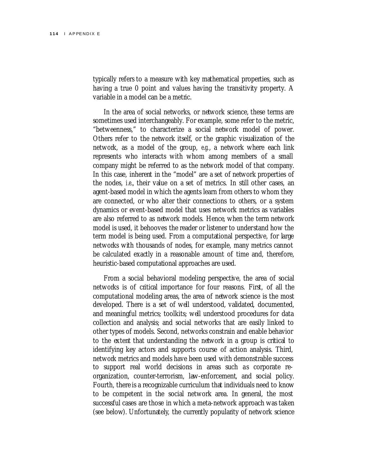typically refers to a measure with key mathematical properties, such as having a true 0 point and values having the transitivity property. A variable in a model can be a metric.

In the area of social networks, or network science, these terms are sometimes used interchangeably. For example, some refer to the metric, "betweenness," to characterize a social network model of power. Others refer to the network itself, or the graphic visualization of the network, as a model of the group, *e.g.*, a network where each link represents who interacts with whom among members of a small company might be referred to as the network model of that company. In this case, inherent in the "model" are a set of network properties of the nodes, *i.e*., their value on a set of metrics. In still other cases, an agent-based model in which the agents learn from others to whom they are connected, or who alter their connections to others, or a system dynamics or event-based model that uses network metrics as variables are also referred to as network models. Hence, when the term network model is used, it behooves the reader or listener to understand how the term model is being used. From a computational perspective, for large networks with thousands of nodes, for example, many metrics cannot be calculated exactly in a reasonable amount of time and, therefore, heuristic-based computational approaches are used.

From a social behavioral modeling perspective, the area of social networks is of critical importance for four reasons. First, of all the computational modeling areas, the area of network science is the most developed. There is a set of well understood, validated, documented, and meaningful metrics; toolkits; well understood procedures for data collection and analysis; and social networks that are easily linked to other types of models. Second, networks constrain and enable behavior to the extent that understanding the network in a group is critical to identifying key actors and supports course of action analysis. Third, network metrics and models have been used with demonstrable success to support real world decisions in areas such as corporate reorganization, counter-terrorism, law-enforcement, and social policy. Fourth, there is a recognizable curriculum that individuals need to know to be competent in the social network area. In general, the most successful cases are those in which a meta-network approach was taken (see below). Unfortunately, the currently popularity of network science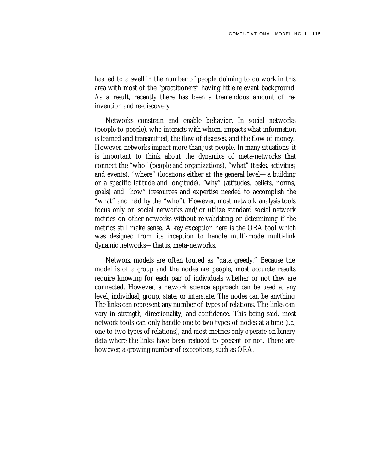has led to a swell in the number of people daiming to do work in this area with most of the "practitioners" having little relevant background. As a result, recently there has been a tremendous amount of reinvention and re-discovery.

Networks constrain and enable behavior. In social networks (people-to-people), who interacts with whom, impacts what information is learned and transmitted, the flow of diseases, and the flow of money. However, networks impact more than just people. In many situations, it is important to think about the dynamics of meta-networks that connect the "who" (people and organizations), "what" (tasks, activities, and events), "where" (locations either at the general level—a building or a specific latitude and longitude), "why" (attitudes, beliefs, norms, goals) and "how" (resources and expertise needed to accomplish the "what" and held by the "who"). However, most network analysis tools focus only on social networks and/or utilize standard social network metrics on other networks without re-validating or determining if the metrics still make sense. A key exception here is the ORA tool which was designed from its inception to handle multi-mode multi-link dynamic networks—that is, meta-networks.

Network models are often touted as "data greedy." Because the model is of a group and the nodes are people, most accurate results require knowing for each pair of individuals whether or not they are connected. However, a network science approach can be used at any level, individual, group, state, or interstate. The nodes can be anything. The links can represent any number of types of relations. The links can vary in strength, directionality, and confidence. This being said, most network tools can only handle one to two types of nodes at a time (*i.e*., one to two types of relations), and most metrics only operate on binary data where the links have been reduced to present or not. There are, however, a growing number of exceptions, such as ORA.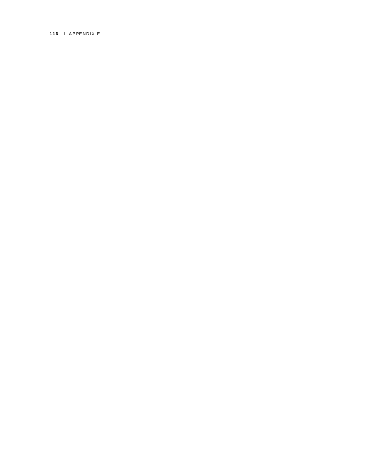#### 116 | APPENDIX E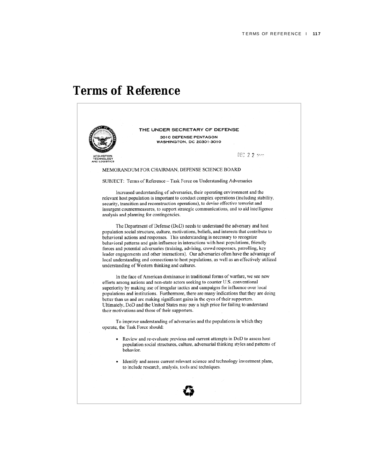DEC 2 2 2000

## **Terms of Reference**



efforts among nations and non-state actors seeking to counter U.S. conventional superiority by making use of irregular tactics and campaigns for influence over local populations and institutions. Furthermore, there are many indications that they are doing better than us and are making significant gains in the eyes of their supporters. Ultimately, DoD and the United States may pay a high price for failing to understand their motivations and those of their supporters.

To improve understanding of adversaries and the populations in which they operate, the Task Force should:

- Review and re-evaluate previous and current attempts in DoD to assess host population social structures, culture, adversarial thinking styles and patterns of behavior.
- Identify and assess current relevant science and technology investment plans, to include research, analysis, tools and techniques.

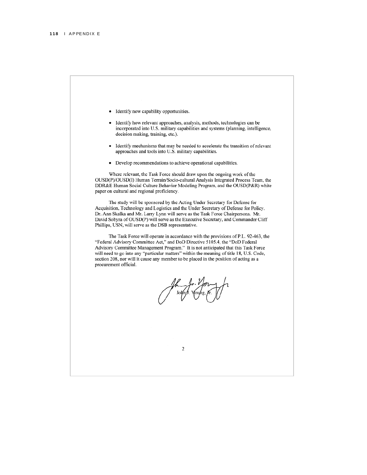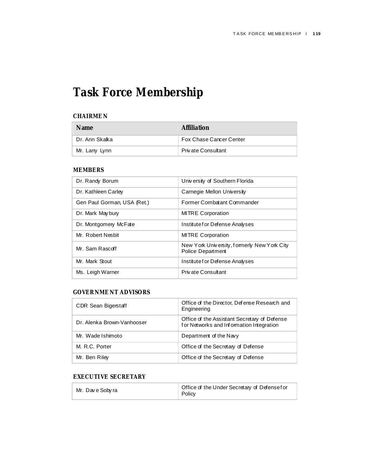## **Task Force Membership**

#### **CHAIRMEN**

| <b>Name</b>    | <b>Affiliation</b>      |
|----------------|-------------------------|
| Dr. Ann Skalka | Fox Chase Cancer Center |
| Mr. Larry Lynn | Private Consultant      |

#### **MEMBERS**

| Dr. Randy Borum             | University of Southern Florida                                          |
|-----------------------------|-------------------------------------------------------------------------|
| Dr. Kathleen Carley         | Carnegie Mellon University                                              |
| Gen Paul Gorman, USA (Ret.) | Former Combatant Commander                                              |
| Dr. Mark May bury           | <b>MITRE Corporation</b>                                                |
| Dr. Montgomery McFate       | Institutefor Defense Analyses                                           |
| Mr. Robert Nesbit           | <b>MITRE Corporation</b>                                                |
| Mr. Sam Rascoff             | New York University, formerly New York City<br><b>Police Department</b> |
| Mr. Mark Stout              | Institutef or Defense Analyses                                          |
| Ms. Leigh Warner            | Private Consultant                                                      |

#### **GOVERNMENT ADVISORS**

| CDR Sean Bigerstaff        | Office of the Director, Defense Research and<br>Engineering                              |
|----------------------------|------------------------------------------------------------------------------------------|
| Dr. Alenka Brown-Vanhooser | Office of the Assistant Secretary of Defense<br>for Networks and Information Integration |
| Mr. Wade Ishimoto          | Department of the Navy                                                                   |
| M. R.C. Porter             | Office of the Secretary of Defense                                                       |
| Mr. Ben Riley              | Office of the Secretary of Defense                                                       |

#### **EXECUTIVE SECRETARY**

| Mr. Dave Soby ra | Office of the Under Secretary of Defensefor<br>Policy |
|------------------|-------------------------------------------------------|
|------------------|-------------------------------------------------------|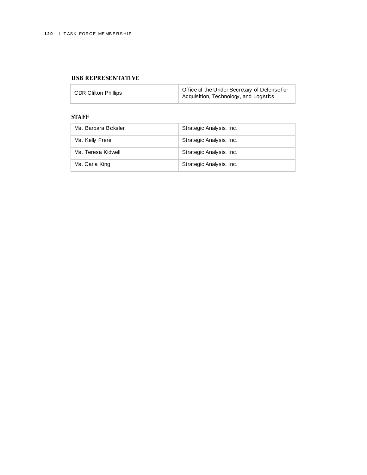#### **DSB REPRESENTATIVE**

| <b>CDR Clifton Phillips</b> | Office of the Under Secretary of Defensefor<br>Acquisition, Technology, and Logistics |
|-----------------------------|---------------------------------------------------------------------------------------|
|-----------------------------|---------------------------------------------------------------------------------------|

### **STAFF**

| Ms. Barbara Bicksler | Strategic Analysis, Inc. |
|----------------------|--------------------------|
| Ms. Kelly Frere      | Strategic Analysis, Inc. |
| Ms. Teresa Kidwell   | Strategic Analysis, Inc. |
| Ms. Carla King       | Strategic Analysis, Inc. |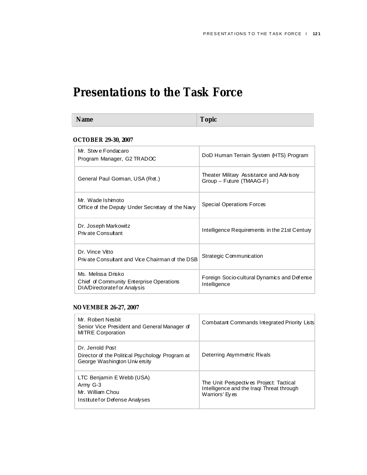## **Presentations to the Task Force**

**Name** Topic **Topic** 

#### **OCTOBER 29-30, 2007**

| Mr. Steve Fondacaro<br>Program Manager, G2 TRADOC                                             | DoD Human Terrain System (HTS) Program                               |
|-----------------------------------------------------------------------------------------------|----------------------------------------------------------------------|
| General Paul Goman, USA (Ret.)                                                                | Theater Military Assistance and Advisory<br>Group - Future (TMAAG-F) |
| Mr. Wade Ishimoto<br>Office of the Deputy Under Secretary of the Navy                         | <b>Special Operations Forces</b>                                     |
| Dr. Joseph Markowitz<br>Private Consultant                                                    | Intelligence Requirements in the 21st Century                        |
| Dr. Vince Vitto<br>Private Consultant and Vice Chairman of the DSB                            | Strategic Communication                                              |
| Ms. Melissa Drisko<br>Chief of Community Enterprise Operations<br>DIA/Directoratefor Analysis | Foreign Socio-cultural Dynamics and Defense<br>Intelligence          |

#### **NOVEMBER 26-27, 2007**

| Mr. Robert Nesbit<br>Senior Vice President and General Manager of<br><b>MITRE Corporation</b>       | Combatant Commands Integrated Priority Lists                                                           |
|-----------------------------------------------------------------------------------------------------|--------------------------------------------------------------------------------------------------------|
| Dr. Jerrold Post<br>Director of the Political Psychology Program at<br>George Washington University | Deterring Asymmetric Rivals                                                                            |
| LTC Benjamin E Webb (USA)<br>Army G-3<br>Mr. William Chou<br>Institutef or Defense Analyses         | The Unit Perspectives Project: Tactical<br>Intelligence and the Iraqi Threat through<br>Warriors' Eyes |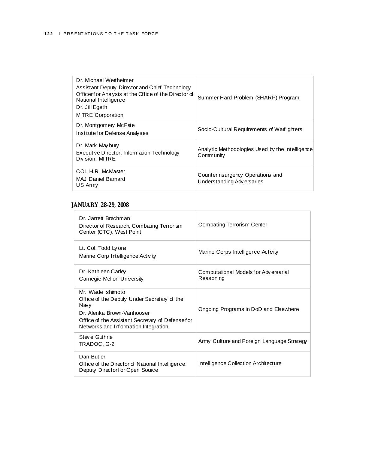| Dr. Michael Wertheimer<br>Assistant Deputy Director and Chief Technology<br>Officerf or Analysis at the Office of the Director of<br>National Intelligence<br>Dr. Jill Egeth<br><b>MITRE Corporation</b> | Summer Hard Problem (SHARP) Program                            |
|----------------------------------------------------------------------------------------------------------------------------------------------------------------------------------------------------------|----------------------------------------------------------------|
| Dr. Montgomery McFate<br>Institutef or Defense Analyses                                                                                                                                                  | Socio-Cultural Requirements of Warfighters                     |
| Dr. Mark May bury<br>Executive Director, Information Technology<br>Division, MITRE                                                                                                                       | Analytic Methodologies Used by the Intelligence<br>Community   |
| COL H.R. McMaster<br><b>MAJ Daniel Barnard</b><br>US Army                                                                                                                                                | Counterinsurgency Operations and<br>Understanding Adv ersaries |

#### **JANUARY 28-29, 2008**

| Dr. Jarrett Brachman<br>Director of Research, Combating Terrorism<br>Center (CTC), West Point                                                                                                     | <b>Combating Terrorism Center</b>                 |
|---------------------------------------------------------------------------------------------------------------------------------------------------------------------------------------------------|---------------------------------------------------|
| Lt. Col. Todd Ly ons<br>Marine Corp Intelligence Activity                                                                                                                                         | Marine Corps Intelligence Activity                |
| Dr. Kathleen Carley<br>Carnegie Mellon University                                                                                                                                                 | Computational Models for Adversarial<br>Reasoning |
| Mr. Wade Ishimoto<br>Office of the Deputy Under Secretary of the<br>Navy<br>Dr. Alenka Brown-Vanhooser<br>Office of the Assistant Secretary of Defensefor<br>Networks and Information Integration | Ongoing Programs in DoD and Elsewhere             |
| Steve Guthrie<br>TRADOC, G-2                                                                                                                                                                      | Army Culture and Foreign Language Strategy        |
| Dan Butler<br>Office of the Director of National Intelligence,<br>Deputy Directorf or Open Source                                                                                                 | Intelligence Collection Architecture              |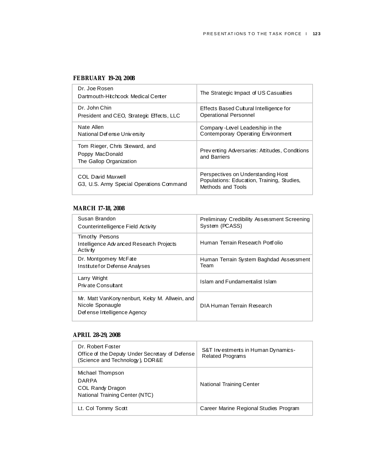#### **FEBRUARY 19-20, 2008**

| Dr. Joe Rosen<br>Dartmouth-Hitchcock Medical Center                          | The Strategic Impact of US Casualties                                                                 |
|------------------------------------------------------------------------------|-------------------------------------------------------------------------------------------------------|
| Dr. John Chin<br>President and CEO, Strategic Effects, LLC                   | Effects Based Cultural Intelligence for<br><b>Operational Personnel</b>                               |
| Nate Allen<br>National Defense University                                    | Company-Level Leadership in the<br><b>Contemporary Operating Environment</b>                          |
| Tom Rieger, Chris Steward, and<br>Poppy MacDonald<br>The Gallop Organization | Preventing Adversaries: Attitudes, Conditions<br>and Barriers                                         |
| COL David Maxwell<br>G3, U.S. Army Special Operations Command                | Perspectives on Understanding Host<br>Populations: Education, Training, Studies,<br>Methods and Tools |

#### **MARCH 17-18, 2008**

| Susan Brandon<br>Counterintelligence Field Activity                                                | Preliminary Credibility Assessment Screening<br>System (PCASS) |
|----------------------------------------------------------------------------------------------------|----------------------------------------------------------------|
| Timothy Persons<br>Intelligence Adv anced Research Projects<br>Activity                            | Human Terrain Research Portfolio                               |
| Dr. Montgomery McFate<br>Institutef or Defense Analyses                                            | Human Terrain System Baghdad Assessment<br>Team                |
| Larry Wright<br>Private Consultant                                                                 | Islam and Fundamentalist Islam                                 |
| Mr. Matt VanKony nenburt, Kelcy M. Allwein, and<br>Nicole Sponaugle<br>Defense Intelligence Agency | DIA Human Terrain Research                                     |

#### **APRIL 28-29, 2008**

| Dr. Robert Foster<br>Office of the Deputy Under Secretary of Defense<br>(Science and Technology), DDR&E | S&T Investments in Human Dynamics-<br><b>Related Programs</b> |
|---------------------------------------------------------------------------------------------------------|---------------------------------------------------------------|
| Michael Thompson<br>DARPA<br>COL Randy Dragon<br>National Training Center (NTC)                         | <b>National Training Center</b>                               |
| Lt. Col Tommy Scott                                                                                     | Career Marine Regional Studies Program                        |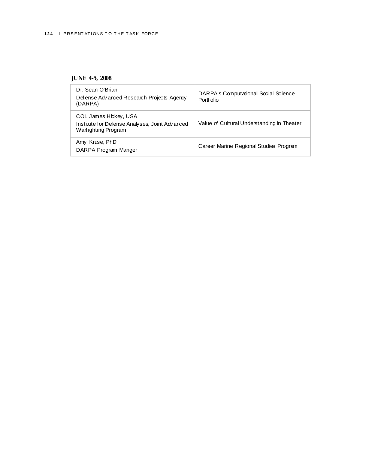#### **JUNE 4-5, 2008**

| Dr. Sean O'Brian<br>Defense Advanced Research Projects Agency<br>(DARPA)                        | DARPA's Computational Social Science<br>Portf olio |
|-------------------------------------------------------------------------------------------------|----------------------------------------------------|
| COL James Hickey, USA<br>Institute for Defense Analyses, Joint Adv anced<br>Warfighting Program | Value of Cultural Understanding in Theater         |
| Amy Kruse, PhD<br>DARPA Program Manger                                                          | Career Marine Regional Studies Program             |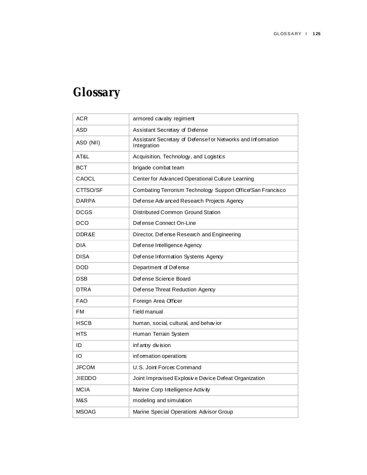# **Glossary**

| ACR          | armored cavalry regiment                                                  |
|--------------|---------------------------------------------------------------------------|
| ASD          | Assistant Secretary of Defense                                            |
| ASD (NII)    | Assistant Secretary of Defensefor Networks and Information<br>Integration |
| AT&L         | Acquisition, Technology, and Logistics                                    |
| <b>BCT</b>   | brigade combat team                                                       |
| CAOCL        | Center for Advanced Operational Culture Learning                          |
| CTTSO/SF     | Combating Terrorism Technology Support Office/San Francisco               |
| <b>DARPA</b> | Defense Adv anced Research Projects Agency                                |
| <b>DCGS</b>  | Distributed Common Ground Station                                         |
| DCO          | Defense Connect On-Line                                                   |
| DDR&E        | Director, Defense Research and Engineering                                |
| <b>DIA</b>   | Defense Intelligence Agency                                               |
| <b>DISA</b>  | Defense Information Systems Agency                                        |
| <b>DOD</b>   | Department of Defense                                                     |
| <b>DSB</b>   | Defense Science Board                                                     |
| <b>DTRA</b>  | Defense Threat Reduction Agency                                           |
| <b>FAO</b>   | Foreign Area Officer                                                      |
| <b>FM</b>    | f ield manual                                                             |
| <b>HSCB</b>  | human, social, cultural, and behavior                                     |
| <b>HTS</b>   | Human Terrain System                                                      |
| ID           | infantry division                                                         |
| IO           | information operations                                                    |
| <b>JFCOM</b> | U.S. Joint Forces Command                                                 |
| JIEDDO       | Joint Improvised Explosive Device Defeat Organization                     |
| <b>MCIA</b>  | Marine Corp Intelligence Activity                                         |
| M&S          | modeling and simulation                                                   |
| <b>MSOAG</b> | Marine Special Operations Advisor Group                                   |